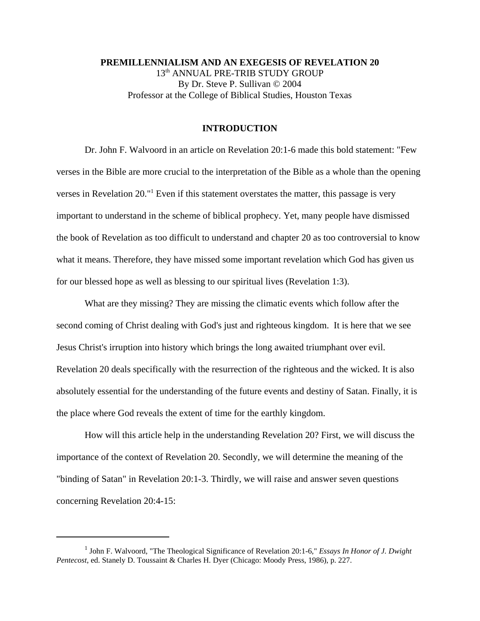**PREMILLENNIALISM AND AN EXEGESIS OF REVELATION 20** 13<sup>th</sup> ANNUAL PRE-TRIB STUDY GROUP By Dr. Steve P. Sullivan © 2004 Professor at the College of Biblical Studies, Houston Texas

## **INTRODUCTION**

Dr. John F. Walvoord in an article on Revelation 20:1-6 made this bold statement: "Few verses in the Bible are more crucial to the interpretation of the Bible as a whole than the opening verses in Revelation 20."<sup>1</sup> Even if this statement overstates the matter, this passage is very important to understand in the scheme of biblical prophecy. Yet, many people have dismissed the book of Revelation as too difficult to understand and chapter 20 as too controversial to know what it means. Therefore, they have missed some important revelation which God has given us for our blessed hope as well as blessing to our spiritual lives (Revelation 1:3).

What are they missing? They are missing the climatic events which follow after the second coming of Christ dealing with God's just and righteous kingdom. It is here that we see Jesus Christ's irruption into history which brings the long awaited triumphant over evil. Revelation 20 deals specifically with the resurrection of the righteous and the wicked. It is also absolutely essential for the understanding of the future events and destiny of Satan. Finally, it is the place where God reveals the extent of time for the earthly kingdom.

How will this article help in the understanding Revelation 20? First, we will discuss the importance of the context of Revelation 20. Secondly, we will determine the meaning of the "binding of Satan" in Revelation 20:1-3. Thirdly, we will raise and answer seven questions concerning Revelation 20:4-15:

<sup>&</sup>lt;sup>1</sup> John F. Walvoord, "The Theological Significance of Revelation 20:1-6," *Essays In Honor of J. Dwight Pentecost*, ed. Stanely D. Toussaint & Charles H. Dyer (Chicago: Moody Press, 1986), p. 227.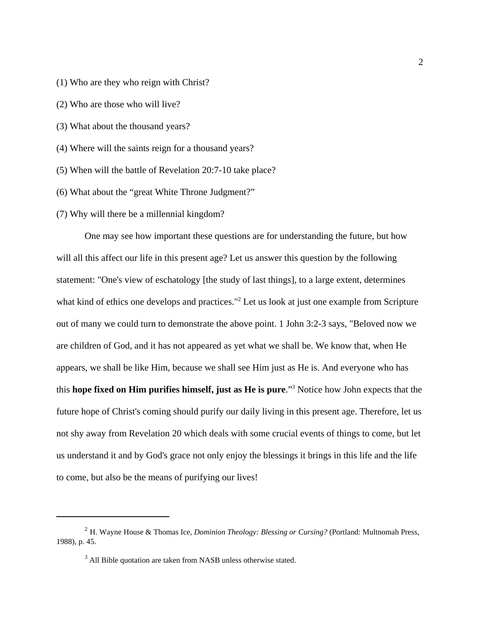- (1) Who are they who reign with Christ?
- (2) Who are those who will live?
- (3) What about the thousand years?
- (4) Where will the saints reign for a thousand years?
- (5) When will the battle of Revelation 20:7-10 take place?
- (6) What about the "great White Throne Judgment?"
- (7) Why will there be a millennial kingdom?

One may see how important these questions are for understanding the future, but how will all this affect our life in this present age? Let us answer this question by the following statement: "One's view of eschatology [the study of last things], to a large extent, determines what kind of ethics one develops and practices."<sup>2</sup> Let us look at just one example from Scripture out of many we could turn to demonstrate the above point. 1 John 3:2-3 says, "Beloved now we are children of God, and it has not appeared as yet what we shall be. We know that, when He appears, we shall be like Him, because we shall see Him just as He is. And everyone who has this **hope fixed on Him purifies himself, just as He is pure**."<sup>3</sup> Notice how John expects that the future hope of Christ's coming should purify our daily living in this present age. Therefore, let us not shy away from Revelation 20 which deals with some crucial events of things to come, but let us understand it and by God's grace not only enjoy the blessings it brings in this life and the life to come, but also be the means of purifying our lives!

<sup>2</sup> H. Wayne House & Thomas Ice, *Dominion Theology: Blessing or Cursing?* (Portland: Multnomah Press, 1988), p. 45.

 $3$  All Bible quotation are taken from NASB unless otherwise stated.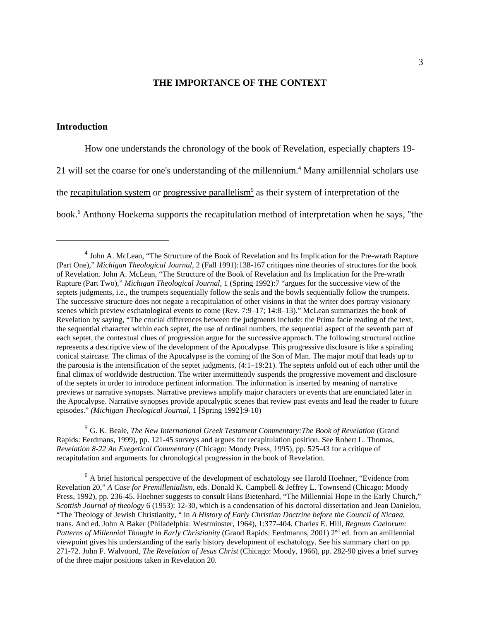# **THE IMPORTANCE OF THE CONTEXT**

## **Introduction**

How one understands the chronology of the book of Revelation, especially chapters 19- 21 will set the coarse for one's understanding of the millennium.<sup>4</sup> Many amillennial scholars use the <u>recapitulation system</u> or progressive parallelism<sup>5</sup> as their system of interpretation of the book.<sup>6</sup> Anthony Hoekema supports the recapitulation method of interpretation when he says, "the

<sup>5</sup> G. K. Beale, *The New International Greek Testament Commentary:The Book of Revelation* (Grand Rapids: Eerdmans, 1999), pp. 121-45 surveys and argues for recapitulation position. See Robert L. Thomas, *Revelation 8-22 An Exegetical Commentary* (Chicago: Moody Press, 1995), pp. 525-43 for a critique of recapitulation and arguments for chronological progression in the book of Revelation.

 $6$  A brief historical perspective of the development of eschatology see Harold Hoehner, "Evidence from Revelation 20," *A Case for Premillenialism*, eds. Donald K. Campbell & Jeffrey L. Townsend (Chicago: Moody Press, 1992), pp. 236-45. Hoehner suggests to consult Hans Bietenhard, "The Millennial Hope in the Early Church," *Scottish Journal of theology* 6 (1953): 12-30, which is a condensation of his doctoral dissertation and Jean Danielou, "The Theology of Jewish Christianity, " in *A History of Early Christian Doctrine before the Council of Nicaea*, trans. And ed. John A Baker (Philadelphia: Westminster, 1964), 1:377-404. Charles E. Hill, *Regnum Caelorum: Patterns of Millennial Thought in Early Christianity* (Grand Rapids: Eerdmanns, 2001) 2<sup>nd</sup> ed. from an amillennial viewpoint gives his understanding of the early history development of eschatology. See his summary chart on pp. 271-72. John F. Walvoord, *The Revelation of Jesus Christ* (Chicago: Moody, 1966), pp. 282-90 gives a brief survey of the three major positions taken in Revelation 20.

<sup>&</sup>lt;sup>4</sup> John A. McLean, "The Structure of the Book of Revelation and Its Implication for the Pre-wrath Rapture (Part One)," *Michigan Theological Journal*, 2 (Fall 1991):138-167 critiques nine theories of structures for the book of Revelation. John A. McLean, "The Structure of the Book of Revelation and Its Implication for the Pre-wrath Rapture (Part Two)," *Michigan Theological Journal*, 1 (Spring 1992):7 "argues for the successive view of the septets judgments, i.e., the trumpets sequentially follow the seals and the bowls sequentially follow the trumpets. The successive structure does not negate a recapitulation of other visions in that the writer does portray visionary scenes which preview eschatological events to come (Rev. 7:9–17; 14:8–13)." McLean summarizes the book of Revelation by saying, "The crucial differences between the judgments include: the Prima facie reading of the text, the sequential character within each septet, the use of ordinal numbers, the sequential aspect of the seventh part of each septet, the contextual clues of progression argue for the successive approach. The following structural outline represents a descriptive view of the development of the Apocalypse. This progressive disclosure is like a spiraling conical staircase. The climax of the Apocalypse is the coming of the Son of Man. The major motif that leads up to the parousia is the intensification of the septet judgments, (4:1–19:21). The septets unfold out of each other until the final climax of worldwide destruction. The writer intermittently suspends the progressive movement and disclosure of the septets in order to introduce pertinent information. The information is inserted by meaning of narrative previews or narrative synopses. Narrative previews amplify major characters or events that are enunciated later in the Apocalypse. Narrative synopses provide apocalyptic scenes that review past events and lead the reader to future episodes." *(Michigan Theological Journal*, 1 [Spring 1992]:9-10)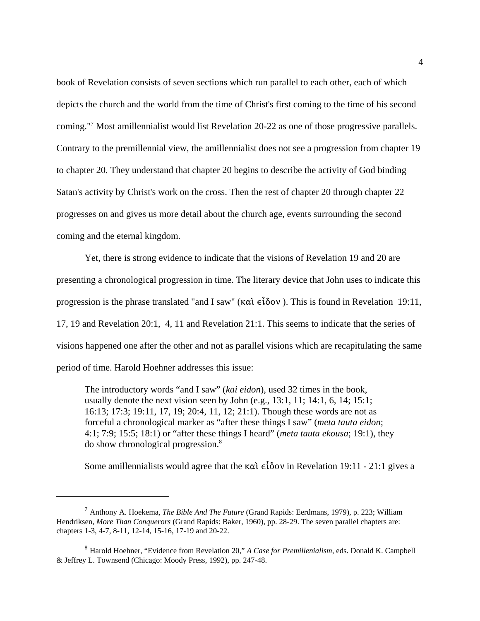book of Revelation consists of seven sections which run parallel to each other, each of which depicts the church and the world from the time of Christ's first coming to the time of his second coming."<sup>7</sup> Most amillennialist would list Revelation 20-22 as one of those progressive parallels. Contrary to the premillennial view, the amillennialist does not see a progression from chapter 19 to chapter 20. They understand that chapter 20 begins to describe the activity of God binding Satan's activity by Christ's work on the cross. Then the rest of chapter 20 through chapter 22 progresses on and gives us more detail about the church age, events surrounding the second coming and the eternal kingdom.

Yet, there is strong evidence to indicate that the visions of Revelation 19 and 20 are presenting a chronological progression in time. The literary device that John uses to indicate this progression is the phrase translated "and I saw" ( $\kappa \alpha \hat{i} \epsilon \hat{i} \delta \sigma v$ ). This is found in Revelation 19:11, 17, 19 and Revelation 20:1, 4, 11 and Revelation 21:1. This seems to indicate that the series of visions happened one after the other and not as parallel visions which are recapitulating the same period of time. Harold Hoehner addresses this issue:

The introductory words "and I saw" (*kai eidon*), used 32 times in the book, usually denote the next vision seen by John  $(e.g., 13:1, 11; 14:1, 6, 14; 15:1;$ 16:13; 17:3; 19:11, 17, 19; 20:4, 11, 12; 21:1). Though these words are not as forceful a chronological marker as "after these things I saw" (*meta tauta eidon*; 4:1; 7:9; 15:5; 18:1) or "after these things I heard" (*meta tauta ekousa*; 19:1), they do show chronological progression.<sup>8</sup>

Some amillennialists would agree that the  $\kappa \alpha \hat{i} \epsilon \hat{j} \delta \alpha \hat{v}$  in Revelation 19:11 - 21:1 gives a

<sup>7</sup> Anthony A. Hoekema, *The Bible And The Future* (Grand Rapids: Eerdmans, 1979), p. 223; William Hendriksen, *More Than Conquerors* (Grand Rapids: Baker, 1960), pp. 28-29. The seven parallel chapters are: chapters 1-3, 4-7, 8-11, 12-14, 15-16, 17-19 and 20-22.

<sup>8</sup> Harold Hoehner, "Evidence from Revelation 20," *A Case for Premillenialism*, eds. Donald K. Campbell & Jeffrey L. Townsend (Chicago: Moody Press, 1992), pp. 247-48.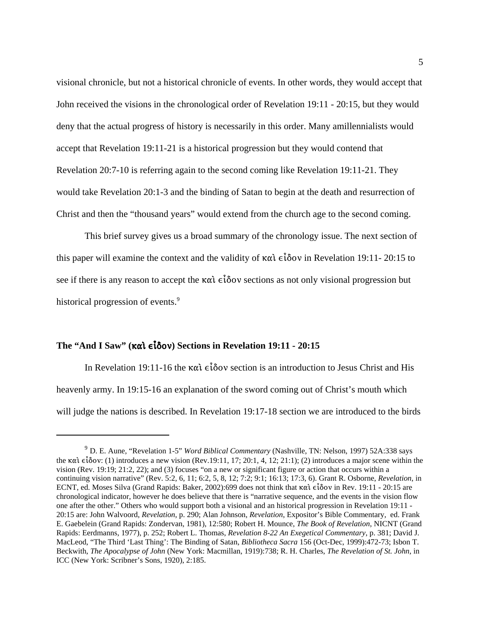visional chronicle, but not a historical chronicle of events. In other words, they would accept that John received the visions in the chronological order of Revelation 19:11 - 20:15, but they would deny that the actual progress of history is necessarily in this order. Many amillennialists would accept that Revelation 19:11-21 is a historical progression but they would contend that Revelation 20:7-10 is referring again to the second coming like Revelation 19:11-21. They would take Revelation 20:1-3 and the binding of Satan to begin at the death and resurrection of Christ and then the "thousand years" would extend from the church age to the second coming.

This brief survey gives us a broad summary of the chronology issue. The next section of this paper will examine the context and the validity of  $\kappa \alpha \hat{i} \epsilon \hat{i} \delta \omega$  in Revelation 19:11- 20:15 to see if there is any reason to accept the  $\kappa \alpha \hat{i} \epsilon \hat{i} \delta \omega$  sections as not only visional progression but historical progression of events.<sup>9</sup>

# The "And I Saw" (καὶ  $\epsilon$ ἶδον) Sections in Revelation 19:11 - 20:15

In Revelation 19:11-16 the  $\kappa \alpha \hat{i} \in \hat{\delta}$  ov section is an introduction to Jesus Christ and His heavenly army. In 19:15-16 an explanation of the sword coming out of Christ's mouth which will judge the nations is described. In Revelation 19:17-18 section we are introduced to the birds

<sup>9</sup> D. E. Aune, "Revelation 1-5" *Word Biblical Commentary* (Nashville, TN: Nelson, 1997) 52A:338 says the  $\kappa \alpha i \epsilon i \delta \text{ov}$ : (1) introduces a new vision (Rev.19:11, 17; 20:1, 4, 12; 21:1); (2) introduces a major scene within the vision (Rev. 19:19; 21:2, 22); and (3) focuses "on a new or significant figure or action that occurs within a continuing vision narrative" (Rev. 5:2, 6, 11; 6:2, 5, 8, 12; 7:2; 9:1; 16:13; 17:3, 6). Grant R. Osborne, *Revelation*, in ECNT, ed. Moses Silva (Grand Rapids: Baker, 2002):699 does not think that  $\kappa \alpha \hat{i} \epsilon \hat{i} \delta \sigma v$  in Rev. 19:11 - 20:15 are chronological indicator, however he does believe that there is "narrative sequence, and the events in the vision flow one after the other." Others who would support both a visional and an historical progression in Revelation 19:11 - 20:15 are: John Walvoord, *Revelation*, p. 290; Alan Johnson, *Revelation*, Expositor's Bible Commentary, ed. Frank E. Gaebelein (Grand Rapids: Zondervan, 1981), 12:580; Robert H. Mounce, *The Book of Revelation*, NICNT (Grand Rapids: Eerdmanns, 1977), p. 252; Robert L. Thomas, *Revelation 8-22 An Exegetical Commentary*, p. 381; David J. MacLeod, "The Third 'Last Thing': The Binding of Satan, *Bibliotheca Sacra* 156 (Oct-Dec, 1999):472-73; Isbon T. Beckwith, *The Apocalypse of John* (New York: Macmillan, 1919):738; R. H. Charles, *The Revelation of St. John*, in ICC (New York: Scribner's Sons, 1920), 2:185.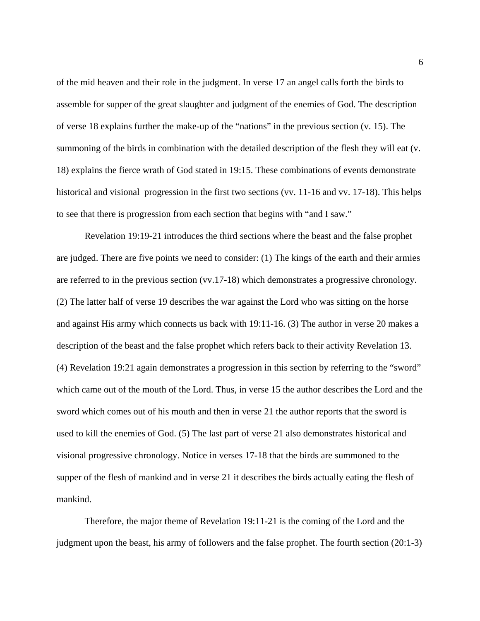of the mid heaven and their role in the judgment. In verse 17 an angel calls forth the birds to assemble for supper of the great slaughter and judgment of the enemies of God. The description of verse 18 explains further the make-up of the "nations" in the previous section (v. 15). The summoning of the birds in combination with the detailed description of the flesh they will eat (v. 18) explains the fierce wrath of God stated in 19:15. These combinations of events demonstrate historical and visional progression in the first two sections (vv. 11-16 and vv. 17-18). This helps to see that there is progression from each section that begins with "and I saw."

Revelation 19:19-21 introduces the third sections where the beast and the false prophet are judged. There are five points we need to consider: (1) The kings of the earth and their armies are referred to in the previous section (vv.17-18) which demonstrates a progressive chronology. (2) The latter half of verse 19 describes the war against the Lord who was sitting on the horse and against His army which connects us back with 19:11-16. (3) The author in verse 20 makes a description of the beast and the false prophet which refers back to their activity Revelation 13. (4) Revelation 19:21 again demonstrates a progression in this section by referring to the "sword" which came out of the mouth of the Lord. Thus, in verse 15 the author describes the Lord and the sword which comes out of his mouth and then in verse 21 the author reports that the sword is used to kill the enemies of God. (5) The last part of verse 21 also demonstrates historical and visional progressive chronology. Notice in verses 17-18 that the birds are summoned to the supper of the flesh of mankind and in verse 21 it describes the birds actually eating the flesh of mankind.

Therefore, the major theme of Revelation 19:11-21 is the coming of the Lord and the judgment upon the beast, his army of followers and the false prophet. The fourth section (20:1-3)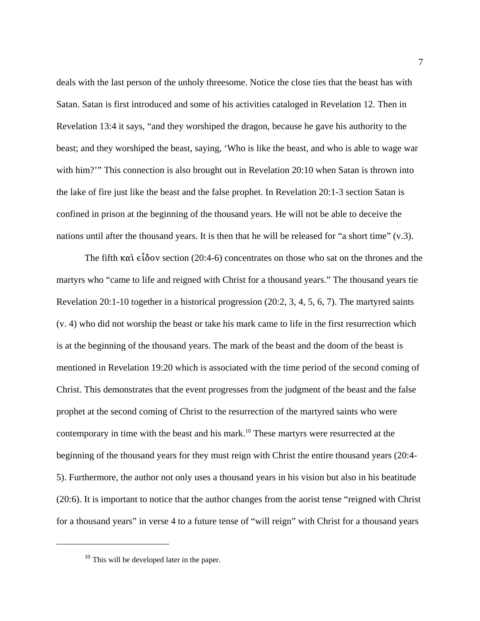deals with the last person of the unholy threesome. Notice the close ties that the beast has with Satan. Satan is first introduced and some of his activities cataloged in Revelation 12. Then in Revelation 13:4 it says, "and they worshiped the dragon, because he gave his authority to the beast; and they worshiped the beast, saying, 'Who is like the beast, and who is able to wage war with him?'" This connection is also brought out in Revelation 20:10 when Satan is thrown into the lake of fire just like the beast and the false prophet. In Revelation 20:1-3 section Satan is confined in prison at the beginning of the thousand years. He will not be able to deceive the nations until after the thousand years. It is then that he will be released for "a short time" (v.3).

The fifth  $\kappa \alpha i \in \hat{\delta}$  ov section (20:4-6) concentrates on those who sat on the thrones and the martyrs who "came to life and reigned with Christ for a thousand years." The thousand years tie Revelation 20:1-10 together in a historical progression (20:2, 3, 4, 5, 6, 7). The martyred saints (v. 4) who did not worship the beast or take his mark came to life in the first resurrection which is at the beginning of the thousand years. The mark of the beast and the doom of the beast is mentioned in Revelation 19:20 which is associated with the time period of the second coming of Christ. This demonstrates that the event progresses from the judgment of the beast and the false prophet at the second coming of Christ to the resurrection of the martyred saints who were contemporary in time with the beast and his mark.<sup>10</sup> These martyrs were resurrected at the beginning of the thousand years for they must reign with Christ the entire thousand years (20:4- 5). Furthermore, the author not only uses a thousand years in his vision but also in his beatitude (20:6). It is important to notice that the author changes from the aorist tense "reigned with Christ for a thousand years" in verse 4 to a future tense of "will reign" with Christ for a thousand years

 $10$  This will be developed later in the paper.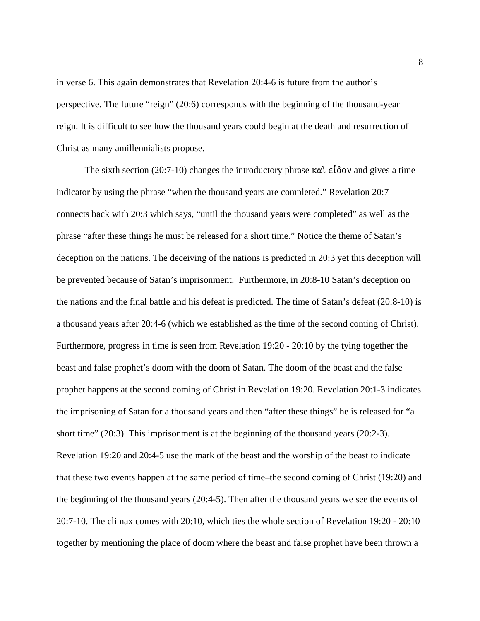in verse 6. This again demonstrates that Revelation 20:4-6 is future from the author's perspective. The future "reign" (20:6) corresponds with the beginning of the thousand-year reign. It is difficult to see how the thousand years could begin at the death and resurrection of Christ as many amillennialists propose.

The sixth section (20:7-10) changes the introductory phrase  $\kappa \alpha \hat{i} \hat{\epsilon} \delta \hat{o} \nu$  and gives a time indicator by using the phrase "when the thousand years are completed." Revelation 20:7 connects back with 20:3 which says, "until the thousand years were completed" as well as the phrase "after these things he must be released for a short time." Notice the theme of Satan's deception on the nations. The deceiving of the nations is predicted in 20:3 yet this deception will be prevented because of Satan's imprisonment. Furthermore, in 20:8-10 Satan's deception on the nations and the final battle and his defeat is predicted. The time of Satan's defeat (20:8-10) is a thousand years after 20:4-6 (which we established as the time of the second coming of Christ). Furthermore, progress in time is seen from Revelation 19:20 - 20:10 by the tying together the beast and false prophet's doom with the doom of Satan. The doom of the beast and the false prophet happens at the second coming of Christ in Revelation 19:20. Revelation 20:1-3 indicates the imprisoning of Satan for a thousand years and then "after these things" he is released for "a short time" (20:3). This imprisonment is at the beginning of the thousand years (20:2-3). Revelation 19:20 and 20:4-5 use the mark of the beast and the worship of the beast to indicate that these two events happen at the same period of time–the second coming of Christ (19:20) and the beginning of the thousand years (20:4-5). Then after the thousand years we see the events of 20:7-10. The climax comes with 20:10, which ties the whole section of Revelation 19:20 - 20:10 together by mentioning the place of doom where the beast and false prophet have been thrown a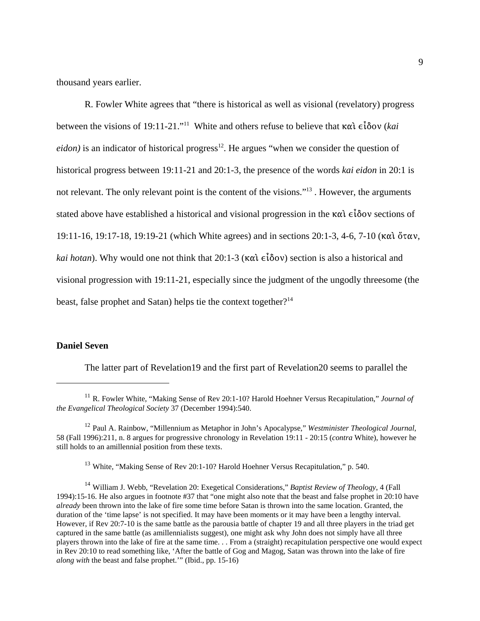thousand years earlier.

R. Fowler White agrees that "there is historical as well as visional (revelatory) progress between the visions of 19:11-21."<sup>11</sup> White and others refuse to believe that  $\kappa \alpha \hat{i} \epsilon \hat{i} \delta \sigma v$  (*kai*  $e$ *idon*) is an indicator of historical progress<sup>12</sup>. He argues "when we consider the question of historical progress between 19:11-21 and 20:1-3, the presence of the words *kai eidon* in 20:1 is not relevant. The only relevant point is the content of the visions."<sup>13</sup>. However, the arguments stated above have established a historical and visional progression in the  $\kappa \alpha \hat{i} \delta \delta \hat{o} v$  sections of 19:11-16, 19:17-18, 19:19-21 (which White agrees) and in sections 20:1-3, 4-6, 7-10 (καὶ ὅταν, *kai hotan*). Why would one not think that 20:1-3 ( $\kappa \alpha \hat{i} \epsilon \hat{j} \delta \sigma v$ ) section is also a historical and visional progression with 19:11-21, especially since the judgment of the ungodly threesome (the beast, false prophet and Satan) helps tie the context together?<sup>14</sup>

# **Daniel Seven**

The latter part of Revelation19 and the first part of Revelation20 seems to parallel the

<sup>13</sup> White, "Making Sense of Rev 20:1-10? Harold Hoehner Versus Recapitulation," p. 540.

<sup>14</sup> William J. Webb, "Revelation 20: Exegetical Considerations," *Baptist Review of Theology*, 4 (Fall 1994):15-16. He also argues in footnote #37 that "one might also note that the beast and false prophet in 20:10 have *already* been thrown into the lake of fire some time before Satan is thrown into the same location. Granted, the duration of the 'time lapse' is not specified. It may have been moments or it may have been a lengthy interval. However, if Rev 20:7-10 is the same battle as the parousia battle of chapter 19 and all three players in the triad get captured in the same battle (as amillennialists suggest), one might ask why John does not simply have all three players thrown into the lake of fire at the same time. . . From a (straight) recapitulation perspective one would expect in Rev 20:10 to read something like, 'After the battle of Gog and Magog, Satan was thrown into the lake of fire *along with* the beast and false prophet.'" (Ibid., pp. 15-16)

<sup>11</sup> R. Fowler White, "Making Sense of Rev 20:1-10? Harold Hoehner Versus Recapitulation," *Journal of the Evangelical Theological Society* 37 (December 1994):540.

<sup>12</sup> Paul A. Rainbow, "Millennium as Metaphor in John's Apocalypse," *Westminister Theological Journal*, 58 (Fall 1996):211, n. 8 argues for progressive chronology in Revelation 19:11 - 20:15 (*contra* White), however he still holds to an amillennial position from these texts.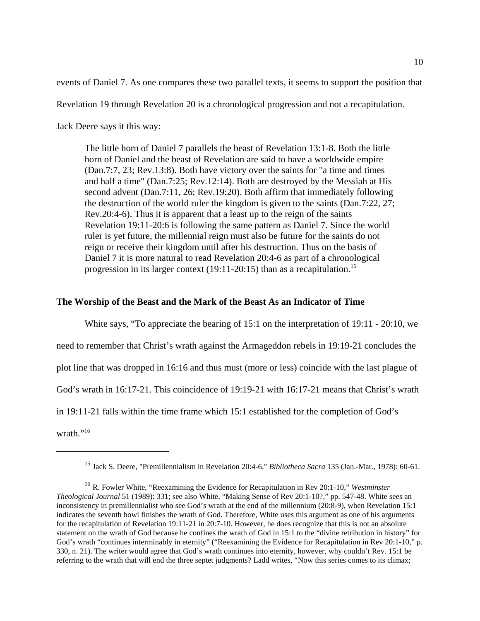events of Daniel 7. As one compares these two parallel texts, it seems to support the position that

Revelation 19 through Revelation 20 is a chronological progression and not a recapitulation.

Jack Deere says it this way:

The little horn of Daniel 7 parallels the beast of Revelation 13:1-8. Both the little horn of Daniel and the beast of Revelation are said to have a worldwide empire (Dan.7:7, 23; Rev.13:8). Both have victory over the saints for "a time and times and half a time" (Dan.7:25; Rev.12:14). Both are destroyed by the Messiah at His second advent (Dan.7:11, 26; Rev.19:20). Both affirm that immediately following the destruction of the world ruler the kingdom is given to the saints (Dan.7:22, 27; Rev.20:4-6). Thus it is apparent that a least up to the reign of the saints Revelation 19:11-20:6 is following the same pattern as Daniel 7. Since the world ruler is yet future, the millennial reign must also be future for the saints do not reign or receive their kingdom until after his destruction. Thus on the basis of Daniel 7 it is more natural to read Revelation 20:4-6 as part of a chronological progression in its larger context  $(19:11-20:15)$  than as a recapitulation.<sup>15</sup>

# **The Worship of the Beast and the Mark of the Beast As an Indicator of Time**

White says, "To appreciate the bearing of 15:1 on the interpretation of 19:11 - 20:10, we need to remember that Christ's wrath against the Armageddon rebels in 19:19-21 concludes the plot line that was dropped in 16:16 and thus must (more or less) coincide with the last plague of God's wrath in 16:17-21. This coincidence of 19:19-21 with 16:17-21 means that Christ's wrath in 19:11-21 falls within the time frame which 15:1 established for the completion of God's wrath."<sup>16</sup>

<sup>15</sup> Jack S. Deere, "Premillennialism in Revelation 20:4-6," *Bibliotheca Sacra* 135 (Jan.-Mar., 1978): 60-61.

<sup>16</sup> R. Fowler White, "Reexamining the Evidence for Recapitulation in Rev 20:1-10," *Westminster Theological Journal* 51 (1989): 331; see also White, "Making Sense of Rev 20:1-10?," pp. 547-48. White sees an inconsistency in premillennialist who see God's wrath at the end of the millennium (20:8-9), when Revelation 15:1 indicates the seventh bowl finishes the wrath of God. Therefore, White uses this argument as one of his arguments for the recapitulation of Revelation 19:11-21 in 20:7-10. However, he does recognize that this is not an absolute statement on the wrath of God because he confines the wrath of God in 15:1 to the "divine retribution in history" for God's wrath "continues interminably in eternity" ("Reexamining the Evidence for Recapitulation in Rev 20:1-10," p. 330, n. 21). The writer would agree that God's wrath continues into eternity, however, why couldn't Rev. 15:1 be referring to the wrath that will end the three septet judgments? Ladd writes, "Now this series comes to its climax;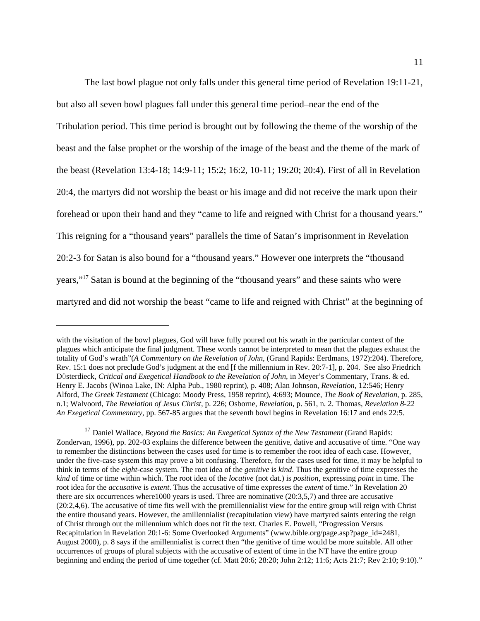The last bowl plague not only falls under this general time period of Revelation 19:11-21, but also all seven bowl plagues fall under this general time period–near the end of the Tribulation period. This time period is brought out by following the theme of the worship of the beast and the false prophet or the worship of the image of the beast and the theme of the mark of the beast (Revelation 13:4-18; 14:9-11; 15:2; 16:2, 10-11; 19:20; 20:4). First of all in Revelation 20:4, the martyrs did not worship the beast or his image and did not receive the mark upon their forehead or upon their hand and they "came to life and reigned with Christ for a thousand years." This reigning for a "thousand years" parallels the time of Satan's imprisonment in Revelation 20:2-3 for Satan is also bound for a "thousand years." However one interprets the "thousand years,"<sup>17</sup> Satan is bound at the beginning of the "thousand years" and these saints who were martyred and did not worship the beast "came to life and reigned with Christ" at the beginning of

with the visitation of the bowl plagues, God will have fully poured out his wrath in the particular context of the plagues which anticipate the final judgment. These words cannot be interpreted to mean that the plagues exhaust the totality of God's wrath"(*A Commentary on the Revelation of John*, (Grand Rapids: Eerdmans, 1972):204). Therefore, Rev. 15:1 does not preclude God's judgment at the end [f the millennium in Rev. 20:7-1], p. 204. See also Friedrich Düsterdieck, *Critical and Exegetical Handbook to the Revelation of John*, in Meyer's Commentary, Trans. & ed. Henry E. Jacobs (Winoa Lake, IN: Alpha Pub., 1980 reprint), p. 408; Alan Johnson, *Revelation,* 12:546; Henry Alford, *The Greek Testament* (Chicago: Moody Press, 1958 reprint), 4:693; Mounce, *The Book of Revelation*, p. 285, n.1; Walvoord, *The Revelation of Jesus Christ,* p. 226; Osborne, *Revelation*, p. 561, n. 2. Thomas, *Revelation 8-22 An Exegetical Commentary*, pp. 567-85 argues that the seventh bowl begins in Revelation 16:17 and ends 22:5.

<sup>&</sup>lt;sup>17</sup> Daniel Wallace, *Beyond the Basics: An Exegetical Syntax of the New Testament* (Grand Rapids: Zondervan, 1996), pp. 202-03 explains the difference between the genitive, dative and accusative of time. "One way to remember the distinctions between the cases used for time is to remember the root idea of each case. However, under the five-case system this may prove a bit confusing. Therefore, for the cases used for time, it may be helpful to think in terms of the *eight*-case system. The root idea of the *genitive* is *kind*. Thus the genitive of time expresses the *kind* of time or time within which. The root idea of the *locative* (not dat.) is *position*, expressing *point* in time. The root idea for the *accusative* is *extent*. Thus the accusative of time expresses the *extent* of time." In Revelation 20 there are six occurrences where1000 years is used. Three are nominative (20:3,5,7) and three are accusative (20:2,4,6). The accusative of time fits well with the premillennialist view for the entire group will reign with Christ the entire thousand years. However, the amillennialist (recapitulation view) have martyred saints entering the reign of Christ through out the millennium which does not fit the text. Charles E. Powell, "Progression Versus Recapitulation in Revelation 20:1-6: Some Overlooked Arguments" (www.bible.org/page.asp?page\_id=2481, August 2000), p. 8 says if the amillennialist is correct then "the genitive of time would be more suitable. All other occurrences of groups of plural subjects with the accusative of extent of time in the NT have the entire group beginning and ending the period of time together (cf. Matt 20:6; 28:20; John 2:12; 11:6; Acts 21:7; Rev 2:10; 9:10)."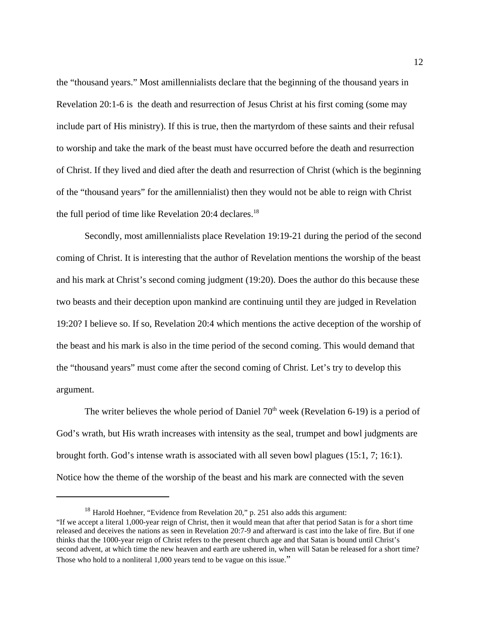the "thousand years." Most amillennialists declare that the beginning of the thousand years in Revelation 20:1-6 is the death and resurrection of Jesus Christ at his first coming (some may include part of His ministry). If this is true, then the martyrdom of these saints and their refusal to worship and take the mark of the beast must have occurred before the death and resurrection of Christ. If they lived and died after the death and resurrection of Christ (which is the beginning of the "thousand years" for the amillennialist) then they would not be able to reign with Christ the full period of time like Revelation  $20:4$  declares.<sup>18</sup>

Secondly, most amillennialists place Revelation 19:19-21 during the period of the second coming of Christ. It is interesting that the author of Revelation mentions the worship of the beast and his mark at Christ's second coming judgment (19:20). Does the author do this because these two beasts and their deception upon mankind are continuing until they are judged in Revelation 19:20? I believe so. If so, Revelation 20:4 which mentions the active deception of the worship of the beast and his mark is also in the time period of the second coming. This would demand that the "thousand years" must come after the second coming of Christ. Let's try to develop this argument.

The writer believes the whole period of Daniel  $70<sup>th</sup>$  week (Revelation 6-19) is a period of God's wrath, but His wrath increases with intensity as the seal, trumpet and bowl judgments are brought forth. God's intense wrath is associated with all seven bowl plagues (15:1, 7; 16:1). Notice how the theme of the worship of the beast and his mark are connected with the seven

 $18$  Harold Hoehner, "Evidence from Revelation 20," p. 251 also adds this argument: "If we accept a literal 1,000-year reign of Christ, then it would mean that after that period Satan is for a short time released and deceives the nations as seen in Revelation 20:7-9 and afterward is cast into the lake of fire. But if one thinks that the 1000-year reign of Christ refers to the present church age and that Satan is bound until Christ's second advent, at which time the new heaven and earth are ushered in, when will Satan be released for a short time? Those who hold to a nonliteral 1,000 years tend to be vague on this issue."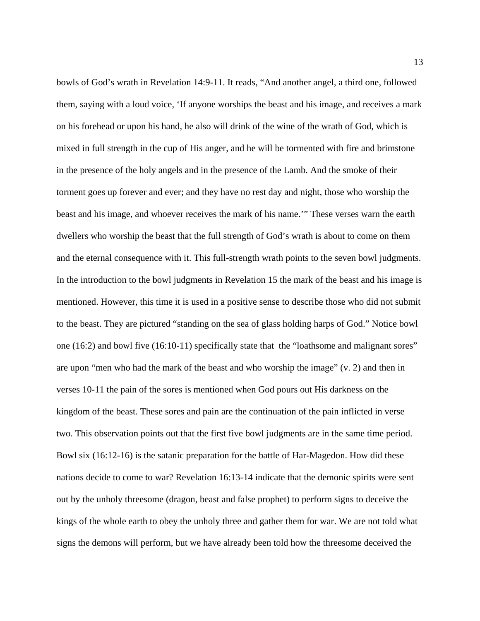bowls of God's wrath in Revelation 14:9-11. It reads, "And another angel, a third one, followed them, saying with a loud voice, 'If anyone worships the beast and his image, and receives a mark on his forehead or upon his hand, he also will drink of the wine of the wrath of God, which is mixed in full strength in the cup of His anger, and he will be tormented with fire and brimstone in the presence of the holy angels and in the presence of the Lamb. And the smoke of their torment goes up forever and ever; and they have no rest day and night, those who worship the beast and his image, and whoever receives the mark of his name.'" These verses warn the earth dwellers who worship the beast that the full strength of God's wrath is about to come on them and the eternal consequence with it. This full-strength wrath points to the seven bowl judgments. In the introduction to the bowl judgments in Revelation 15 the mark of the beast and his image is mentioned. However, this time it is used in a positive sense to describe those who did not submit to the beast. They are pictured "standing on the sea of glass holding harps of God." Notice bowl one (16:2) and bowl five (16:10-11) specifically state that the "loathsome and malignant sores" are upon "men who had the mark of the beast and who worship the image" (v. 2) and then in verses 10-11 the pain of the sores is mentioned when God pours out His darkness on the kingdom of the beast. These sores and pain are the continuation of the pain inflicted in verse two. This observation points out that the first five bowl judgments are in the same time period. Bowl six (16:12-16) is the satanic preparation for the battle of Har-Magedon. How did these nations decide to come to war? Revelation 16:13-14 indicate that the demonic spirits were sent out by the unholy threesome (dragon, beast and false prophet) to perform signs to deceive the kings of the whole earth to obey the unholy three and gather them for war. We are not told what signs the demons will perform, but we have already been told how the threesome deceived the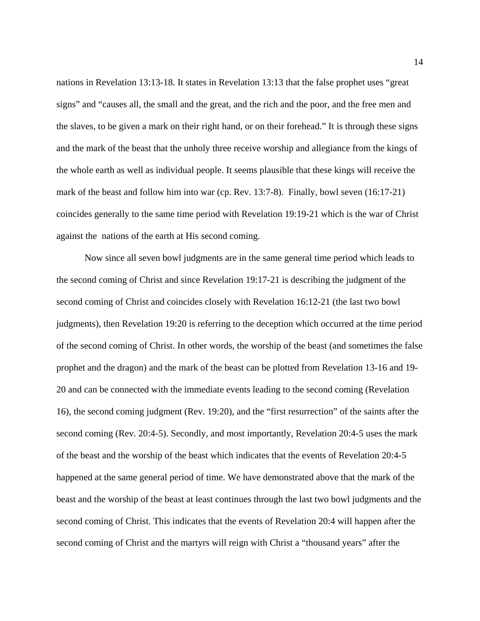nations in Revelation 13:13-18. It states in Revelation 13:13 that the false prophet uses "great signs" and "causes all, the small and the great, and the rich and the poor, and the free men and the slaves, to be given a mark on their right hand, or on their forehead." It is through these signs and the mark of the beast that the unholy three receive worship and allegiance from the kings of the whole earth as well as individual people. It seems plausible that these kings will receive the mark of the beast and follow him into war (cp. Rev. 13:7-8). Finally, bowl seven (16:17-21) coincides generally to the same time period with Revelation 19:19-21 which is the war of Christ against the nations of the earth at His second coming.

Now since all seven bowl judgments are in the same general time period which leads to the second coming of Christ and since Revelation 19:17-21 is describing the judgment of the second coming of Christ and coincides closely with Revelation 16:12-21 (the last two bowl judgments), then Revelation 19:20 is referring to the deception which occurred at the time period of the second coming of Christ. In other words, the worship of the beast (and sometimes the false prophet and the dragon) and the mark of the beast can be plotted from Revelation 13-16 and 19- 20 and can be connected with the immediate events leading to the second coming (Revelation 16), the second coming judgment (Rev. 19:20), and the "first resurrection" of the saints after the second coming (Rev. 20:4-5). Secondly, and most importantly, Revelation 20:4-5 uses the mark of the beast and the worship of the beast which indicates that the events of Revelation 20:4-5 happened at the same general period of time. We have demonstrated above that the mark of the beast and the worship of the beast at least continues through the last two bowl judgments and the second coming of Christ. This indicates that the events of Revelation 20:4 will happen after the second coming of Christ and the martyrs will reign with Christ a "thousand years" after the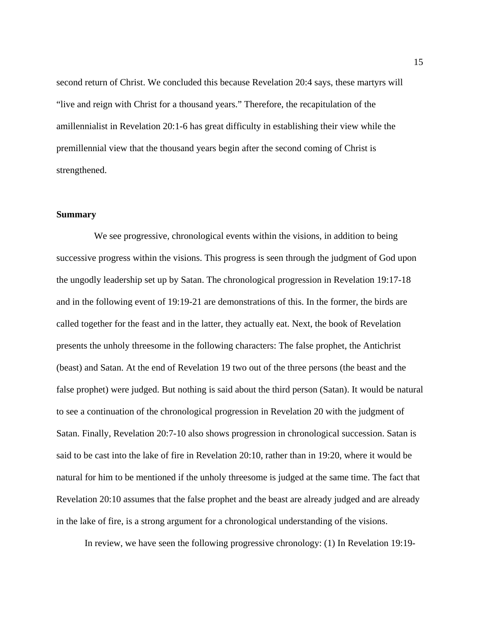second return of Christ. We concluded this because Revelation 20:4 says, these martyrs will "live and reign with Christ for a thousand years." Therefore, the recapitulation of the amillennialist in Revelation 20:1-6 has great difficulty in establishing their view while the premillennial view that the thousand years begin after the second coming of Christ is strengthened.

#### **Summary**

 We see progressive, chronological events within the visions, in addition to being successive progress within the visions. This progress is seen through the judgment of God upon the ungodly leadership set up by Satan. The chronological progression in Revelation 19:17-18 and in the following event of 19:19-21 are demonstrations of this. In the former, the birds are called together for the feast and in the latter, they actually eat. Next, the book of Revelation presents the unholy threesome in the following characters: The false prophet, the Antichrist (beast) and Satan. At the end of Revelation 19 two out of the three persons (the beast and the false prophet) were judged. But nothing is said about the third person (Satan). It would be natural to see a continuation of the chronological progression in Revelation 20 with the judgment of Satan. Finally, Revelation 20:7-10 also shows progression in chronological succession. Satan is said to be cast into the lake of fire in Revelation 20:10, rather than in 19:20, where it would be natural for him to be mentioned if the unholy threesome is judged at the same time. The fact that Revelation 20:10 assumes that the false prophet and the beast are already judged and are already in the lake of fire, is a strong argument for a chronological understanding of the visions.

In review, we have seen the following progressive chronology: (1) In Revelation 19:19-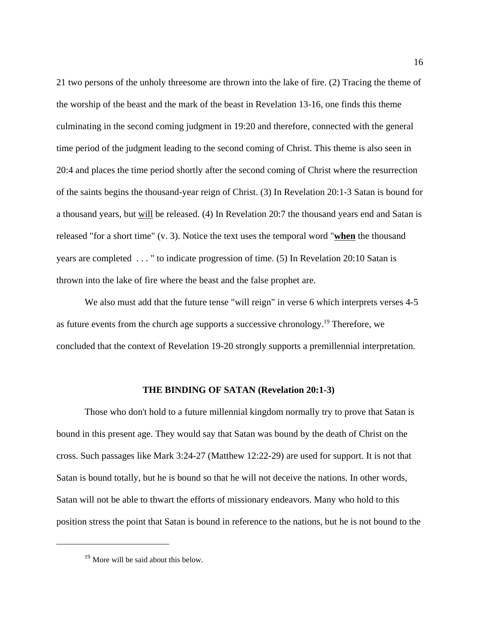21 two persons of the unholy threesome are thrown into the lake of fire. (2) Tracing the theme of the worship of the beast and the mark of the beast in Revelation 13-16, one finds this theme culminating in the second coming judgment in 19:20 and therefore, connected with the general time period of the judgment leading to the second coming of Christ. This theme is also seen in 20:4 and places the time period shortly after the second coming of Christ where the resurrection of the saints begins the thousand-year reign of Christ. (3) In Revelation 20:1-3 Satan is bound for a thousand years, but will be released. (4) In Revelation 20:7 the thousand years end and Satan is released "for a short time" (v. 3). Notice the text uses the temporal word "**when** the thousand years are completed . . . " to indicate progression of time. (5) In Revelation 20:10 Satan is thrown into the lake of fire where the beast and the false prophet are.

We also must add that the future tense "will reign" in verse 6 which interprets verses 4-5 as future events from the church age supports a successive chronology.<sup>19</sup> Therefore, we concluded that the context of Revelation 19-20 strongly supports a premillennial interpretation.

#### **THE BINDING OF SATAN (Revelation 20:1-3)**

Those who don't hold to a future millennial kingdom normally try to prove that Satan is bound in this present age. They would say that Satan was bound by the death of Christ on the cross. Such passages like Mark 3:24-27 (Matthew 12:22-29) are used for support. It is not that Satan is bound totally, but he is bound so that he will not deceive the nations. In other words, Satan will not be able to thwart the efforts of missionary endeavors. Many who hold to this position stress the point that Satan is bound in reference to the nations, but he is not bound to the

<sup>&</sup>lt;sup>19</sup> More will be said about this below.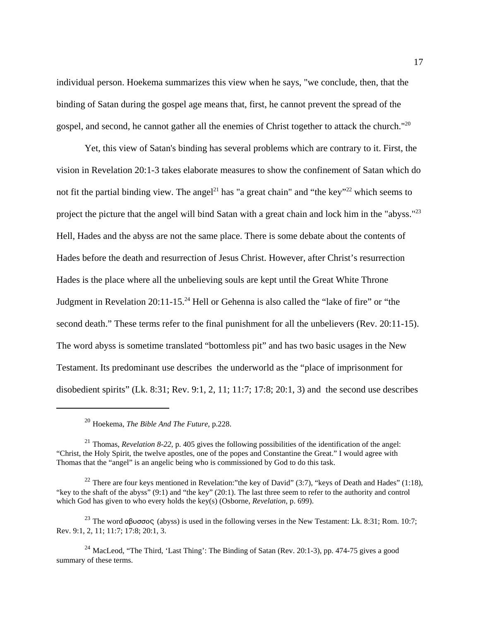individual person. Hoekema summarizes this view when he says, "we conclude, then, that the binding of Satan during the gospel age means that, first, he cannot prevent the spread of the gospel, and second, he cannot gather all the enemies of Christ together to attack the church."<sup>20</sup>

Yet, this view of Satan's binding has several problems which are contrary to it. First, the vision in Revelation 20:1-3 takes elaborate measures to show the confinement of Satan which do not fit the partial binding view. The angel<sup>21</sup> has "a great chain" and "the key"<sup>22</sup> which seems to project the picture that the angel will bind Satan with a great chain and lock him in the "abyss."<sup>23</sup> Hell, Hades and the abyss are not the same place. There is some debate about the contents of Hades before the death and resurrection of Jesus Christ. However, after Christ's resurrection Hades is the place where all the unbelieving souls are kept until the Great White Throne Judgment in Revelation 20:11-15.<sup>24</sup> Hell or Gehenna is also called the "lake of fire" or "the second death." These terms refer to the final punishment for all the unbelievers (Rev. 20:11-15). The word abyss is sometime translated "bottomless pit" and has two basic usages in the New Testament. Its predominant use describes the underworld as the "place of imprisonment for disobedient spirits" (Lk. 8:31; Rev. 9:1, 2, 11; 11:7; 17:8; 20:1, 3) and the second use describes

<sup>20</sup> Hoekema, *The Bible And The Future*, p.228.

<sup>&</sup>lt;sup>21</sup> Thomas, *Revelation 8-22*, p. 405 gives the following possibilities of the identification of the angel: "Christ, the Holy Spirit, the twelve apostles, one of the popes and Constantine the Great." I would agree with Thomas that the "angel" is an angelic being who is commissioned by God to do this task.

<sup>&</sup>lt;sup>22</sup> There are four keys mentioned in Revelation:"the key of David" (3:7), "keys of Death and Hades" (1:18), "key to the shaft of the abyss" (9:1) and "the key" (20:1). The last three seem to refer to the authority and control which God has given to who every holds the key(s) (Osborne, *Revelation*, p. 699).

<sup>&</sup>lt;sup>23</sup> The word  $\alpha\beta\upsilon\sigma\upsilon\varsigma$  (abyss) is used in the following verses in the New Testament: Lk. 8:31; Rom. 10:7; Rev. 9:1, 2, 11; 11:7; 17:8; 20:1, 3.

<sup>&</sup>lt;sup>24</sup> MacLeod, "The Third, 'Last Thing': The Binding of Satan (Rev. 20:1-3), pp. 474-75 gives a good summary of these terms.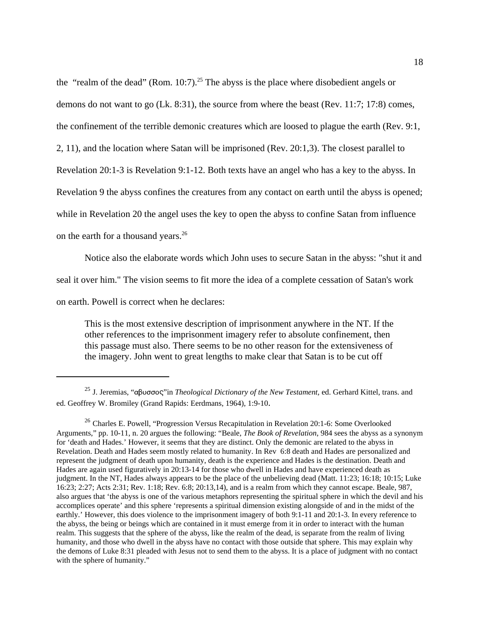the "realm of the dead" (Rom. 10:7).<sup>25</sup> The abyss is the place where disobedient angels or demons do not want to go (Lk. 8:31), the source from where the beast (Rev. 11:7; 17:8) comes, the confinement of the terrible demonic creatures which are loosed to plague the earth (Rev. 9:1, 2, 11), and the location where Satan will be imprisoned (Rev. 20:1,3). The closest parallel to Revelation 20:1-3 is Revelation 9:1-12. Both texts have an angel who has a key to the abyss. In Revelation 9 the abyss confines the creatures from any contact on earth until the abyss is opened; while in Revelation 20 the angel uses the key to open the abyss to confine Satan from influence on the earth for a thousand years.<sup>26</sup>

Notice also the elaborate words which John uses to secure Satan in the abyss: "shut it and seal it over him." The vision seems to fit more the idea of a complete cessation of Satan's work on earth. Powell is correct when he declares:

This is the most extensive description of imprisonment anywhere in the NT. If the other references to the imprisonment imagery refer to absolute confinement, then this passage must also. There seems to be no other reason for the extensiveness of the imagery. John went to great lengths to make clear that Satan is to be cut off

<sup>&</sup>lt;sup>25</sup> J. Jeremias, "αβυσσος" in *Theological Dictionary of the New Testament*, ed. Gerhard Kittel, trans. and ed. Geoffrey W. Bromiley (Grand Rapids: Eerdmans, 1964), 1:9-10.

<sup>&</sup>lt;sup>26</sup> Charles E. Powell, "Progression Versus Recapitulation in Revelation 20:1-6: Some Overlooked Arguments," pp. 10-11, n. 20 argues the following: "Beale, *The Book of Revelation*, 984 sees the abyss as a synonym for 'death and Hades.' However, it seems that they are distinct. Only the demonic are related to the abyss in Revelation. Death and Hades seem mostly related to humanity. In Rev 6:8 death and Hades are personalized and represent the judgment of death upon humanity, death is the experience and Hades is the destination. Death and Hades are again used figuratively in 20:13-14 for those who dwell in Hades and have experienced death as judgment. In the NT, Hades always appears to be the place of the unbelieving dead (Matt. 11:23; 16:18; 10:15; Luke 16:23; 2:27; Acts 2:31; Rev. 1:18; Rev. 6:8; 20:13,14), and is a realm from which they cannot escape. Beale, 987, also argues that 'the abyss is one of the various metaphors representing the spiritual sphere in which the devil and his accomplices operate' and this sphere 'represents a spiritual dimension existing alongside of and in the midst of the earthly.' However, this does violence to the imprisonment imagery of both 9:1-11 and 20:1-3. In every reference to the abyss, the being or beings which are contained in it must emerge from it in order to interact with the human realm. This suggests that the sphere of the abyss, like the realm of the dead, is separate from the realm of living humanity, and those who dwell in the abyss have no contact with those outside that sphere. This may explain why the demons of Luke 8:31 pleaded with Jesus not to send them to the abyss. It is a place of judgment with no contact with the sphere of humanity."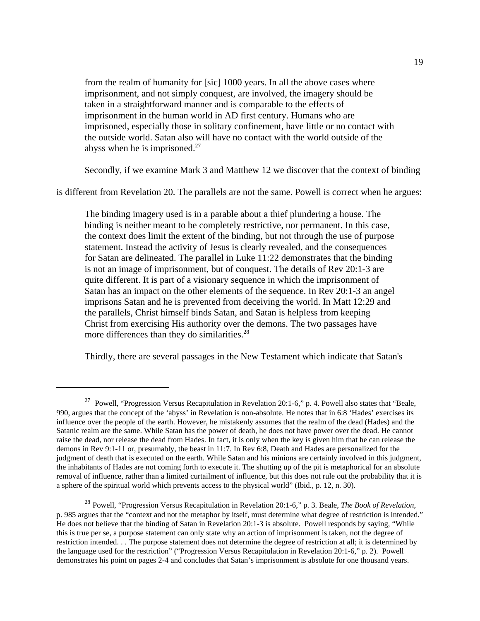from the realm of humanity for [sic] 1000 years. In all the above cases where imprisonment, and not simply conquest, are involved, the imagery should be taken in a straightforward manner and is comparable to the effects of imprisonment in the human world in AD first century. Humans who are imprisoned, especially those in solitary confinement, have little or no contact with the outside world. Satan also will have no contact with the world outside of the abyss when he is imprisoned. $27$ 

Secondly, if we examine Mark 3 and Matthew 12 we discover that the context of binding

is different from Revelation 20. The parallels are not the same. Powell is correct when he argues:

The binding imagery used is in a parable about a thief plundering a house. The binding is neither meant to be completely restrictive, nor permanent. In this case, the context does limit the extent of the binding, but not through the use of purpose statement. Instead the activity of Jesus is clearly revealed, and the consequences for Satan are delineated. The parallel in Luke 11:22 demonstrates that the binding is not an image of imprisonment, but of conquest. The details of Rev 20:1-3 are quite different. It is part of a visionary sequence in which the imprisonment of Satan has an impact on the other elements of the sequence. In Rev 20:1-3 an angel imprisons Satan and he is prevented from deceiving the world. In Matt 12:29 and the parallels, Christ himself binds Satan, and Satan is helpless from keeping Christ from exercising His authority over the demons. The two passages have more differences than they do similarities.<sup>28</sup>

Thirdly, there are several passages in the New Testament which indicate that Satan's

<sup>&</sup>lt;sup>27</sup> Powell, "Progression Versus Recapitulation in Revelation 20:1-6," p. 4. Powell also states that "Beale, 990, argues that the concept of the 'abyss' in Revelation is non-absolute. He notes that in 6:8 'Hades' exercises its influence over the people of the earth. However, he mistakenly assumes that the realm of the dead (Hades) and the Satanic realm are the same. While Satan has the power of death, he does not have power over the dead. He cannot raise the dead, nor release the dead from Hades. In fact, it is only when the key is given him that he can release the demons in Rev 9:1-11 or, presumably, the beast in 11:7. In Rev 6:8, Death and Hades are personalized for the judgment of death that is executed on the earth. While Satan and his minions are certainly involved in this judgment, the inhabitants of Hades are not coming forth to execute it. The shutting up of the pit is metaphorical for an absolute removal of influence, rather than a limited curtailment of influence, but this does not rule out the probability that it is a sphere of the spiritual world which prevents access to the physical world" (Ibid., p. 12, n. 30).

<sup>28</sup> Powell, "Progression Versus Recapitulation in Revelation 20:1-6," p. 3. Beale, *The Book of Revelation*, p. 985 argues that the "context and not the metaphor by itself, must determine what degree of restriction is intended." He does not believe that the binding of Satan in Revelation 20:1-3 is absolute. Powell responds by saying, "While this is true per se, a purpose statement can only state why an action of imprisonment is taken, not the degree of restriction intended. . . The purpose statement does not determine the degree of restriction at all; it is determined by the language used for the restriction" ("Progression Versus Recapitulation in Revelation 20:1-6," p. 2). Powell demonstrates his point on pages 2-4 and concludes that Satan's imprisonment is absolute for one thousand years.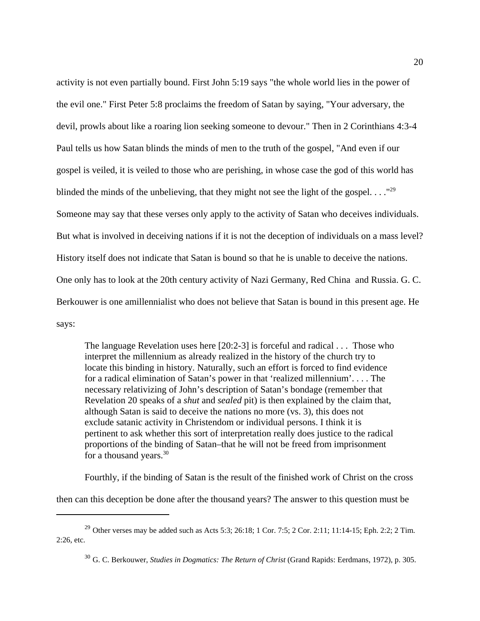activity is not even partially bound. First John 5:19 says "the whole world lies in the power of the evil one." First Peter 5:8 proclaims the freedom of Satan by saying, "Your adversary, the devil, prowls about like a roaring lion seeking someone to devour." Then in 2 Corinthians 4:3-4 Paul tells us how Satan blinds the minds of men to the truth of the gospel, "And even if our gospel is veiled, it is veiled to those who are perishing, in whose case the god of this world has blinded the minds of the unbelieving, that they might not see the light of the gospel...."<sup>29</sup> Someone may say that these verses only apply to the activity of Satan who deceives individuals. But what is involved in deceiving nations if it is not the deception of individuals on a mass level? History itself does not indicate that Satan is bound so that he is unable to deceive the nations. One only has to look at the 20th century activity of Nazi Germany, Red China and Russia. G. C. Berkouwer is one amillennialist who does not believe that Satan is bound in this present age. He says:

The language Revelation uses here [20:2-3] is forceful and radical . . . Those who interpret the millennium as already realized in the history of the church try to locate this binding in history. Naturally, such an effort is forced to find evidence for a radical elimination of Satan's power in that 'realized millennium'. . . . The necessary relativizing of John's description of Satan's bondage (remember that Revelation 20 speaks of a *shut* and *sealed* pit) is then explained by the claim that, although Satan is said to deceive the nations no more (vs. 3), this does not exclude satanic activity in Christendom or individual persons. I think it is pertinent to ask whether this sort of interpretation really does justice to the radical proportions of the binding of Satan–that he will not be freed from imprisonment for a thousand years. $30$ 

Fourthly, if the binding of Satan is the result of the finished work of Christ on the cross

then can this deception be done after the thousand years? The answer to this question must be

<sup>&</sup>lt;sup>29</sup> Other verses may be added such as Acts 5:3; 26:18; 1 Cor. 7:5; 2 Cor. 2:11; 11:14-15; Eph. 2:2; 2 Tim. 2:26, etc.

<sup>30</sup> G. C. Berkouwer, *Studies in Dogmatics: The Return of Christ* (Grand Rapids: Eerdmans, 1972), p. 305.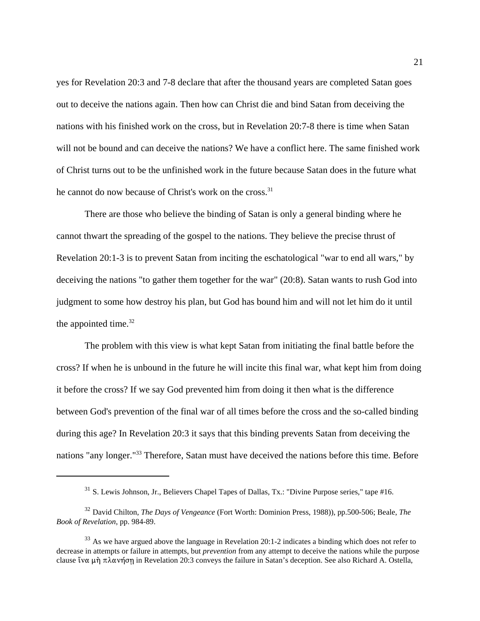yes for Revelation 20:3 and 7-8 declare that after the thousand years are completed Satan goes out to deceive the nations again. Then how can Christ die and bind Satan from deceiving the nations with his finished work on the cross, but in Revelation 20:7-8 there is time when Satan will not be bound and can deceive the nations? We have a conflict here. The same finished work of Christ turns out to be the unfinished work in the future because Satan does in the future what he cannot do now because of Christ's work on the cross.<sup>31</sup>

There are those who believe the binding of Satan is only a general binding where he cannot thwart the spreading of the gospel to the nations. They believe the precise thrust of Revelation 20:1-3 is to prevent Satan from inciting the eschatological "war to end all wars," by deceiving the nations "to gather them together for the war" (20:8). Satan wants to rush God into judgment to some how destroy his plan, but God has bound him and will not let him do it until the appointed time. $32$ 

The problem with this view is what kept Satan from initiating the final battle before the cross? If when he is unbound in the future he will incite this final war, what kept him from doing it before the cross? If we say God prevented him from doing it then what is the difference between God's prevention of the final war of all times before the cross and the so-called binding during this age? In Revelation 20:3 it says that this binding prevents Satan from deceiving the nations "any longer."33 Therefore, Satan must have deceived the nations before this time. Before

<sup>31</sup> S. Lewis Johnson, Jr., Believers Chapel Tapes of Dallas, Tx.: "Divine Purpose series," tape #16.

<sup>32</sup> David Chilton, *The Days of Vengeance* (Fort Worth: Dominion Press, 1988)), pp.500-506; Beale, *The Book of Revelation*, pp. 984-89.

 $33$  As we have argued above the language in Revelation 20:1-2 indicates a binding which does not refer to decrease in attempts or failure in attempts, but *prevention* from any attempt to deceive the nations while the purpose clause ἵνα μὴ πλανήση in Revelation 20:3 conveys the failure in Satan's deception. See also Richard A. Ostella,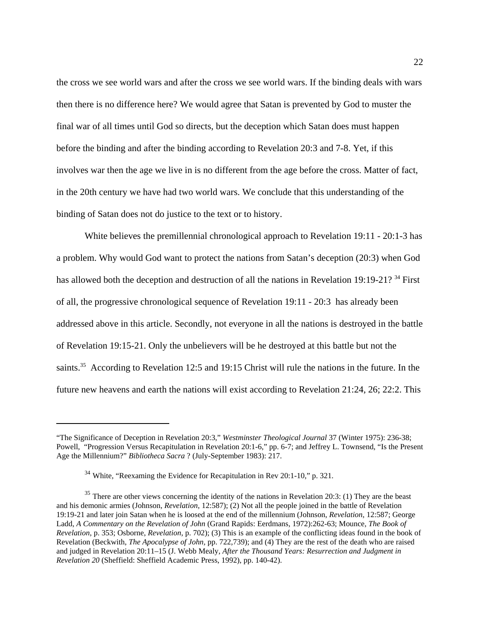the cross we see world wars and after the cross we see world wars. If the binding deals with wars then there is no difference here? We would agree that Satan is prevented by God to muster the final war of all times until God so directs, but the deception which Satan does must happen before the binding and after the binding according to Revelation 20:3 and 7-8. Yet, if this involves war then the age we live in is no different from the age before the cross. Matter of fact, in the 20th century we have had two world wars. We conclude that this understanding of the binding of Satan does not do justice to the text or to history.

White believes the premillennial chronological approach to Revelation 19:11 - 20:1-3 has a problem. Why would God want to protect the nations from Satan's deception (20:3) when God has allowed both the deception and destruction of all the nations in Revelation 19:19-21? <sup>34</sup> First of all, the progressive chronological sequence of Revelation 19:11 - 20:3 has already been addressed above in this article. Secondly, not everyone in all the nations is destroyed in the battle of Revelation 19:15-21. Only the unbelievers will be he destroyed at this battle but not the saints.<sup>35</sup> According to Revelation 12:5 and 19:15 Christ will rule the nations in the future. In the future new heavens and earth the nations will exist according to Revelation 21:24, 26; 22:2. This

<sup>&</sup>quot;The Significance of Deception in Revelation 20:3," *Westminster Theological Journal* 37 (Winter 1975): 236-38; Powell, "Progression Versus Recapitulation in Revelation 20:1-6," pp. 6-7; and Jeffrey L. Townsend, "Is the Present Age the Millennium?" *Bibliotheca Sacra* ? (July-September 1983): 217.

<sup>&</sup>lt;sup>34</sup> White, "Reexaming the Evidence for Recapitulation in Rev 20:1-10," p. 321.

 $35$  There are other views concerning the identity of the nations in Revelation 20:3: (1) They are the beast and his demonic armies (Johnson, *Revelation*, 12:587); (2) Not all the people joined in the battle of Revelation 19:19-21 and later join Satan when he is loosed at the end of the millennium (Johnson, *Revelation*, 12:587; George Ladd, *A Commentary on the Revelation of John* (Grand Rapids: Eerdmans, 1972):262-63; Mounce, *The Book of Revelation*, p. 353; Osborne, *Revelation*, p. 702); (3) This is an example of the conflicting ideas found in the book of Revelation (Beckwith, *The Apocalypse of John,* pp. 722,739); and (4) They are the rest of the death who are raised and judged in Revelation 20:11–15 (J. Webb Mealy, *After the Thousand Years: Resurrection and Judgment in Revelation 20* (Sheffield: Sheffield Academic Press, 1992), pp. 140-42).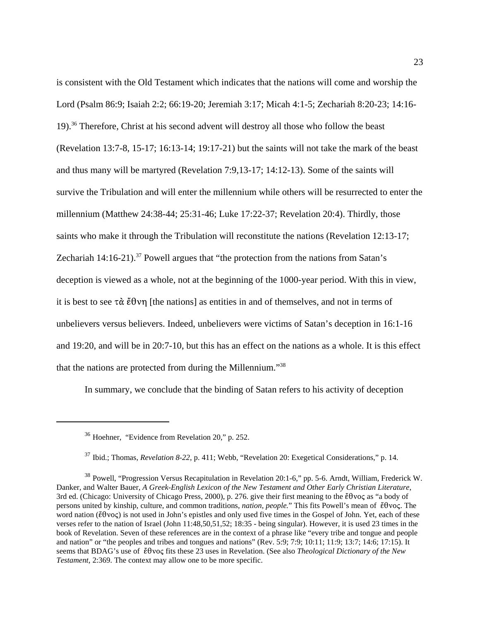is consistent with the Old Testament which indicates that the nations will come and worship the Lord (Psalm 86:9; Isaiah 2:2; 66:19-20; Jeremiah 3:17; Micah 4:1-5; Zechariah 8:20-23; 14:16- 19).<sup>36</sup> Therefore, Christ at his second advent will destroy all those who follow the beast (Revelation 13:7-8, 15-17; 16:13-14; 19:17-21) but the saints will not take the mark of the beast and thus many will be martyred (Revelation 7:9,13-17; 14:12-13). Some of the saints will survive the Tribulation and will enter the millennium while others will be resurrected to enter the millennium (Matthew 24:38-44; 25:31-46; Luke 17:22-37; Revelation 20:4). Thirdly, those saints who make it through the Tribulation will reconstitute the nations (Revelation 12:13-17; Zechariah  $14:16-21$ .<sup>37</sup> Powell argues that "the protection from the nations from Satan's deception is viewed as a whole, not at the beginning of the 1000-year period. With this in view, it is best to see  $\tau \alpha \notin \theta \nu \eta$  [the nations] as entities in and of themselves, and not in terms of unbelievers versus believers. Indeed, unbelievers were victims of Satan's deception in 16:1-16 and 19:20, and will be in 20:7-10, but this has an effect on the nations as a whole. It is this effect that the nations are protected from during the Millennium."<sup>38</sup>

In summary, we conclude that the binding of Satan refers to his activity of deception

<sup>36</sup> Hoehner, "Evidence from Revelation 20," p. 252.

<sup>37</sup> Ibid.; Thomas, *Revelation 8-22*, p. 411; Webb, "Revelation 20: Exegetical Considerations," p. 14.

<sup>38</sup> Powell, "Progression Versus Recapitulation in Revelation 20:1-6," pp. 5-6. Arndt, William, Frederick W. Danker, and Walter Bauer, *A Greek-English Lexicon of the New Testament and Other Early Christian Literature*, 3rd ed. (Chicago: University of Chicago Press, 2000), p. 276. give their first meaning to the  $\check{\epsilon} \theta$ voc as "a body of persons united by kinship, culture, and common traditions, *nation, people*." This fits Powell's mean of *ἔ*θνος. The word nation ( $\check{\epsilon} \theta$ voc) is not used in John's epistles and only used five times in the Gospel of John. Yet, each of these verses refer to the nation of Israel (John 11:48,50,51,52; 18:35 - being singular). However, it is used 23 times in the book of Revelation. Seven of these references are in the context of a phrase like "every tribe and tongue and people and nation" or "the peoples and tribes and tongues and nations" (Rev. 5:9; 7:9; 10:11; 11:9; 13:7; 14:6; 17:15). It seems that BDAG's use of  $\check{\epsilon}$ 0 to fits these 23 uses in Revelation. (See also *Theological Dictionary of the New Testament*, 2:369. The context may allow one to be more specific.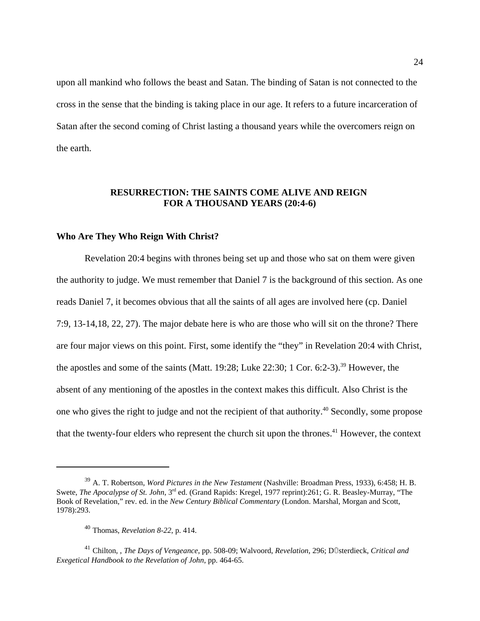upon all mankind who follows the beast and Satan. The binding of Satan is not connected to the cross in the sense that the binding is taking place in our age. It refers to a future incarceration of Satan after the second coming of Christ lasting a thousand years while the overcomers reign on the earth.

# **RESURRECTION: THE SAINTS COME ALIVE AND REIGN FOR A THOUSAND YEARS (20:4-6)**

#### **Who Are They Who Reign With Christ?**

Revelation 20:4 begins with thrones being set up and those who sat on them were given the authority to judge. We must remember that Daniel 7 is the background of this section. As one reads Daniel 7, it becomes obvious that all the saints of all ages are involved here (cp. Daniel 7:9, 13-14,18, 22, 27). The major debate here is who are those who will sit on the throne? There are four major views on this point. First, some identify the "they" in Revelation 20:4 with Christ, the apostles and some of the saints (Matt. 19:28; Luke 22:30; 1 Cor. 6:2-3).<sup>39</sup> However, the absent of any mentioning of the apostles in the context makes this difficult. Also Christ is the one who gives the right to judge and not the recipient of that authority.<sup>40</sup> Secondly, some propose that the twenty-four elders who represent the church sit upon the thrones.<sup>41</sup> However, the context

<sup>39</sup> A. T. Robertson, *Word Pictures in the New Testament* (Nashville: Broadman Press, 1933), 6:458; H. B. Swete, *The Apocalypse of St. John*, 3<sup>rd</sup> ed. (Grand Rapids: Kregel, 1977 reprint):261; G. R. Beasley-Murray, "The Book of Revelation," rev. ed. in the *New Century Biblical Commentary* (London. Marshal, Morgan and Scott, 1978):293.

<sup>40</sup> Thomas, *Revelation 8-22*, p. 414.

<sup>&</sup>lt;sup>41</sup> Chilton, *, The Days of Vengeance*, pp. 508-09; Walvoord, *Revelation*, 296; DÜsterdieck, *Critical and Exegetical Handbook to the Revelation of John*, pp. 464-65.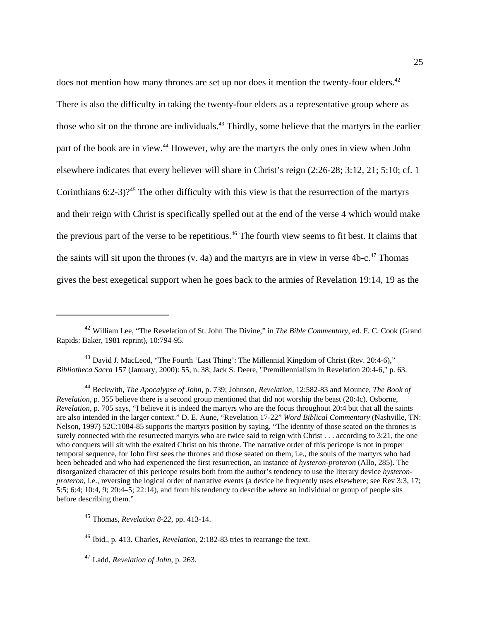does not mention how many thrones are set up nor does it mention the twenty-four elders.<sup>42</sup> There is also the difficulty in taking the twenty-four elders as a representative group where as those who sit on the throne are individuals.<sup>43</sup> Thirdly, some believe that the martyrs in the earlier part of the book are in view.<sup>44</sup> However, why are the martyrs the only ones in view when John elsewhere indicates that every believer will share in Christ's reign (2:26-28; 3:12, 21; 5:10; cf. 1 Corinthians  $6:2-3$ )?<sup>45</sup> The other difficulty with this view is that the resurrection of the martyrs and their reign with Christ is specifically spelled out at the end of the verse 4 which would make the previous part of the verse to be repetitious.<sup>46</sup> The fourth view seems to fit best. It claims that the saints will sit upon the thrones (v. 4a) and the martyrs are in view in verse  $4b-c$ <sup>47</sup> Thomas gives the best exegetical support when he goes back to the armies of Revelation 19:14, 19 as the

<sup>43</sup> David J. MacLeod, "The Fourth 'Last Thing': The Millennial Kingdom of Christ (Rev. 20:4-6)," *Bibliotheca Sacra* 157 (January, 2000): 55, n. 38; Jack S. Deere, "Premillennialism in Revelation 20:4-6," p. 63.

<sup>44</sup> Beckwith, *The Apocalypse of John*, p. 739; Johnson, *Revelation*, 12:582-83 and Mounce, *The Book of Revelation*, p. 355 believe there is a second group mentioned that did not worship the beast (20:4c). Osborne, *Revelation*, p. 705 says, "I believe it is indeed the martyrs who are the focus throughout 20:4 but that all the saints are also intended in the larger context." D. E. Aune, "Revelation 17-22" *Word Biblical Commentary* (Nashville, TN: Nelson, 1997) 52C:1084-85 supports the martyrs position by saying, "The identity of those seated on the thrones is surely connected with the resurrected martyrs who are twice said to reign with Christ . . . according to 3:21, the one who conquers will sit with the exalted Christ on his throne. The narrative order of this pericope is not in proper temporal sequence, for John first sees the thrones and those seated on them, i.e., the souls of the martyrs who had been beheaded and who had experienced the first resurrection, an instance of *hysteron-proteron* (Allo, 285). The disorganized character of this pericope results both from the author's tendency to use the literary device *hysteronproteron, i.e., reversing the logical order of narrative events (a device he frequently uses elsewhere; see Rev 3:3, 17;* 5:5; 6:4; 10:4, 9; 20:4–5; 22:14), and from his tendency to describe *where* an individual or group of people sits before describing them."

<sup>45</sup> Thomas, *Revelation 8-22*, pp. 413-14.

<sup>46</sup> Ibid., p. 413. Charles, *Revelation*, 2:182-83 tries to rearrange the text.

<sup>47</sup> Ladd, *Revelation of John*, p. 263.

<sup>42</sup> William Lee, "The Revelation of St. John The Divine," in *The Bible Commentary*, ed. F. C. Cook (Grand Rapids: Baker, 1981 reprint), 10:794-95.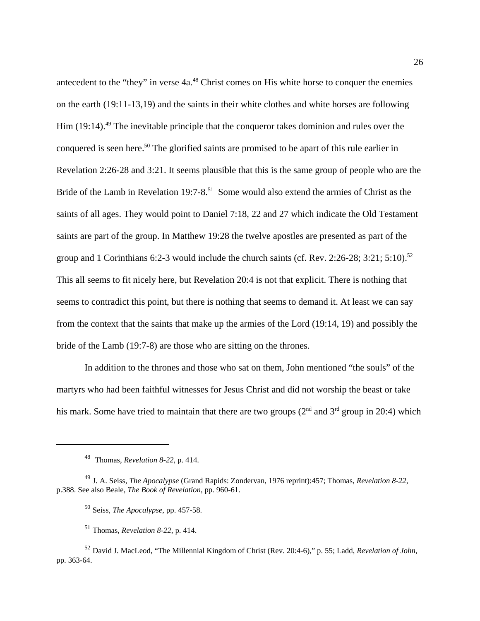antecedent to the "they" in verse 4a.<sup>48</sup> Christ comes on His white horse to conquer the enemies on the earth (19:11-13,19) and the saints in their white clothes and white horses are following Him  $(19:14)$ <sup>49</sup> The inevitable principle that the conqueror takes dominion and rules over the conquered is seen here.<sup>50</sup> The glorified saints are promised to be apart of this rule earlier in Revelation 2:26-28 and 3:21. It seems plausible that this is the same group of people who are the Bride of the Lamb in Revelation 19:7-8.<sup>51</sup> Some would also extend the armies of Christ as the saints of all ages. They would point to Daniel 7:18, 22 and 27 which indicate the Old Testament saints are part of the group. In Matthew 19:28 the twelve apostles are presented as part of the group and 1 Corinthians 6:2-3 would include the church saints (cf. Rev. 2:26-28; 3:21; 5:10).<sup>52</sup> This all seems to fit nicely here, but Revelation 20:4 is not that explicit. There is nothing that seems to contradict this point, but there is nothing that seems to demand it. At least we can say from the context that the saints that make up the armies of the Lord (19:14, 19) and possibly the bride of the Lamb (19:7-8) are those who are sitting on the thrones.

In addition to the thrones and those who sat on them, John mentioned "the souls" of the martyrs who had been faithful witnesses for Jesus Christ and did not worship the beast or take his mark. Some have tried to maintain that there are two groups  $(2^{nd}$  and  $3^{rd}$  group in 20:4) which

<sup>48</sup> Thomas, *Revelation 8-22*, p. 414.

<sup>49</sup> J. A. Seiss, *The Apocalypse* (Grand Rapids: Zondervan, 1976 reprint):457; Thomas, *Revelation 8-22*, p.388. See also Beale, *The Book of Revelation*, pp. 960-61.

<sup>50</sup> Seiss, *The Apocalypse*, pp. 457-58.

<sup>51</sup> Thomas, *Revelation 8-22*, p. 414.

<sup>52</sup> David J. MacLeod, "The Millennial Kingdom of Christ (Rev. 20:4-6)," p. 55; Ladd, *Revelation of John*, pp. 363-64.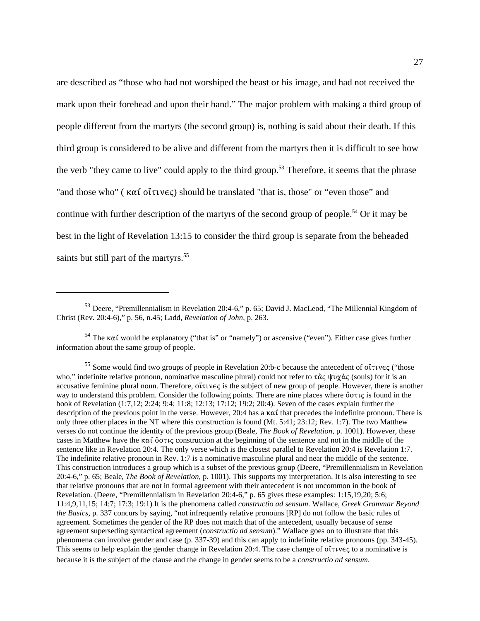are described as "those who had not worshiped the beast or his image, and had not received the mark upon their forehead and upon their hand." The major problem with making a third group of people different from the martyrs (the second group) is, nothing is said about their death. If this third group is considered to be alive and different from the martyrs then it is difficult to see how the verb "they came to live" could apply to the third group.<sup>53</sup> Therefore, it seems that the phrase "and those who" ( $\kappa \alpha i$  o' $\tau \nu \epsilon \zeta$ ) should be translated "that is, those" or "even those" and continue with further description of the martyrs of the second group of people.<sup>54</sup> Or it may be best in the light of Revelation 13:15 to consider the third group is separate from the beheaded saints but still part of the martyrs.<sup>55</sup>

 $54$  The  $\kappa \alpha$  would be explanatory ("that is" or "namely") or ascensive ("even"). Either case gives further information about the same group of people.

<sup>55</sup> Some would find two groups of people in Revelation 20:b-c because the antecedent of  $o\tilde{\tau}$ tve $\varsigma$  ("those who," indefinite relative pronoun, nominative masculine plural) could not refer to  $\tau \alpha \zeta$  when (souls) for it is an accusative feminine plural noun. Therefore,  $o\tilde{\tau}$  is the subject of new group of people. However, there is another way to understand this problem. Consider the following points. There are nine places where  $\ddot{o} \sigma \tau \zeta$  is found in the book of Revelation (1:7,12; 2:24; 9:4; 11:8; 12:13; 17:12; 19:2; 20:4). Seven of the cases explain further the description of the previous point in the verse. However, 20:4 has a  $\kappa \alpha'$  that precedes the indefinite pronoun. There is only three other places in the NT where this construction is found (Mt. 5:41; 23:12; Rev. 1:7). The two Matthew verses do not continue the identity of the previous group (Beale, *The Book of Revelation*, p. 1001). However, these cases in Matthew have the  $\kappa\alpha\zeta$  construction at the beginning of the sentence and not in the middle of the sentence like in Revelation 20:4. The only verse which is the closest parallel to Revelation 20:4 is Revelation 1:7. The indefinite relative pronoun in Rev. 1:7 is a nominative masculine plural and near the middle of the sentence. This construction introduces a group which is a subset of the previous group (Deere, "Premillennialism in Revelation 20:4-6," p. 65; Beale, *The Book of Revelation*, p. 1001). This supports my interpretation. It is also interesting to see that relative pronouns that are not in formal agreement with their antecedent is not uncommon in the book of Revelation. (Deere, "Premillennialism in Revelation 20:4-6," p. 65 gives these examples: 1:15,19,20; 5:6; 11:4,9,11,15; 14:7; 17:3; 19:1) It is the phenomena called *constructio ad sensum*. Wallace, *Greek Grammar Beyond the Basics,* p. 337 concurs by saying, "not infrequently relative pronouns [RP] do not follow the basic rules of agreement. Sometimes the gender of the RP does not match that of the antecedent, usually because of sense agreement superseding syntactical agreement (*constructio ad sensum*)." Wallace goes on to illustrate that this phenomena can involve gender and case (p. 337-39) and this can apply to indefinite relative pronouns (pp. 343-45). This seems to help explain the gender change in Revelation 20:4. The case change of  $\sigma\tilde{\tau}$  to a nominative is because it is the subject of the clause and the change in gender seems to be a *constructio ad sensum*.

<sup>53</sup> Deere, "Premillennialism in Revelation 20:4-6," p. 65; David J. MacLeod, "The Millennial Kingdom of Christ (Rev. 20:4-6)," p. 56, n.45; Ladd, *Revelation of John*, p. 263.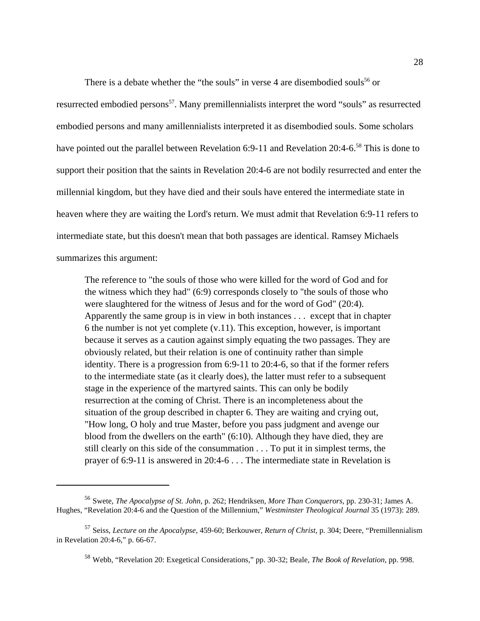There is a debate whether the "the souls" in verse 4 are disembodied souls<sup>56</sup> or

resurrected embodied persons<sup>57</sup>. Many premillennialists interpret the word "souls" as resurrected embodied persons and many amillennialists interpreted it as disembodied souls. Some scholars have pointed out the parallel between Revelation 6:9-11 and Revelation 20:4-6.<sup>58</sup> This is done to support their position that the saints in Revelation 20:4-6 are not bodily resurrected and enter the millennial kingdom, but they have died and their souls have entered the intermediate state in heaven where they are waiting the Lord's return. We must admit that Revelation 6:9-11 refers to intermediate state, but this doesn't mean that both passages are identical. Ramsey Michaels summarizes this argument:

The reference to "the souls of those who were killed for the word of God and for the witness which they had" (6:9) corresponds closely to "the souls of those who were slaughtered for the witness of Jesus and for the word of God" (20:4). Apparently the same group is in view in both instances . . . except that in chapter 6 the number is not yet complete (v.11). This exception, however, is important because it serves as a caution against simply equating the two passages. They are obviously related, but their relation is one of continuity rather than simple identity. There is a progression from 6:9-11 to 20:4-6, so that if the former refers to the intermediate state (as it clearly does), the latter must refer to a subsequent stage in the experience of the martyred saints. This can only be bodily resurrection at the coming of Christ. There is an incompleteness about the situation of the group described in chapter 6. They are waiting and crying out, "How long, O holy and true Master, before you pass judgment and avenge our blood from the dwellers on the earth" (6:10). Although they have died, they are still clearly on this side of the consummation . . . To put it in simplest terms, the prayer of 6:9-11 is answered in 20:4-6 . . . The intermediate state in Revelation is

<sup>56</sup> Swete, *The Apocalypse of St. John*, p. 262; Hendriksen, *More Than Conquerors*, pp. 230-31; James A. Hughes, "Revelation 20:4-6 and the Question of the Millennium," *Westminster Theological Journal* 35 (1973): 289.

<sup>57</sup> Seiss, *Lecture on the Apocalypse*, 459-60; Berkouwer, *Return of Christ*, p. 304; Deere, "Premillennialism in Revelation 20:4-6," p. 66-67.

<sup>58</sup> Webb, "Revelation 20: Exegetical Considerations," pp. 30-32; Beale, *The Book of Revelation*, pp. 998.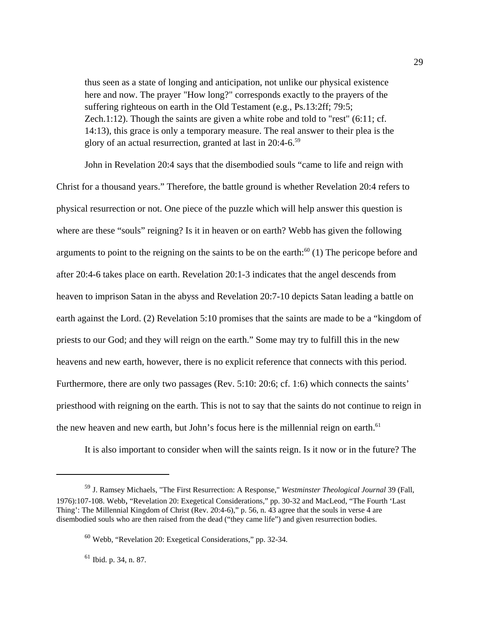thus seen as a state of longing and anticipation, not unlike our physical existence here and now. The prayer "How long?" corresponds exactly to the prayers of the suffering righteous on earth in the Old Testament (e.g., Ps.13:2ff; 79:5; Zech.1:12). Though the saints are given a white robe and told to "rest" (6:11; cf. 14:13), this grace is only a temporary measure. The real answer to their plea is the glory of an actual resurrection, granted at last in 20:4-6.<sup>59</sup>

John in Revelation 20:4 says that the disembodied souls "came to life and reign with Christ for a thousand years." Therefore, the battle ground is whether Revelation 20:4 refers to physical resurrection or not. One piece of the puzzle which will help answer this question is where are these "souls" reigning? Is it in heaven or on earth? Webb has given the following arguments to point to the reigning on the saints to be on the earth:<sup>60</sup> (1) The pericope before and after 20:4-6 takes place on earth. Revelation 20:1-3 indicates that the angel descends from heaven to imprison Satan in the abyss and Revelation 20:7-10 depicts Satan leading a battle on earth against the Lord. (2) Revelation 5:10 promises that the saints are made to be a "kingdom of priests to our God; and they will reign on the earth." Some may try to fulfill this in the new heavens and new earth, however, there is no explicit reference that connects with this period. Furthermore, there are only two passages (Rev. 5:10: 20:6; cf. 1:6) which connects the saints' priesthood with reigning on the earth. This is not to say that the saints do not continue to reign in the new heaven and new earth, but John's focus here is the millennial reign on earth.<sup>61</sup>

It is also important to consider when will the saints reign. Is it now or in the future? The

<sup>61</sup> Ibid. p. 34, n. 87.

<sup>59</sup> J. Ramsey Michaels, "The First Resurrection: A Response," *Westminster Theological Journal* 39 (Fall, 1976):107-108. Webb, "Revelation 20: Exegetical Considerations," pp. 30-32 and MacLeod, "The Fourth 'Last Thing': The Millennial Kingdom of Christ (Rev. 20:4-6)," p. 56, n. 43 agree that the souls in verse 4 are disembodied souls who are then raised from the dead ("they came life") and given resurrection bodies.

<sup>60</sup> Webb, "Revelation 20: Exegetical Considerations," pp. 32-34.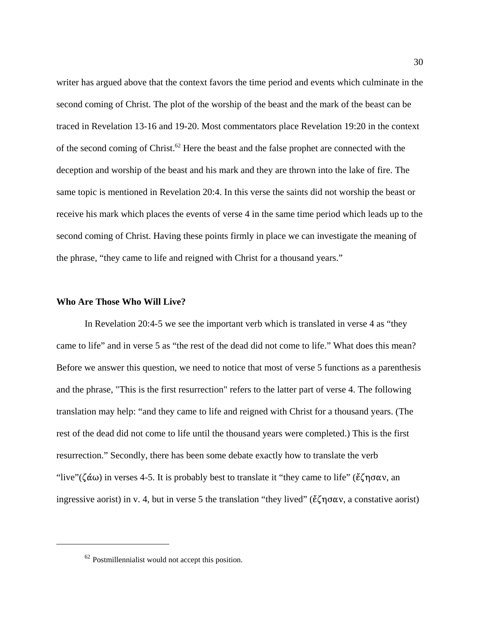writer has argued above that the context favors the time period and events which culminate in the second coming of Christ. The plot of the worship of the beast and the mark of the beast can be traced in Revelation 13-16 and 19-20. Most commentators place Revelation 19:20 in the context of the second coming of Christ.<sup>62</sup> Here the beast and the false prophet are connected with the deception and worship of the beast and his mark and they are thrown into the lake of fire. The same topic is mentioned in Revelation 20:4. In this verse the saints did not worship the beast or receive his mark which places the events of verse 4 in the same time period which leads up to the second coming of Christ. Having these points firmly in place we can investigate the meaning of the phrase, "they came to life and reigned with Christ for a thousand years."

## **Who Are Those Who Will Live?**

In Revelation 20:4-5 we see the important verb which is translated in verse 4 as "they came to life" and in verse 5 as "the rest of the dead did not come to life." What does this mean? Before we answer this question, we need to notice that most of verse 5 functions as a parenthesis and the phrase, "This is the first resurrection" refers to the latter part of verse 4. The following translation may help: "and they came to life and reigned with Christ for a thousand years. (The rest of the dead did not come to life until the thousand years were completed.) This is the first resurrection." Secondly, there has been some debate exactly how to translate the verb "live"( $\zeta \alpha \omega$ ) in verses 4-5. It is probably best to translate it "they came to life" ( $\zeta \gamma \alpha \alpha v$ , an ingressive aorist) in v. 4, but in verse 5 the translation "they lived" ( $\zeta \eta \sigma \alpha v$ , a constative aorist)

<sup>62</sup> Postmillennialist would not accept this position.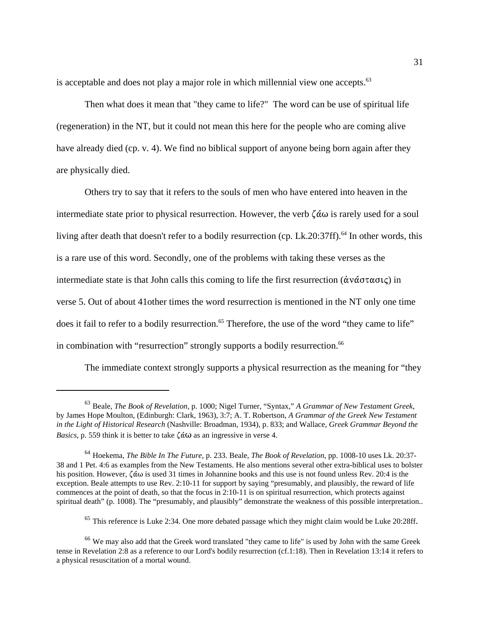is acceptable and does not play a major role in which millennial view one accepts. $63$ 

Then what does it mean that "they came to life?" The word can be use of spiritual life (regeneration) in the NT, but it could not mean this here for the people who are coming alive have already died (cp. v. 4). We find no biblical support of anyone being born again after they are physically died.

Others try to say that it refers to the souls of men who have entered into heaven in the intermediate state prior to physical resurrection. However, the verb  $\zeta \alpha \omega$  is rarely used for a soul living after death that doesn't refer to a bodily resurrection (cp. Lk.20:37ff).<sup>64</sup> In other words, this is a rare use of this word. Secondly, one of the problems with taking these verses as the intermediate state is that John calls this coming to life the first resurrection ( $\dot{\alpha} \nu \dot{\alpha} \sigma \tau \alpha \sigma \iota \zeta$ ) in verse 5. Out of about 41other times the word resurrection is mentioned in the NT only one time does it fail to refer to a bodily resurrection.<sup>65</sup> Therefore, the use of the word "they came to life" in combination with "resurrection" strongly supports a bodily resurrection.<sup>66</sup>

The immediate context strongly supports a physical resurrection as the meaning for "they

<sup>63</sup> Beale, *The Book of Revelation,* p. 1000; Nigel Turner, "Syntax," *A Grammar of New Testament Greek*, by James Hope Moulton, (Edinburgh: Clark, 1963), 3:7; A. T. Robertson, *A Grammar of the Greek New Testament in the Light of Historical Research* (Nashville: Broadman, 1934), p. 833; and Wallace, *Greek Grammar Beyond the Basics*, p. 559 think it is better to take  $\zeta \hat{\alpha} \omega$  as an ingressive in verse 4.

<sup>64</sup> Hoekema, *The Bible In The Future*, p. 233. Beale, *The Book of Revelation,* pp. 1008-10 uses Lk. 20:37- 38 and 1 Pet. 4:6 as examples from the New Testaments. He also mentions several other extra-biblical uses to bolster his position. However,  $\zeta \dot{\alpha} \omega$  is used 31 times in Johannine books and this use is not found unless Rev. 20:4 is the exception. Beale attempts to use Rev. 2:10-11 for support by saying "presumably, and plausibly, the reward of life commences at the point of death, so that the focus in 2:10-11 is on spiritual resurrection, which protects against spiritual death" (p. 1008). The "presumably, and plausibly" demonstrate the weakness of this possible interpretation..

<sup>&</sup>lt;sup>65</sup> This reference is Luke 2:34. One more debated passage which they might claim would be Luke 20:28ff.

<sup>&</sup>lt;sup>66</sup> We may also add that the Greek word translated "they came to life" is used by John with the same Greek tense in Revelation 2:8 as a reference to our Lord's bodily resurrection (cf.1:18). Then in Revelation 13:14 it refers to a physical resuscitation of a mortal wound.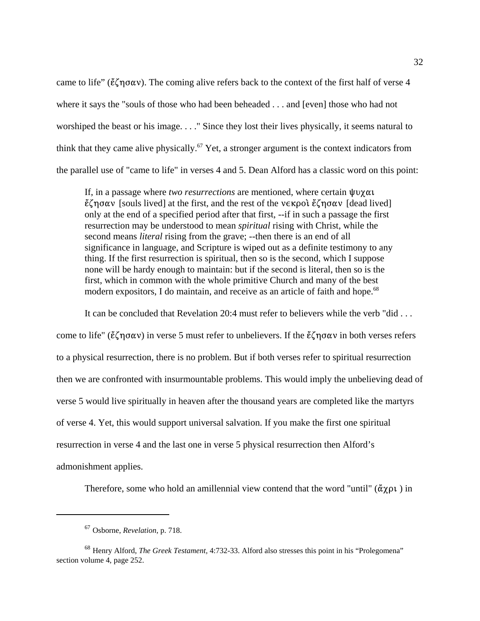came to life" ( $\zeta\zeta\eta\sigma\alpha\nu$ ). The coming alive refers back to the context of the first half of verse 4 where it says the "souls of those who had been beheaded . . . and [even] those who had not worshiped the beast or his image. . . ." Since they lost their lives physically, it seems natural to think that they came alive physically.<sup>67</sup> Yet, a stronger argument is the context indicators from the parallel use of "came to life" in verses 4 and 5. Dean Alford has a classic word on this point:

If, in a passage where *two resurrections* are mentioned, where certain  $\psi \gamma \alpha \iota$  $\mathring{\epsilon}$ ζησαν [souls lived] at the first, and the rest of the νεκρολ  $\mathring{\epsilon}$ ζησαν [dead lived] only at the end of a specified period after that first, --if in such a passage the first resurrection may be understood to mean *spiritual* rising with Christ, while the second means *literal* rising from the grave; --then there is an end of all significance in language, and Scripture is wiped out as a definite testimony to any thing. If the first resurrection is spiritual, then so is the second, which I suppose none will be hardy enough to maintain: but if the second is literal, then so is the first, which in common with the whole primitive Church and many of the best modern expositors, I do maintain, and receive as an article of faith and hope.<sup>68</sup>

It can be concluded that Revelation 20:4 must refer to believers while the verb "did . . . come to life" ( $\mathring{\epsilon}$  $\zeta$  no  $\alpha$ v) in verse 5 must refer to unbelievers. If the  $\mathring{\epsilon}$  $\zeta$  no  $\alpha$ v in both verses refers to a physical resurrection, there is no problem. But if both verses refer to spiritual resurrection then we are confronted with insurmountable problems. This would imply the unbelieving dead of verse 5 would live spiritually in heaven after the thousand years are completed like the martyrs of verse 4. Yet, this would support universal salvation. If you make the first one spiritual resurrection in verse 4 and the last one in verse 5 physical resurrection then Alford's admonishment applies.

Therefore, some who hold an amillennial view contend that the word "until" ( $\ddot{\alpha} \gamma \rho \nu$ ) in

<sup>67</sup> Osborne, *Revelation*, p. 718.

<sup>68</sup> Henry Alford, *The Greek Testament,* 4:732-33. Alford also stresses this point in his "Prolegomena" section volume 4, page 252.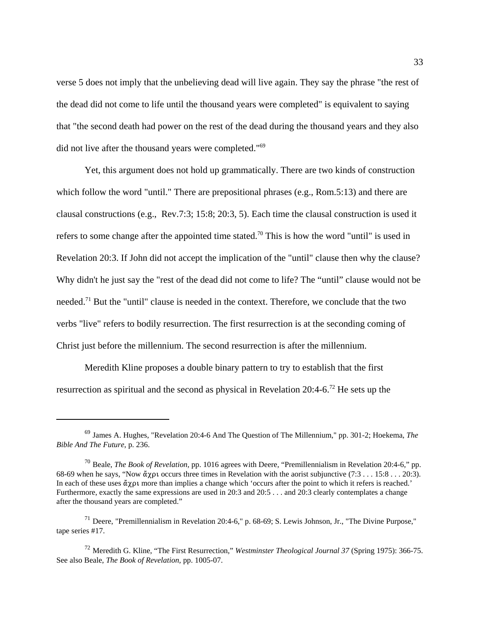verse 5 does not imply that the unbelieving dead will live again. They say the phrase "the rest of the dead did not come to life until the thousand years were completed" is equivalent to saying that "the second death had power on the rest of the dead during the thousand years and they also did not live after the thousand years were completed."<sup>69</sup>

Yet, this argument does not hold up grammatically. There are two kinds of construction which follow the word "until." There are prepositional phrases (e.g., Rom.5:13) and there are clausal constructions (e.g., Rev.7:3; 15:8; 20:3, 5). Each time the clausal construction is used it refers to some change after the appointed time stated.<sup>70</sup> This is how the word "until" is used in Revelation 20:3. If John did not accept the implication of the "until" clause then why the clause? Why didn't he just say the "rest of the dead did not come to life? The "until" clause would not be needed.<sup>71</sup> But the "until" clause is needed in the context. Therefore, we conclude that the two verbs "live" refers to bodily resurrection. The first resurrection is at the seconding coming of Christ just before the millennium. The second resurrection is after the millennium.

Meredith Kline proposes a double binary pattern to try to establish that the first resurrection as spiritual and the second as physical in Revelation 20:4-6.72 He sets up the

<sup>69</sup> James A. Hughes, "Revelation 20:4-6 And The Question of The Millennium," pp. 301-2; Hoekema, *The Bible And The Future*, p. 236.

<sup>70</sup> Beale, *The Book of Revelation,* pp. 1016 agrees with Deere, "Premillennialism in Revelation 20:4-6," pp. 68-69 when he says, "Now  $\alpha y$  occurs three times in Revelation with the aorist subjunctive (7:3 . . . 15:8 . . . 20:3). In each of these uses  $\alpha \gamma \rho \nu$  more than implies a change which 'occurs after the point to which it refers is reached.' Furthermore, exactly the same expressions are used in 20:3 and 20:5 . . . and 20:3 clearly contemplates a change after the thousand years are completed."

 $^{71}$  Deere, "Premillennialism in Revelation 20:4-6," p. 68-69; S. Lewis Johnson, Jr., "The Divine Purpose," tape series #17.

<sup>72</sup> Meredith G. Kline, "The First Resurrection," *Westminster Theological Journal 37* (Spring 1975): 366-75. See also Beale, *The Book of Revelation,* pp. 1005-07.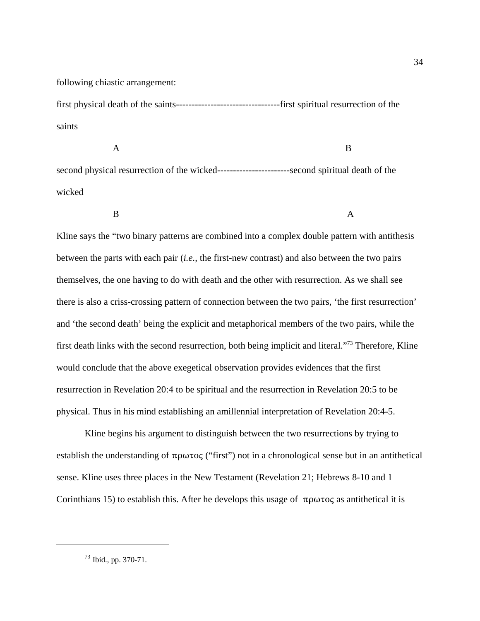following chiastic arrangement:

first physical death of the saints---------------------------------first spiritual resurrection of the saints

 A B second physical resurrection of the wicked-----------------------second spiritual death of the wicked

B A

Kline says the "two binary patterns are combined into a complex double pattern with antithesis between the parts with each pair (*i.e.*, the first-new contrast) and also between the two pairs themselves, the one having to do with death and the other with resurrection. As we shall see there is also a criss-crossing pattern of connection between the two pairs, 'the first resurrection' and 'the second death' being the explicit and metaphorical members of the two pairs, while the first death links with the second resurrection, both being implicit and literal."<sup>73</sup> Therefore, Kline would conclude that the above exegetical observation provides evidences that the first resurrection in Revelation 20:4 to be spiritual and the resurrection in Revelation 20:5 to be physical. Thus in his mind establishing an amillennial interpretation of Revelation 20:4-5.

Kline begins his argument to distinguish between the two resurrections by trying to establish the understanding of  $\pi \rho \omega \tau o \varsigma$  ("first") not in a chronological sense but in an antithetical sense. Kline uses three places in the New Testament (Revelation 21; Hebrews 8-10 and 1 Corinthians 15) to establish this. After he develops this usage of  $\pi \rho \omega \tau o \varsigma$  as antithetical it is

<sup>73</sup> Ibid., pp. 370-71.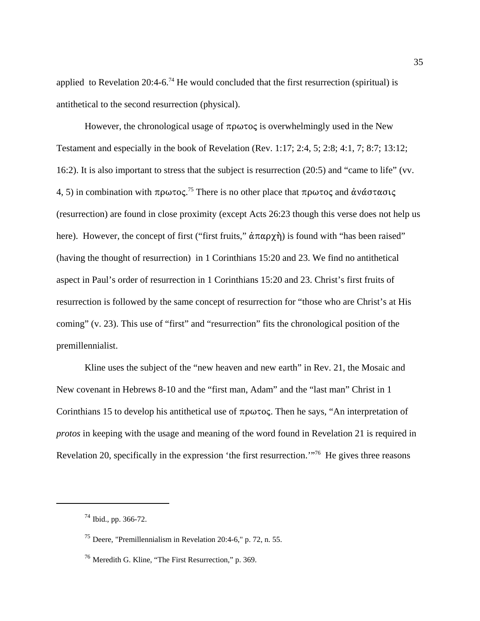applied to Revelation 20:4-6.<sup>74</sup> He would concluded that the first resurrection (spiritual) is antithetical to the second resurrection (physical).

However, the chronological usage of  $\pi \rho \omega \tau \circ \varsigma$  is overwhelmingly used in the New Testament and especially in the book of Revelation (Rev. 1:17; 2:4, 5; 2:8; 4:1, 7; 8:7; 13:12; 16:2). It is also important to stress that the subject is resurrection (20:5) and "came to life" (vv. 4, 5) in combination with πρωτος.<sup>75</sup> There is no other place that πρωτος and ανάστασις (resurrection) are found in close proximity (except Acts 26:23 though this verse does not help us here). However, the concept of first ("first fruits,"  $\alpha \pi \alpha \rho \chi \eta$ ) is found with "has been raised" (having the thought of resurrection) in 1 Corinthians 15:20 and 23. We find no antithetical aspect in Paul's order of resurrection in 1 Corinthians 15:20 and 23. Christ's first fruits of resurrection is followed by the same concept of resurrection for "those who are Christ's at His coming" (v. 23). This use of "first" and "resurrection" fits the chronological position of the premillennialist.

Kline uses the subject of the "new heaven and new earth" in Rev. 21, the Mosaic and New covenant in Hebrews 8-10 and the "first man, Adam" and the "last man" Christ in 1 Corinthians 15 to develop his antithetical use of  $\pi \rho \omega \tau o \varsigma$ . Then he says, "An interpretation of *protos* in keeping with the usage and meaning of the word found in Revelation 21 is required in Revelation 20, specifically in the expression 'the first resurrection.'"76 He gives three reasons

<sup>74</sup> Ibid., pp. 366-72.

<sup>75</sup> Deere, "Premillennialism in Revelation 20:4-6," p. 72, n. 55.

<sup>76</sup> Meredith G. Kline, "The First Resurrection," p. 369.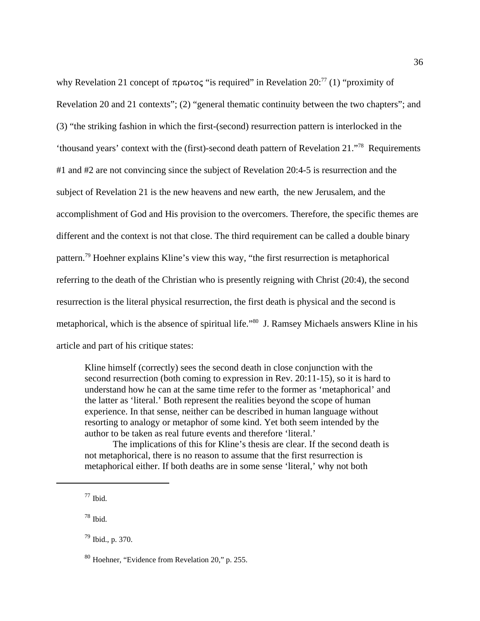why Revelation 21 concept of  $\pi \rho \omega \tau \sigma \zeta$  "is required" in Revelation 20:<sup>77</sup> (1) "proximity of Revelation 20 and 21 contexts"; (2) "general thematic continuity between the two chapters"; and (3) "the striking fashion in which the first-(second) resurrection pattern is interlocked in the 'thousand years' context with the (first)-second death pattern of Revelation 21."<sup>78</sup> Requirements #1 and #2 are not convincing since the subject of Revelation 20:4-5 is resurrection and the subject of Revelation 21 is the new heavens and new earth, the new Jerusalem, and the accomplishment of God and His provision to the overcomers. Therefore, the specific themes are different and the context is not that close. The third requirement can be called a double binary pattern.<sup>79</sup> Hoehner explains Kline's view this way, "the first resurrection is metaphorical referring to the death of the Christian who is presently reigning with Christ (20:4), the second resurrection is the literal physical resurrection, the first death is physical and the second is metaphorical, which is the absence of spiritual life."<sup>80</sup> J. Ramsey Michaels answers Kline in his article and part of his critique states:

Kline himself (correctly) sees the second death in close conjunction with the second resurrection (both coming to expression in Rev. 20:11-15), so it is hard to understand how he can at the same time refer to the former as 'metaphorical' and the latter as 'literal.' Both represent the realities beyond the scope of human experience. In that sense, neither can be described in human language without resorting to analogy or metaphor of some kind. Yet both seem intended by the author to be taken as real future events and therefore 'literal.'

The implications of this for Kline's thesis are clear. If the second death is not metaphorical, there is no reason to assume that the first resurrection is metaphorical either. If both deaths are in some sense 'literal,' why not both

 $77$  Ibid.

 $78$  Ibid.

 $79$  Ibid., p. 370.

<sup>80</sup> Hoehner, "Evidence from Revelation 20," p. 255.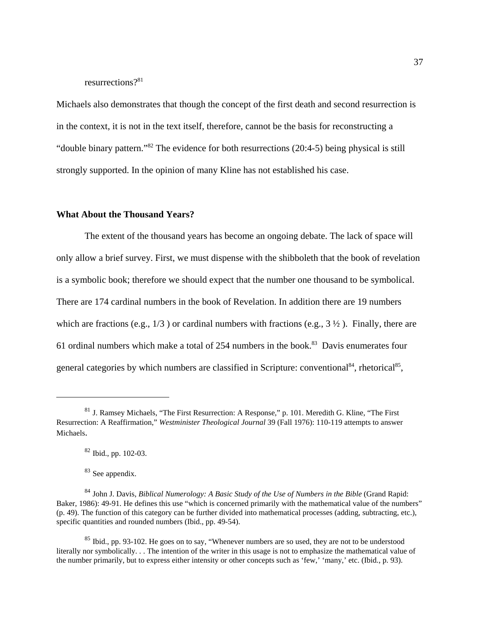resurrections?<sup>81</sup>

Michaels also demonstrates that though the concept of the first death and second resurrection is in the context, it is not in the text itself, therefore, cannot be the basis for reconstructing a "double binary pattern."<sup>82</sup> The evidence for both resurrections (20:4-5) being physical is still strongly supported. In the opinion of many Kline has not established his case.

#### **What About the Thousand Years?**

The extent of the thousand years has become an ongoing debate. The lack of space will only allow a brief survey. First, we must dispense with the shibboleth that the book of revelation is a symbolic book; therefore we should expect that the number one thousand to be symbolical. There are 174 cardinal numbers in the book of Revelation. In addition there are 19 numbers which are fractions (e.g.,  $1/3$ ) or cardinal numbers with fractions (e.g.,  $3\frac{1}{2}$ ). Finally, there are 61 ordinal numbers which make a total of 254 numbers in the book.<sup>83</sup> Davis enumerates four general categories by which numbers are classified in Scripture: conventional<sup>84</sup>, rhetorical<sup>85</sup>,

 $81$  J. Ramsey Michaels, "The First Resurrection: A Response," p. 101. Meredith G. Kline, "The First Resurrection: A Reaffirmation," *Westminister Theological Journal* 39 (Fall 1976): 110-119 attempts to answer Michaels.

<sup>82</sup> Ibid., pp. 102-03.

<sup>&</sup>lt;sup>83</sup> See appendix.

<sup>84</sup> John J. Davis, *Biblical Numerology: A Basic Study of the Use of Numbers in the Bible* (Grand Rapid: Baker, 1986): 49-91. He defines this use "which is concerned primarily with the mathematical value of the numbers" (p. 49). The function of this category can be further divided into mathematical processes (adding, subtracting, etc.), specific quantities and rounded numbers (Ibid., pp. 49-54).

 $85$  Ibid., pp. 93-102. He goes on to say, "Whenever numbers are so used, they are not to be understood literally nor symbolically. . . The intention of the writer in this usage is not to emphasize the mathematical value of the number primarily, but to express either intensity or other concepts such as 'few,' 'many,' etc. (Ibid., p. 93).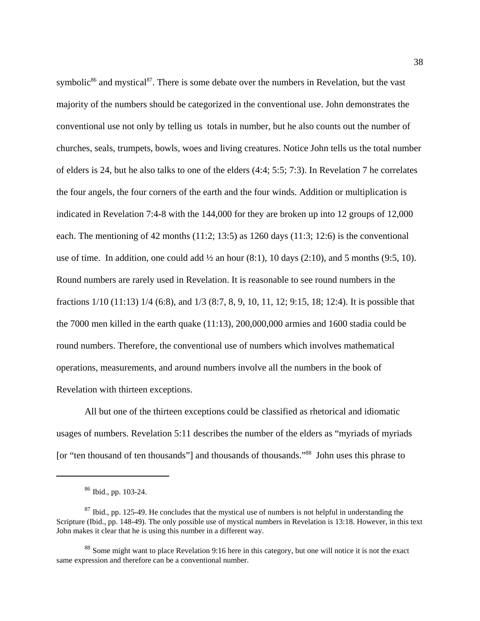symbolic<sup>86</sup> and mystical<sup>87</sup>. There is some debate over the numbers in Revelation, but the vast majority of the numbers should be categorized in the conventional use. John demonstrates the conventional use not only by telling us totals in number, but he also counts out the number of churches, seals, trumpets, bowls, woes and living creatures. Notice John tells us the total number of elders is 24, but he also talks to one of the elders (4:4; 5:5; 7:3). In Revelation 7 he correlates the four angels, the four corners of the earth and the four winds. Addition or multiplication is indicated in Revelation 7:4-8 with the 144,000 for they are broken up into 12 groups of 12,000 each. The mentioning of 42 months  $(11:2; 13:5)$  as 1260 days  $(11:3; 12:6)$  is the conventional use of time. In addition, one could add  $\frac{1}{2}$  an hour (8:1), 10 days (2:10), and 5 months (9:5, 10). Round numbers are rarely used in Revelation. It is reasonable to see round numbers in the fractions 1/10 (11:13) 1/4 (6:8), and 1/3 (8:7, 8, 9, 10, 11, 12; 9:15, 18; 12:4). It is possible that the 7000 men killed in the earth quake (11:13), 200,000,000 armies and 1600 stadia could be round numbers. Therefore, the conventional use of numbers which involves mathematical operations, measurements, and around numbers involve all the numbers in the book of Revelation with thirteen exceptions.

All but one of the thirteen exceptions could be classified as rhetorical and idiomatic usages of numbers. Revelation 5:11 describes the number of the elders as "myriads of myriads [or "ten thousand of ten thousands"] and thousands of thousands."<sup>88</sup> John uses this phrase to

<sup>86</sup> Ibid., pp. 103-24.

 $87$  Ibid., pp. 125-49. He concludes that the mystical use of numbers is not helpful in understanding the Scripture (Ibid., pp. 148-49). The only possible use of mystical numbers in Revelation is 13:18. However, in this text John makes it clear that he is using this number in a different way.

<sup>&</sup>lt;sup>88</sup> Some might want to place Revelation 9:16 here in this category, but one will notice it is not the exact same expression and therefore can be a conventional number.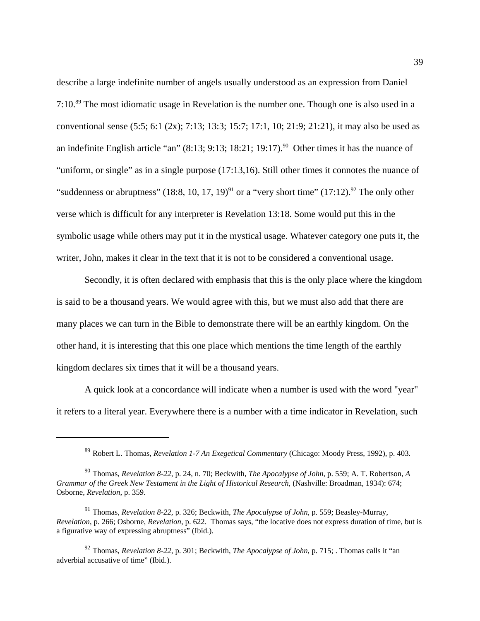describe a large indefinite number of angels usually understood as an expression from Daniel 7:10.<sup>89</sup> The most idiomatic usage in Revelation is the number one. Though one is also used in a conventional sense (5:5; 6:1 (2x); 7:13; 13:3; 15:7; 17:1, 10; 21:9; 21:21), it may also be used as an indefinite English article "an"  $(8:13; 9:13; 18:21; 19:17)$ . <sup>90</sup> Other times it has the nuance of "uniform, or single" as in a single purpose (17:13,16). Still other times it connotes the nuance of "suddenness or abruptness" (18:8, 10, 17, 19)<sup>91</sup> or a "very short time" (17:12).<sup>92</sup> The only other verse which is difficult for any interpreter is Revelation 13:18. Some would put this in the symbolic usage while others may put it in the mystical usage. Whatever category one puts it, the writer, John, makes it clear in the text that it is not to be considered a conventional usage.

Secondly, it is often declared with emphasis that this is the only place where the kingdom is said to be a thousand years. We would agree with this, but we must also add that there are many places we can turn in the Bible to demonstrate there will be an earthly kingdom. On the other hand, it is interesting that this one place which mentions the time length of the earthly kingdom declares six times that it will be a thousand years.

A quick look at a concordance will indicate when a number is used with the word "year" it refers to a literal year. Everywhere there is a number with a time indicator in Revelation, such

<sup>89</sup> Robert L. Thomas, *Revelation 1-7 An Exegetical Commentary* (Chicago: Moody Press, 1992), p. 403.

<sup>90</sup> Thomas, *Revelation 8-22*, p. 24, n. 70; Beckwith, *The Apocalypse of John*, p. 559; A. T. Robertson, *A Grammar of the Greek New Testament in the Light of Historical Research*, (Nashville: Broadman, 1934): 674; Osborne, *Revelation*, p. 359.

<sup>91</sup> Thomas, *Revelation 8-22*, p. 326; Beckwith, *The Apocalypse of John*, p. 559; Beasley-Murray, *Revelation*, p. 266; Osborne, *Revelation*, p. 622. Thomas says, "the locative does not express duration of time, but is a figurative way of expressing abruptness" (Ibid.).

<sup>92</sup> Thomas, *Revelation 8-22*, p. 301; Beckwith, *The Apocalypse of John*, p. 715; . Thomas calls it "an adverbial accusative of time" (Ibid.).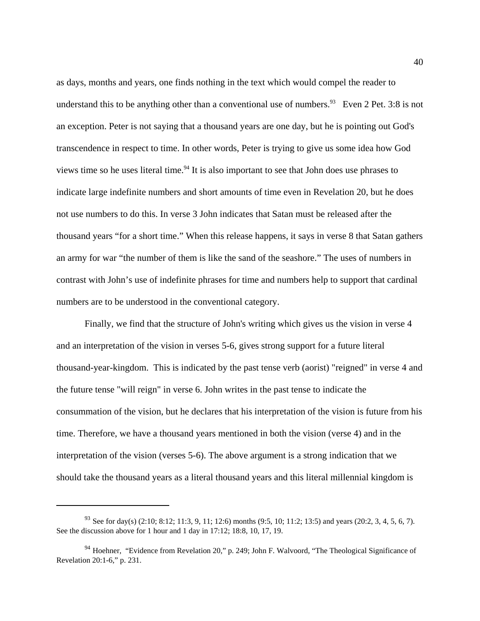as days, months and years, one finds nothing in the text which would compel the reader to understand this to be anything other than a conventional use of numbers.<sup>93</sup> Even 2 Pet. 3:8 is not an exception. Peter is not saying that a thousand years are one day, but he is pointing out God's transcendence in respect to time. In other words, Peter is trying to give us some idea how God views time so he uses literal time.<sup>94</sup> It is also important to see that John does use phrases to indicate large indefinite numbers and short amounts of time even in Revelation 20, but he does not use numbers to do this. In verse 3 John indicates that Satan must be released after the thousand years "for a short time." When this release happens, it says in verse 8 that Satan gathers an army for war "the number of them is like the sand of the seashore." The uses of numbers in contrast with John's use of indefinite phrases for time and numbers help to support that cardinal numbers are to be understood in the conventional category.

Finally, we find that the structure of John's writing which gives us the vision in verse 4 and an interpretation of the vision in verses 5-6, gives strong support for a future literal thousand-year-kingdom. This is indicated by the past tense verb (aorist) "reigned" in verse 4 and the future tense "will reign" in verse 6. John writes in the past tense to indicate the consummation of the vision, but he declares that his interpretation of the vision is future from his time. Therefore, we have a thousand years mentioned in both the vision (verse 4) and in the interpretation of the vision (verses 5-6). The above argument is a strong indication that we should take the thousand years as a literal thousand years and this literal millennial kingdom is

<sup>&</sup>lt;sup>93</sup> See for day(s) (2:10; 8:12; 11:3, 9, 11; 12:6) months (9:5, 10; 11:2; 13:5) and years (20:2, 3, 4, 5, 6, 7). See the discussion above for 1 hour and 1 day in 17:12; 18:8, 10, 17, 19.

 $94$  Hoehner, "Evidence from Revelation 20," p. 249; John F. Walvoord, "The Theological Significance of Revelation 20:1-6," p. 231.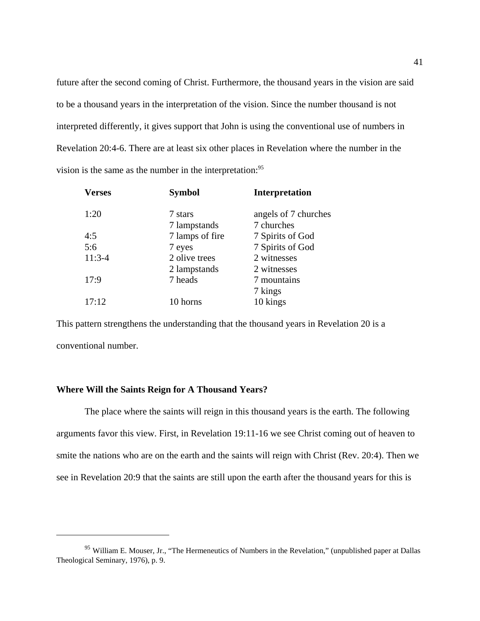future after the second coming of Christ. Furthermore, the thousand years in the vision are said to be a thousand years in the interpretation of the vision. Since the number thousand is not interpreted differently, it gives support that John is using the conventional use of numbers in Revelation 20:4-6. There are at least six other places in Revelation where the number in the vision is the same as the number in the interpretation:<sup>95</sup>

| <b>Symbol</b>   | <b>Interpretation</b> |
|-----------------|-----------------------|
| 7 stars         | angels of 7 churches  |
| 7 lampstands    | 7 churches            |
| 7 lamps of fire | 7 Spirits of God      |
| 7 eyes          | 7 Spirits of God      |
| 2 olive trees   | 2 witnesses           |
| 2 lampstands    | 2 witnesses           |
| 7 heads         | 7 mountains           |
|                 | 7 kings               |
| 10 horns        | 10 kings              |
|                 |                       |

This pattern strengthens the understanding that the thousand years in Revelation 20 is a conventional number.

## **Where Will the Saints Reign for A Thousand Years?**

The place where the saints will reign in this thousand years is the earth. The following arguments favor this view. First, in Revelation 19:11-16 we see Christ coming out of heaven to smite the nations who are on the earth and the saints will reign with Christ (Rev. 20:4). Then we see in Revelation 20:9 that the saints are still upon the earth after the thousand years for this is

<sup>&</sup>lt;sup>95</sup> William E. Mouser, Jr., "The Hermeneutics of Numbers in the Revelation," (unpublished paper at Dallas Theological Seminary, 1976), p. 9.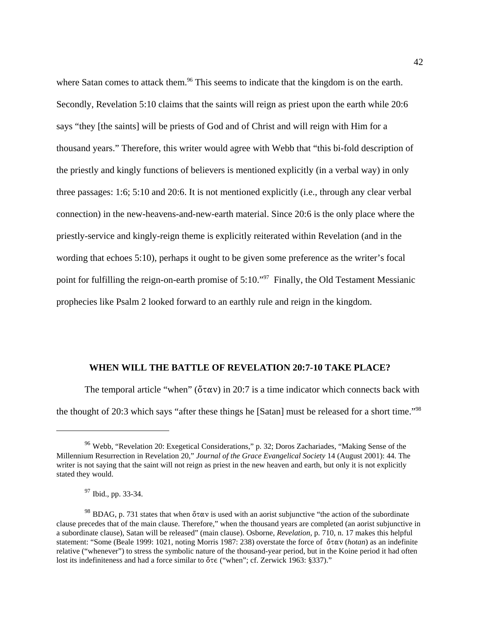where Satan comes to attack them.<sup>96</sup> This seems to indicate that the kingdom is on the earth. Secondly, Revelation 5:10 claims that the saints will reign as priest upon the earth while 20:6 says "they [the saints] will be priests of God and of Christ and will reign with Him for a thousand years." Therefore, this writer would agree with Webb that "this bi-fold description of the priestly and kingly functions of believers is mentioned explicitly (in a verbal way) in only three passages: 1:6; 5:10 and 20:6. It is not mentioned explicitly (i.e., through any clear verbal connection) in the new-heavens-and-new-earth material. Since 20:6 is the only place where the priestly-service and kingly-reign theme is explicitly reiterated within Revelation (and in the wording that echoes 5:10), perhaps it ought to be given some preference as the writer's focal point for fulfilling the reign-on-earth promise of 5:10."<sup>97</sup> Finally, the Old Testament Messianic prophecies like Psalm 2 looked forward to an earthly rule and reign in the kingdom.

## **WHEN WILL THE BATTLE OF REVELATION 20:7-10 TAKE PLACE?**

The temporal article "when" ( $\delta \tau \alpha v$ ) in 20:7 is a time indicator which connects back with the thought of 20:3 which says "after these things he [Satan] must be released for a short time."98

<sup>&</sup>lt;sup>96</sup> Webb, "Revelation 20: Exegetical Considerations," p. 32; Doros Zachariades, "Making Sense of the Millennium Resurrection in Revelation 20," *Journal of the Grace Evangelical Society* 14 (August 2001): 44. The writer is not saying that the saint will not reign as priest in the new heaven and earth, but only it is not explicitly stated they would.

<sup>97</sup> Ibid., pp. 33-34.

<sup>&</sup>lt;sup>98</sup> BDAG, p. 731 states that when  $\sigma \tau \alpha v$  is used with an aorist subjunctive "the action of the subordinate" clause precedes that of the main clause. Therefore," when the thousand years are completed (an aorist subjunctive in a subordinate clause), Satan will be released" (main clause). Osborne, *Revelation*, p. 710, n. 17 makes this helpful statement: "Some (Beale 1999: 1021, noting Morris 1987: 238) overstate the force of  $\ddot{o} \tau \alpha v$  (*hotan*) as an indefinite relative ("whenever") to stress the symbolic nature of the thousand-year period, but in the Koine period it had often lost its indefiniteness and had a force similar to  $\delta \tau \in$  ("when"; cf. Zerwick 1963: §337)."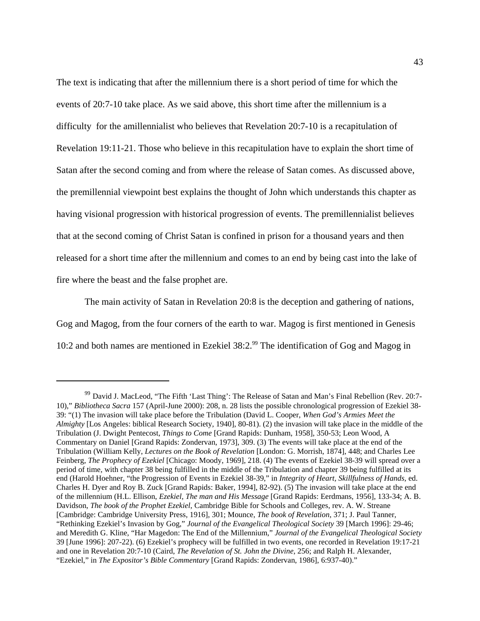The text is indicating that after the millennium there is a short period of time for which the events of 20:7-10 take place. As we said above, this short time after the millennium is a difficulty for the amillennialist who believes that Revelation 20:7-10 is a recapitulation of Revelation 19:11-21. Those who believe in this recapitulation have to explain the short time of Satan after the second coming and from where the release of Satan comes. As discussed above, the premillennial viewpoint best explains the thought of John which understands this chapter as having visional progression with historical progression of events. The premillennialist believes that at the second coming of Christ Satan is confined in prison for a thousand years and then released for a short time after the millennium and comes to an end by being cast into the lake of fire where the beast and the false prophet are.

The main activity of Satan in Revelation 20:8 is the deception and gathering of nations, Gog and Magog, from the four corners of the earth to war. Magog is first mentioned in Genesis 10:2 and both names are mentioned in Ezekiel  $38:2.^{99}$  The identification of Gog and Magog in

<sup>&</sup>lt;sup>99</sup> David J. MacLeod, "The Fifth 'Last Thing': The Release of Satan and Man's Final Rebellion (Rev. 20:7-10)," *Bibliotheca Sacra* 157 (April-June 2000): 208, n. 28 lists the possible chronological progression of Ezekiel 38- 39: "(1) The invasion will take place before the Tribulation (David L. Cooper, *When God's Armies Meet the Almighty* [Los Angeles: biblical Research Society, 1940], 80-81). (2) the invasion will take place in the middle of the Tribulation (J. Dwight Pentecost, *Things to Come* [Grand Rapids: Dunham, 1958], 350-53; Leon Wood, A Commentary on Daniel [Grand Rapids: Zondervan, 1973], 309. (3) The events will take place at the end of the Tribulation (William Kelly, *Lectures on the Book of Revelation* [London: G. Morrish, 1874], 448; and Charles Lee Feinberg, *The Prophecy of Ezekiel* [Chicago: Moody, 1969], 218. (4) The events of Ezekiel 38-39 will spread over a period of time, with chapter 38 being fulfilled in the middle of the Tribulation and chapter 39 being fulfilled at its end (Harold Hoehner, "the Progression of Events in Ezekiel 38-39," in *Integrity of Heart, Skillfulness of Hands,* ed. Charles H. Dyer and Roy B. Zuck [Grand Rapids: Baker, 1994], 82-92). (5) The invasion will take place at the end of the millennium (H.L. Ellison, *Ezekiel, The man and His Message* [Grand Rapids: Eerdmans, 1956], 133-34; A. B. Davidson, *The book of the Prophet Ezekiel*, Cambridge Bible for Schools and Colleges, rev. A. W. Streane [Cambridge: Cambridge University Press, 1916], 301; Mounce, *The book of Revelation*, 371; J. Paul Tanner, "Rethinking Ezekiel's Invasion by Gog," *Journal of the Evangelical Theological Society* 39 [March 1996]: 29-46; and Meredith G. Kline, "Har Magedon: The End of the Millennium," *Journal of the Evangelical Theological Society* 39 [June 1996]: 207-22). (6) Ezekiel's prophecy will be fulfilled in two events, one recorded in Revelation 19:17-21 and one in Revelation 20:7-10 (Caird, *The Revelation of St. John the Divine*, 256; and Ralph H. Alexander, "Ezekiel," in *The Expositor's Bible Commentary* [Grand Rapids: Zondervan, 1986], 6:937-40)."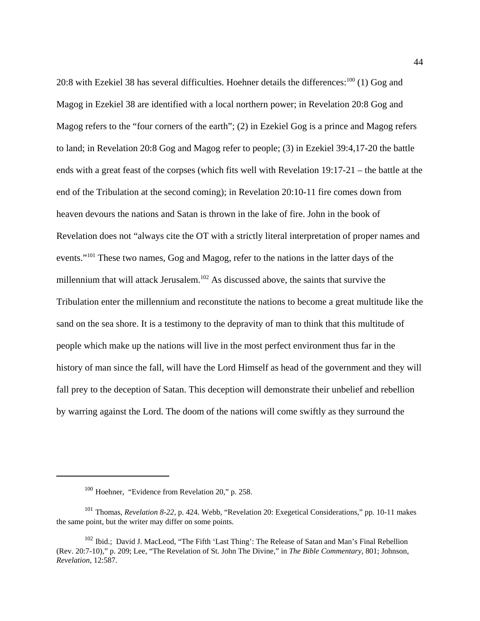20:8 with Ezekiel 38 has several difficulties. Hoehner details the differences:<sup>100</sup> (1) Gog and Magog in Ezekiel 38 are identified with a local northern power; in Revelation 20:8 Gog and Magog refers to the "four corners of the earth"; (2) in Ezekiel Gog is a prince and Magog refers to land; in Revelation 20:8 Gog and Magog refer to people; (3) in Ezekiel 39:4,17-20 the battle ends with a great feast of the corpses (which fits well with Revelation 19:17-21 – the battle at the end of the Tribulation at the second coming); in Revelation 20:10-11 fire comes down from heaven devours the nations and Satan is thrown in the lake of fire. John in the book of Revelation does not "always cite the OT with a strictly literal interpretation of proper names and events."<sup>101</sup> These two names, Gog and Magog, refer to the nations in the latter days of the millennium that will attack Jerusalem.<sup>102</sup> As discussed above, the saints that survive the Tribulation enter the millennium and reconstitute the nations to become a great multitude like the sand on the sea shore. It is a testimony to the depravity of man to think that this multitude of people which make up the nations will live in the most perfect environment thus far in the history of man since the fall, will have the Lord Himself as head of the government and they will fall prey to the deception of Satan. This deception will demonstrate their unbelief and rebellion by warring against the Lord. The doom of the nations will come swiftly as they surround the

<sup>100</sup> Hoehner, "Evidence from Revelation 20," p. 258.

<sup>101</sup> Thomas, *Revelation 8-22*, p. 424. Webb, "Revelation 20: Exegetical Considerations," pp. 10-11 makes the same point, but the writer may differ on some points.

<sup>&</sup>lt;sup>102</sup> Ibid.; David J. MacLeod, "The Fifth 'Last Thing': The Release of Satan and Man's Final Rebellion (Rev. 20:7-10)," p. 209; Lee, "The Revelation of St. John The Divine," in *The Bible Commentary*, 801; Johnson, *Revelation*, 12:587.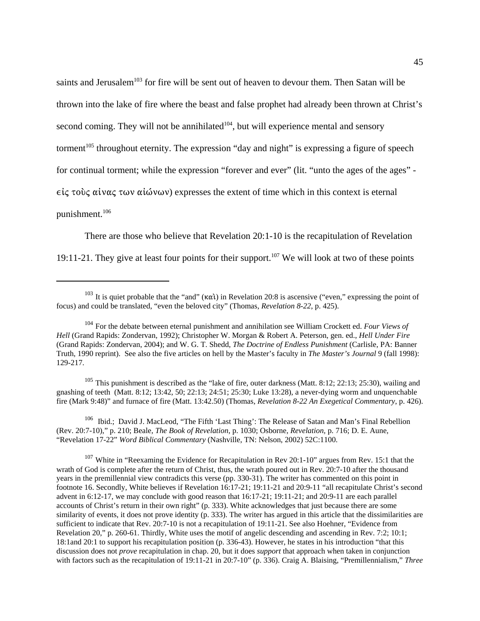saints and Jerusalem<sup>103</sup> for fire will be sent out of heaven to devour them. Then Satan will be thrown into the lake of fire where the beast and false prophet had already been thrown at Christ's second coming. They will not be annihilated $104$ , but will experience mental and sensory torment<sup>105</sup> throughout eternity. The expression "day and night" is expressing a figure of speech for continual torment; while the expression "forever and ever" (lit. "unto the ages of the ages" -  $\epsilon\zeta$  τους αίνας των αίώνων) expresses the extent of time which in this context is eternal punishment.<sup>106</sup>

There are those who believe that Revelation 20:1-10 is the recapitulation of Revelation 19:11-21. They give at least four points for their support.<sup>107</sup> We will look at two of these points

<sup>105</sup> This punishment is described as the "lake of fire, outer darkness (Matt. 8:12; 22:13; 25:30), wailing and gnashing of teeth (Matt. 8:12; 13:42, 50; 22:13; 24:51; 25:30; Luke 13:28), a never-dying worm and unquenchable fire (Mark 9:48)" and furnace of fire (Matt. 13:42.50) (Thomas, *Revelation 8-22 An Exegetical Commentary*, p. 426).

<sup>106</sup> Ibid.; David J. MacLeod, "The Fifth 'Last Thing': The Release of Satan and Man's Final Rebellion (Rev. 20:7-10)," p. 210; Beale, *The Book of Revelation*, p. 1030; Osborne, *Revelation,* p. 716; D. E. Aune, "Revelation 17-22" *Word Biblical Commentary* (Nashville, TN: Nelson, 2002) 52C:1100.

<sup>107</sup> White in "Reexaming the Evidence for Recapitulation in Rev 20:1-10" argues from Rev. 15:1 that the wrath of God is complete after the return of Christ, thus, the wrath poured out in Rev. 20:7-10 after the thousand years in the premillennial view contradicts this verse (pp. 330-31). The writer has commented on this point in footnote 16. Secondly, White believes if Revelation 16:17-21; 19:11-21 and 20:9-11 "all recapitulate Christ's second advent in 6:12-17, we may conclude with good reason that 16:17-21; 19:11-21; and 20:9-11 are each parallel accounts of Christ's return in their own right" (p. 333). White acknowledges that just because there are some similarity of events, it does not prove identity (p. 333). The writer has argued in this article that the dissimilarities are sufficient to indicate that Rev. 20:7-10 is not a recapitulation of 19:11-21. See also Hoehner, "Evidence from Revelation 20," p. 260-61. Thirdly, White uses the motif of angelic descending and ascending in Rev. 7:2; 10:1; 18:1and 20:1 to support his recapitulation position (p. 336-43). However, he states in his introduction "that this discussion does not *prove* recapitulation in chap. 20, but it does *support* that approach when taken in conjunction with factors such as the recapitulation of 19:11-21 in 20:7-10" (p. 336). Craig A. Blaising, "Premillennialism," *Three*

<sup>&</sup>lt;sup>103</sup> It is quiet probable that the "and" ( $\kappa \alpha i$ ) in Revelation 20:8 is ascensive ("even," expressing the point of focus) and could be translated, "even the beloved city" (Thomas, *Revelation 8-22*, p. 425).

<sup>104</sup> For the debate between eternal punishment and annihilation see William Crockett ed. *Four Views of Hell* (Grand Rapids: Zondervan, 1992); Christopher W. Morgan & Robert A. Peterson, gen. ed., *Hell Under Fire* (Grand Rapids: Zondervan, 2004); and W. G. T. Shedd, *The Doctrine of Endless Punishment* (Carlisle, PA: Banner Truth, 1990 reprint). See also the five articles on hell by the Master's faculty in *The Master's Journal* 9 (fall 1998): 129-217.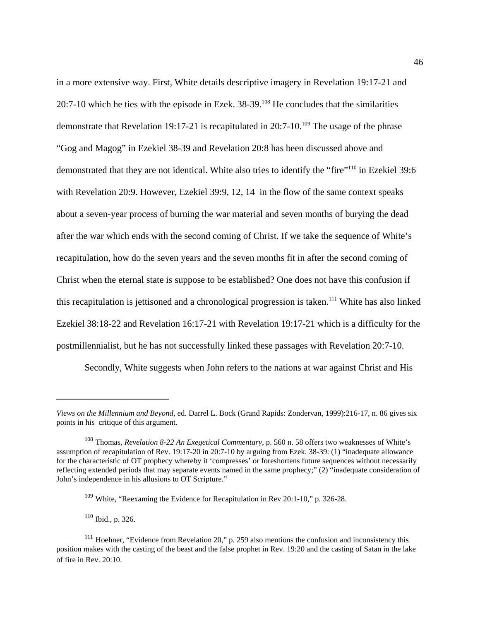in a more extensive way. First, White details descriptive imagery in Revelation 19:17-21 and 20:7-10 which he ties with the episode in Ezek.  $38-39$ .<sup>108</sup> He concludes that the similarities demonstrate that Revelation 19:17-21 is recapitulated in 20:7-10.<sup>109</sup> The usage of the phrase "Gog and Magog" in Ezekiel 38-39 and Revelation 20:8 has been discussed above and demonstrated that they are not identical. White also tries to identify the "fire"<sup>110</sup> in Ezekiel 39:6 with Revelation 20:9. However, Ezekiel 39:9, 12, 14 in the flow of the same context speaks about a seven-year process of burning the war material and seven months of burying the dead after the war which ends with the second coming of Christ. If we take the sequence of White's recapitulation, how do the seven years and the seven months fit in after the second coming of Christ when the eternal state is suppose to be established? One does not have this confusion if this recapitulation is jettisoned and a chronological progression is taken.<sup>111</sup> White has also linked Ezekiel 38:18-22 and Revelation 16:17-21 with Revelation 19:17-21 which is a difficulty for the postmillennialist, but he has not successfully linked these passages with Revelation 20:7-10.

Secondly, White suggests when John refers to the nations at war against Christ and His

<sup>110</sup> Ibid., p. 326.

*Views on the Millennium and Beyond*, ed. Darrel L. Bock (Grand Rapids: Zondervan, 1999):216-17, n. 86 gives six points in his critique of this argument.

<sup>108</sup> Thomas, *Revelation 8-22 An Exegetical Commentary*, p. 560 n. 58 offers two weaknesses of White's assumption of recapitulation of Rev. 19:17-20 in 20:7-10 by arguing from Ezek. 38-39: (1) "inadequate allowance for the characteristic of OT prophecy whereby it 'compresses' or foreshortens future sequences without necessarily reflecting extended periods that may separate events named in the same prophecy;" (2) "inadequate consideration of John's independence in his allusions to OT Scripture."

<sup>&</sup>lt;sup>109</sup> White, "Reexaming the Evidence for Recapitulation in Rev 20:1-10," p. 326-28.

 $111$  Hoehner, "Evidence from Revelation 20," p. 259 also mentions the confusion and inconsistency this position makes with the casting of the beast and the false prophet in Rev. 19:20 and the casting of Satan in the lake of fire in Rev. 20:10.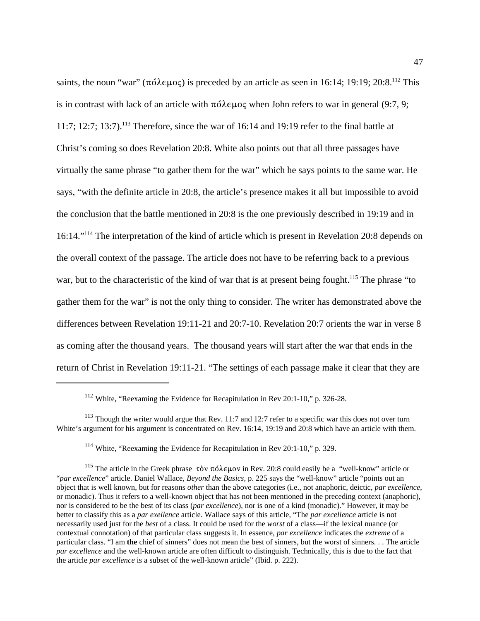saints, the noun "war" ( $\pi \delta \lambda \in \mu$ o $\zeta$ ) is preceded by an article as seen in 16:14; 19:19; 20:8.<sup>112</sup> This is in contrast with lack of an article with  $\pi \acute{o} \lambda \epsilon \mu o \varsigma$  when John refers to war in general (9:7, 9; 11:7; 12:7; 13:7).<sup>113</sup> Therefore, since the war of 16:14 and 19:19 refer to the final battle at Christ's coming so does Revelation 20:8. White also points out that all three passages have virtually the same phrase "to gather them for the war" which he says points to the same war. He says, "with the definite article in 20:8, the article's presence makes it all but impossible to avoid the conclusion that the battle mentioned in 20:8 is the one previously described in 19:19 and in 16:14."<sup>114</sup> The interpretation of the kind of article which is present in Revelation 20:8 depends on the overall context of the passage. The article does not have to be referring back to a previous war, but to the characteristic of the kind of war that is at present being fought.<sup>115</sup> The phrase "to gather them for the war" is not the only thing to consider. The writer has demonstrated above the differences between Revelation 19:11-21 and 20:7-10. Revelation 20:7 orients the war in verse 8 as coming after the thousand years. The thousand years will start after the war that ends in the return of Christ in Revelation 19:11-21. "The settings of each passage make it clear that they are

<sup>112</sup> White, "Reexaming the Evidence for Recapitulation in Rev 20:1-10," p. 326-28.

 $113$  Though the writer would argue that Rev. 11:7 and 12:7 refer to a specific war this does not over turn White's argument for his argument is concentrated on Rev. 16:14, 19:19 and 20:8 which have an article with them.

<sup>&</sup>lt;sup>114</sup> White, "Reexaming the Evidence for Recapitulation in Rev 20:1-10," p. 329.

<sup>&</sup>lt;sup>115</sup> The article in the Greek phrase  $\tau$ òv  $\pi$ ó $\lambda \in \mu$ ov in Rev. 20:8 could easily be a "well-know" article or "*par excellence*" article. Daniel Wallace, *Beyond the Basics*, p. 225 says the "well-know" article "points out an object that is well known, but for reasons *other* than the above categories (i.e., not anaphoric, deictic, *par excellence*, or monadic). Thus it refers to a well-known object that has not been mentioned in the preceding context (anaphoric), nor is considered to be the best of its class (*par excellence*), nor is one of a kind (monadic)." However, it may be better to classify this as a *par exellence* article. Wallace says of this article, "The *par excellence* article is not necessarily used just for the *best* of a class. It could be used for the *worst* of a class—if the lexical nuance (or contextual connotation) of that particular class suggests it. In essence, *par excellence* indicates the *extreme* of a particular class. "I am **the** chief of sinners" does not mean the best of sinners, but the worst of sinners. . . The article *par excellence* and the well-known article are often difficult to distinguish. Technically, this is due to the fact that the article *par excellence* is a subset of the well-known article" (Ibid. p. 222).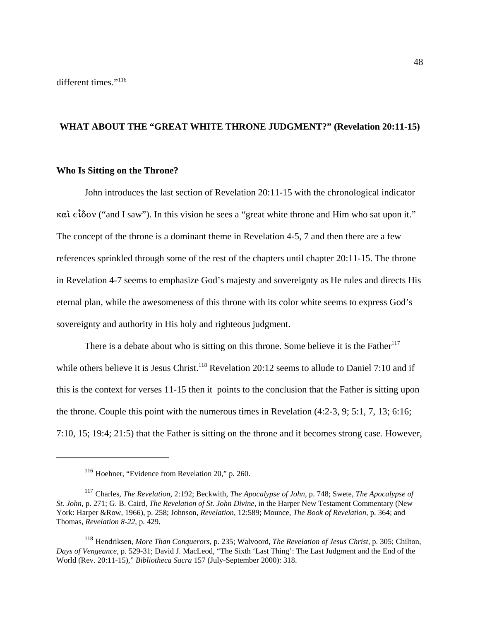# **WHAT ABOUT THE "GREAT WHITE THRONE JUDGMENT?" (Revelation 20:11-15)**

## **Who Is Sitting on the Throne?**

John introduces the last section of Revelation 20:11-15 with the chronological indicator  $\kappa \alpha i \epsilon i \delta o v$  ("and I saw"). In this vision he sees a "great white throne and Him who sat upon it." The concept of the throne is a dominant theme in Revelation 4-5, 7 and then there are a few references sprinkled through some of the rest of the chapters until chapter 20:11-15. The throne in Revelation 4-7 seems to emphasize God's majesty and sovereignty as He rules and directs His eternal plan, while the awesomeness of this throne with its color white seems to express God's sovereignty and authority in His holy and righteous judgment.

There is a debate about who is sitting on this throne. Some believe it is the Father<sup>117</sup> while others believe it is Jesus Christ.<sup>118</sup> Revelation 20:12 seems to allude to Daniel 7:10 and if this is the context for verses 11-15 then it points to the conclusion that the Father is sitting upon the throne. Couple this point with the numerous times in Revelation (4:2-3, 9; 5:1, 7, 13; 6:16; 7:10, 15; 19:4; 21:5) that the Father is sitting on the throne and it becomes strong case. However,

<sup>116</sup> Hoehner, "Evidence from Revelation 20," p. 260.

<sup>117</sup> Charles, *The Revelation*, 2:192; Beckwith, *The Apocalypse of John*, p. 748; Swete, *The Apocalypse of St. John*, p. 271; G. B. Caird, *The Revelation of St. John Divine,* in the Harper New Testament Commentary (New York: Harper &Row, 1966), p. 258; Johnson, *Revelation,* 12:589; Mounce, *The Book of Revelation*, p. 364; and Thomas, *Revelation 8-22*, p. 429.

<sup>118</sup> Hendriksen, *More Than Conquerors*, p. 235; Walvoord, *The Revelation of Jesus Christ*, p. 305; Chilton, *Days of Vengeance*, p. 529-31; David J. MacLeod, "The Sixth 'Last Thing': The Last Judgment and the End of the World (Rev. 20:11-15)," *Bibliotheca Sacra* 157 (July-September 2000): 318.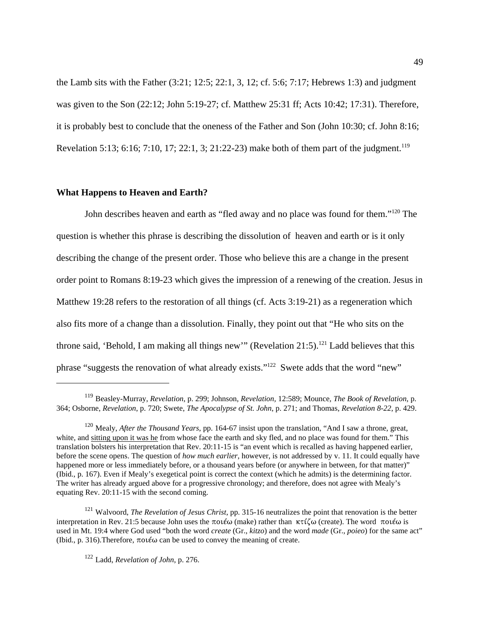the Lamb sits with the Father (3:21; 12:5; 22:1, 3, 12; cf. 5:6; 7:17; Hebrews 1:3) and judgment was given to the Son (22:12; John 5:19-27; cf. Matthew 25:31 ff; Acts 10:42; 17:31). Therefore, it is probably best to conclude that the oneness of the Father and Son (John 10:30; cf. John 8:16; Revelation 5:13; 6:16; 7:10, 17; 22:1, 3; 21:22-23) make both of them part of the judgment.<sup>119</sup>

#### **What Happens to Heaven and Earth?**

John describes heaven and earth as "fled away and no place was found for them."<sup>120</sup> The question is whether this phrase is describing the dissolution of heaven and earth or is it only describing the change of the present order. Those who believe this are a change in the present order point to Romans 8:19-23 which gives the impression of a renewing of the creation. Jesus in Matthew 19:28 refers to the restoration of all things (cf. Acts 3:19-21) as a regeneration which also fits more of a change than a dissolution. Finally, they point out that "He who sits on the throne said, 'Behold, I am making all things new'" (Revelation 21:5).<sup>121</sup> Ladd believes that this phrase "suggests the renovation of what already exists."122 Swete adds that the word "new"

<sup>119</sup> Beasley-Murray, *Revelation*, p. 299; Johnson, *Revelation,* 12:589; Mounce, *The Book of Revelation*, p. 364; Osborne, *Revelation*, p. 720; Swete, *The Apocalypse of St. John*, p. 271; and Thomas, *Revelation 8-22*, p. 429.

<sup>120</sup> Mealy, *After the Thousand Years*, pp. 164-67 insist upon the translation, "And I saw a throne, great, white, and sitting upon it was he from whose face the earth and sky fled, and no place was found for them." This translation bolsters his interpretation that Rev. 20:11-15 is "an event which is recalled as having happened earlier, before the scene opens. The question of *how much earlier*, however, is not addressed by v. 11. It could equally have happened more or less immediately before, or a thousand years before (or anywhere in between, for that matter)" (Ibid., p. 167). Even if Mealy's exegetical point is correct the context (which he admits) is the determining factor. The writer has already argued above for a progressive chronology; and therefore, does not agree with Mealy's equating Rev. 20:11-15 with the second coming.

<sup>&</sup>lt;sup>121</sup> Walvoord, *The Revelation of Jesus Christ*, pp. 315-16 neutralizes the point that renovation is the better interpretation in Rev. 21:5 because John uses the  $\pi o(\kappa \omega)$  (make) rather than  $\kappa \tau \zeta \omega$  (create). The word  $\pi o(\kappa \omega)$  is used in Mt. 19:4 where God used "both the word *create* (Gr., *kitzo*) and the word *made* (Gr., *poieo*) for the same act" (Ibid., p. 316). Therefore,  $\pi$ oté $\omega$  can be used to convey the meaning of create.

<sup>122</sup> Ladd, *Revelation of John*, p. 276.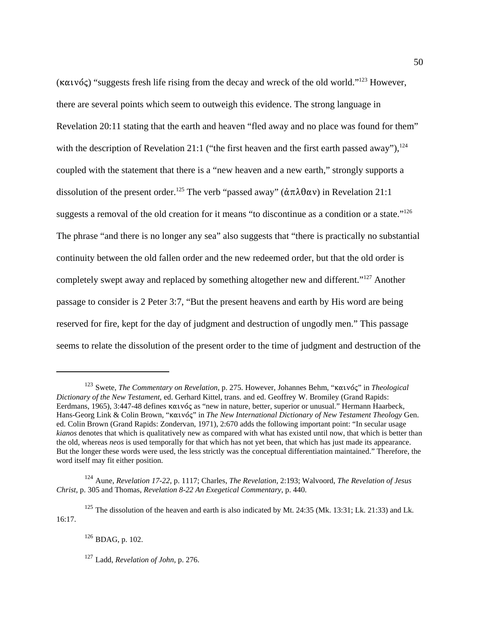$(\kappa \alpha \nu \acute{\alpha})$  "suggests fresh life rising from the decay and wreck of the old world."<sup>123</sup> However, there are several points which seem to outweigh this evidence. The strong language in Revelation 20:11 stating that the earth and heaven "fled away and no place was found for them" with the description of Revelation 21:1 ("the first heaven and the first earth passed away"), $^{124}$ coupled with the statement that there is a "new heaven and a new earth," strongly supports a dissolution of the present order.<sup>125</sup> The verb "passed away" ( $\dot{\alpha} \pi \lambda \theta \alpha v$ ) in Revelation 21:1 suggests a removal of the old creation for it means "to discontinue as a condition or a state."<sup>126</sup> The phrase "and there is no longer any sea" also suggests that "there is practically no substantial continuity between the old fallen order and the new redeemed order, but that the old order is completely swept away and replaced by something altogether new and different."<sup>127</sup> Another passage to consider is 2 Peter 3:7, "But the present heavens and earth by His word are being reserved for fire, kept for the day of judgment and destruction of ungodly men." This passage seems to relate the dissolution of the present order to the time of judgment and destruction of the

50

<sup>127</sup> Ladd, *Revelation of John*, p. 276.

<sup>&</sup>lt;sup>123</sup> Swete, *The Commentary on Revelation*, p. 275. However, Johannes Behm, "καινός" in *Theological Dictionary of the New Testament*, ed. Gerhard Kittel, trans. and ed. Geoffrey W. Bromiley (Grand Rapids: Eerdmans, 1965), 3:447-48 defines καινός as "new in nature, better, superior or unusual." Hermann Haarbeck, Hans-Georg Link & Colin Brown, "καινός" in *The New International Dictionary of New Testament Theology* Gen. ed. Colin Brown (Grand Rapids: Zondervan, 1971), 2:670 adds the following important point: "In secular usage *kianos* denotes that which is qualitatively new as compared with what has existed until now, that which is better than the old, whereas *neos* is used temporally for that which has not yet been, that which has just made its appearance. But the longer these words were used, the less strictly was the conceptual differentiation maintained." Therefore, the word itself may fit either position.

<sup>124</sup> Aune, *Revelation 17-22*, p. 1117; Charles, *The Revelation*, 2:193; Walvoord, *The Revelation of Jesus Christ*, p. 305 and Thomas, *Revelation 8-22 An Exegetical Commentary*, p. 440.

 $125$  The dissolution of the heaven and earth is also indicated by Mt. 24:35 (Mk. 13:31; Lk. 21:33) and Lk. 16:17.

 $126$  BDAG, p. 102.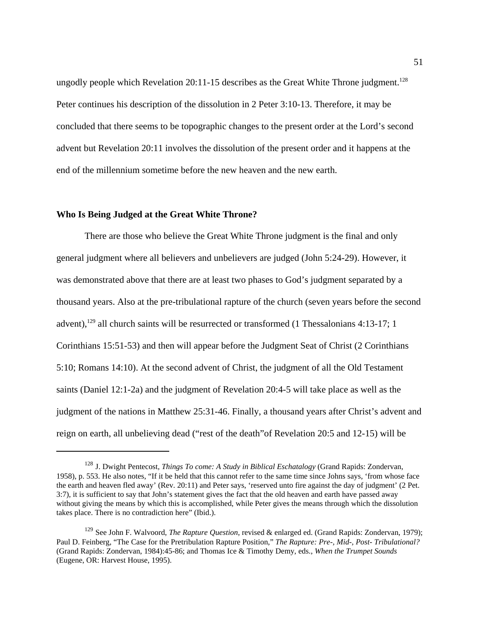ungodly people which Revelation 20:11-15 describes as the Great White Throne judgment.<sup>128</sup> Peter continues his description of the dissolution in 2 Peter 3:10-13. Therefore, it may be concluded that there seems to be topographic changes to the present order at the Lord's second advent but Revelation 20:11 involves the dissolution of the present order and it happens at the end of the millennium sometime before the new heaven and the new earth.

## **Who Is Being Judged at the Great White Throne?**

There are those who believe the Great White Throne judgment is the final and only general judgment where all believers and unbelievers are judged (John 5:24-29). However, it was demonstrated above that there are at least two phases to God's judgment separated by a thousand years. Also at the pre-tribulational rapture of the church (seven years before the second advent),<sup>129</sup> all church saints will be resurrected or transformed (1 Thessalonians 4:13-17; 1 Corinthians 15:51-53) and then will appear before the Judgment Seat of Christ (2 Corinthians 5:10; Romans 14:10). At the second advent of Christ, the judgment of all the Old Testament saints (Daniel 12:1-2a) and the judgment of Revelation 20:4-5 will take place as well as the judgment of the nations in Matthew 25:31-46. Finally, a thousand years after Christ's advent and reign on earth, all unbelieving dead ("rest of the death"of Revelation 20:5 and 12-15) will be

<sup>128</sup> J. Dwight Pentecost, *Things To come: A Study in Biblical Eschatalogy* (Grand Rapids: Zondervan, 1958), p. 553. He also notes, "If it be held that this cannot refer to the same time since Johns says, 'from whose face the earth and heaven fled away' (Rev. 20:11) and Peter says, 'reserved unto fire against the day of judgment' (2 Pet. 3:7), it is sufficient to say that John's statement gives the fact that the old heaven and earth have passed away without giving the means by which this is accomplished, while Peter gives the means through which the dissolution takes place. There is no contradiction here" (Ibid.).

<sup>129</sup> See John F. Walvoord, *The Rapture Question*, revised & enlarged ed. (Grand Rapids: Zondervan, 1979); Paul D. Feinberg, "The Case for the Pretribulation Rapture Position," *The Rapture: Pre-, Mid-, Post- Tribulational?* (Grand Rapids: Zondervan, 1984):45-86; and Thomas Ice & Timothy Demy, eds., *When the Trumpet Sounds* (Eugene, OR: Harvest House, 1995).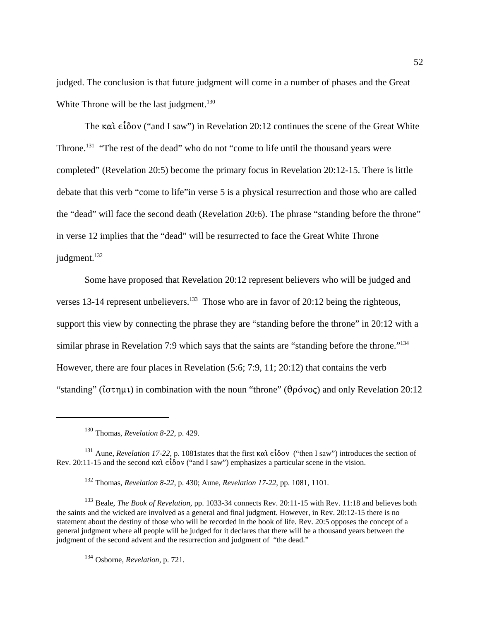judged. The conclusion is that future judgment will come in a number of phases and the Great White Throne will be the last judgment. $130$ 

The  $\kappa \alpha i \epsilon i \delta o v$  ("and I saw") in Revelation 20:12 continues the scene of the Great White Throne.<sup>131</sup> "The rest of the dead" who do not "come to life until the thousand years were completed" (Revelation 20:5) become the primary focus in Revelation 20:12-15. There is little debate that this verb "come to life"in verse 5 is a physical resurrection and those who are called the "dead" will face the second death (Revelation 20:6). The phrase "standing before the throne" in verse 12 implies that the "dead" will be resurrected to face the Great White Throne judgment.<sup>132</sup>

Some have proposed that Revelation 20:12 represent believers who will be judged and verses 13-14 represent unbelievers.<sup>133</sup> Those who are in favor of 20:12 being the righteous, support this view by connecting the phrase they are "standing before the throne" in 20:12 with a similar phrase in Revelation 7:9 which says that the saints are "standing before the throne."<sup>134</sup> However, there are four places in Revelation (5:6; 7:9, 11; 20:12) that contains the verb "standing" ( $i\sigma\tau\eta\mu\iota$ ) in combination with the noun "throne" ( $\theta\rho\delta\nu o\varsigma$ ) and only Revelation 20:12

<sup>131</sup> Aune, *Revelation 17-22*, p. 1081 states that the first  $\kappa \alpha \hat{i} \epsilon \hat{i} \delta \sigma v$  ("then I saw") introduces the section of Rev. 20:11-15 and the second  $\kappa \alpha i \in \{\delta \}$  ("and I saw") emphasizes a particular scene in the vision.

<sup>132</sup> Thomas, *Revelation 8-22*, p. 430; Aune, *Revelation 17-22*, pp. 1081, 1101.

<sup>133</sup> Beale, *The Book of Revelation*, pp. 1033-34 connects Rev. 20:11-15 with Rev. 11:18 and believes both the saints and the wicked are involved as a general and final judgment. However, in Rev. 20:12-15 there is no statement about the destiny of those who will be recorded in the book of life. Rev. 20:5 opposes the concept of a general judgment where all people will be judged for it declares that there will be a thousand years between the judgment of the second advent and the resurrection and judgment of "the dead."

<sup>134</sup> Osborne, *Revelation*, p. 721.

<sup>130</sup> Thomas, *Revelation 8-22*, p. 429.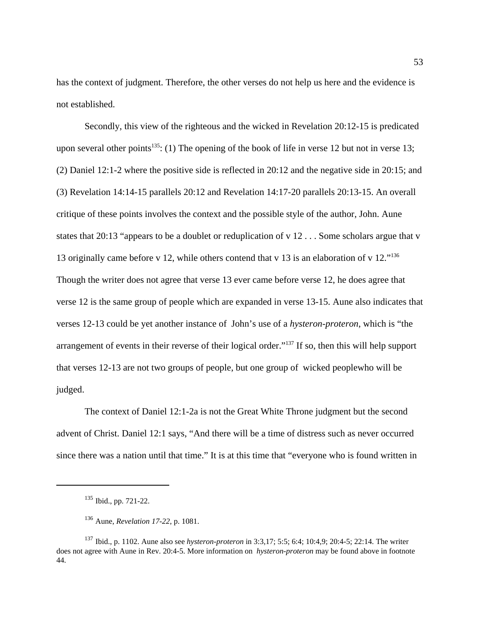has the context of judgment. Therefore, the other verses do not help us here and the evidence is not established.

Secondly, this view of the righteous and the wicked in Revelation 20:12-15 is predicated upon several other points<sup>135</sup>: (1) The opening of the book of life in verse 12 but not in verse 13; (2) Daniel 12:1-2 where the positive side is reflected in 20:12 and the negative side in 20:15; and (3) Revelation 14:14-15 parallels 20:12 and Revelation 14:17-20 parallels 20:13-15. An overall critique of these points involves the context and the possible style of the author, John. Aune states that 20:13 "appears to be a doublet or reduplication of v 12 . . . Some scholars argue that v 13 originally came before v 12, while others contend that v 13 is an elaboration of v 12."<sup>136</sup> Though the writer does not agree that verse 13 ever came before verse 12, he does agree that verse 12 is the same group of people which are expanded in verse 13-15. Aune also indicates that verses 12-13 could be yet another instance of John's use of a *hysteron-proteron*, which is "the arrangement of events in their reverse of their logical order."<sup>137</sup> If so, then this will help support that verses 12-13 are not two groups of people, but one group of wicked peoplewho will be judged.

The context of Daniel 12:1-2a is not the Great White Throne judgment but the second advent of Christ. Daniel 12:1 says, "And there will be a time of distress such as never occurred since there was a nation until that time." It is at this time that "everyone who is found written in

<sup>135</sup> Ibid., pp. 721-22.

<sup>136</sup> Aune, *Revelation 17-22*, p. 1081.

<sup>137</sup> Ibid., p. 1102. Aune also see *hysteron-proteron* in 3:3,17; 5:5; 6:4; 10:4,9; 20:4-5; 22:14. The writer does not agree with Aune in Rev. 20:4-5. More information on *hysteron-proteron* may be found above in footnote 44.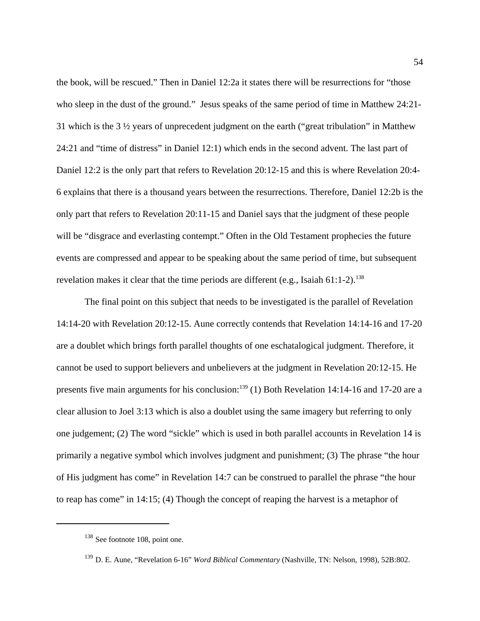the book, will be rescued." Then in Daniel 12:2a it states there will be resurrections for "those who sleep in the dust of the ground." Jesus speaks of the same period of time in Matthew 24:21-31 which is the 3 ½ years of unprecedent judgment on the earth ("great tribulation" in Matthew 24:21 and "time of distress" in Daniel 12:1) which ends in the second advent. The last part of Daniel 12:2 is the only part that refers to Revelation 20:12-15 and this is where Revelation 20:4- 6 explains that there is a thousand years between the resurrections. Therefore, Daniel 12:2b is the only part that refers to Revelation 20:11-15 and Daniel says that the judgment of these people will be "disgrace and everlasting contempt." Often in the Old Testament prophecies the future events are compressed and appear to be speaking about the same period of time, but subsequent revelation makes it clear that the time periods are different (e.g., Isaiah  $61:1-2$ ).<sup>138</sup>

The final point on this subject that needs to be investigated is the parallel of Revelation 14:14-20 with Revelation 20:12-15. Aune correctly contends that Revelation 14:14-16 and 17-20 are a doublet which brings forth parallel thoughts of one eschatalogical judgment. Therefore, it cannot be used to support believers and unbelievers at the judgment in Revelation 20:12-15. He presents five main arguments for his conclusion:<sup>139</sup> (1) Both Revelation 14:14-16 and 17-20 are a clear allusion to Joel 3:13 which is also a doublet using the same imagery but referring to only one judgement; (2) The word "sickle" which is used in both parallel accounts in Revelation 14 is primarily a negative symbol which involves judgment and punishment; (3) The phrase "the hour of His judgment has come" in Revelation 14:7 can be construed to parallel the phrase "the hour to reap has come" in 14:15; (4) Though the concept of reaping the harvest is a metaphor of

<sup>&</sup>lt;sup>138</sup> See footnote 108, point one.

<sup>139</sup> D. E. Aune, "Revelation 6-16" *Word Biblical Commentary* (Nashville, TN: Nelson, 1998), 52B:802.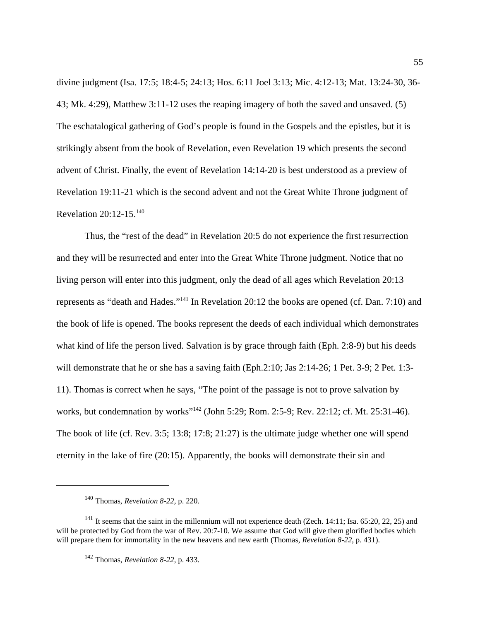divine judgment (Isa. 17:5; 18:4-5; 24:13; Hos. 6:11 Joel 3:13; Mic. 4:12-13; Mat. 13:24-30, 36- 43; Mk. 4:29), Matthew 3:11-12 uses the reaping imagery of both the saved and unsaved. (5) The eschatalogical gathering of God's people is found in the Gospels and the epistles, but it is strikingly absent from the book of Revelation, even Revelation 19 which presents the second advent of Christ. Finally, the event of Revelation 14:14-20 is best understood as a preview of Revelation 19:11-21 which is the second advent and not the Great White Throne judgment of Revelation 20:12-15.<sup>140</sup>

Thus, the "rest of the dead" in Revelation 20:5 do not experience the first resurrection and they will be resurrected and enter into the Great White Throne judgment. Notice that no living person will enter into this judgment, only the dead of all ages which Revelation 20:13 represents as "death and Hades."<sup>141</sup> In Revelation 20:12 the books are opened (cf. Dan. 7:10) and the book of life is opened. The books represent the deeds of each individual which demonstrates what kind of life the person lived. Salvation is by grace through faith (Eph. 2:8-9) but his deeds will demonstrate that he or she has a saving faith (Eph.2:10; Jas 2:14-26; 1 Pet. 3-9; 2 Pet. 1:3- 11). Thomas is correct when he says, "The point of the passage is not to prove salvation by works, but condemnation by works"<sup>142</sup> (John 5:29; Rom. 2:5-9; Rev. 22:12; cf. Mt. 25:31-46). The book of life (cf. Rev. 3:5; 13:8; 17:8; 21:27) is the ultimate judge whether one will spend eternity in the lake of fire (20:15). Apparently, the books will demonstrate their sin and

<sup>140</sup> Thomas, *Revelation 8-22*, p. 220.

<sup>&</sup>lt;sup>141</sup> It seems that the saint in the millennium will not experience death (Zech. 14:11; Isa. 65:20, 22, 25) and will be protected by God from the war of Rev. 20:7-10. We assume that God will give them glorified bodies which will prepare them for immortality in the new heavens and new earth (Thomas, *Revelation 8-22*, p. 431).

<sup>142</sup> Thomas, *Revelation 8-22*, p. 433.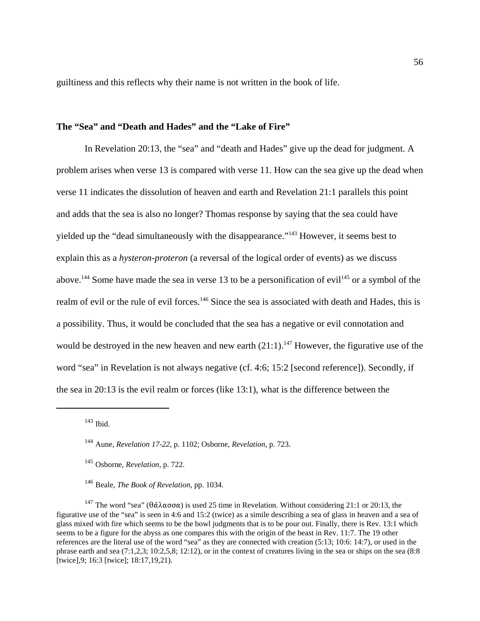guiltiness and this reflects why their name is not written in the book of life.

# **The "Sea" and "Death and Hades" and the "Lake of Fire"**

In Revelation 20:13, the "sea" and "death and Hades" give up the dead for judgment. A problem arises when verse 13 is compared with verse 11. How can the sea give up the dead when verse 11 indicates the dissolution of heaven and earth and Revelation 21:1 parallels this point and adds that the sea is also no longer? Thomas response by saying that the sea could have yielded up the "dead simultaneously with the disappearance."<sup>143</sup> However, it seems best to explain this as a *hysteron-proteron* (a reversal of the logical order of events) as we discuss above.<sup>144</sup> Some have made the sea in verse 13 to be a personification of evil<sup>145</sup> or a symbol of the realm of evil or the rule of evil forces.<sup>146</sup> Since the sea is associated with death and Hades, this is a possibility. Thus, it would be concluded that the sea has a negative or evil connotation and would be destroyed in the new heaven and new earth  $(21:1)$ .<sup>147</sup> However, the figurative use of the word "sea" in Revelation is not always negative (cf. 4:6; 15:2 [second reference]). Secondly, if the sea in 20:13 is the evil realm or forces (like 13:1), what is the difference between the

<sup>147</sup> The word "sea" (θάλασσα) is used 25 time in Revelation. Without considering 21:1 or 20:13, the figurative use of the "sea" is seen in 4:6 and 15:2 (twice) as a simile describing a sea of glass in heaven and a sea of glass mixed with fire which seems to be the bowl judgments that is to be pour out. Finally, there is Rev. 13:1 which seems to be a figure for the abyss as one compares this with the origin of the beast in Rev. 11:7. The 19 other references are the literal use of the word "sea" as they are connected with creation (5:13; 10:6: 14:7), or used in the phrase earth and sea (7:1,2,3; 10:2,5,8; 12:12), or in the context of creatures living in the sea or ships on the sea (8:8 [twice],9; 16:3 [twice]; 18:17,19,21).

 $143$  Ibid.

<sup>144</sup> Aune, *Revelation 17-22*, p. 1102; Osborne, *Revelation*, p. 723.

<sup>145</sup> Osborne, *Revelation*, p. 722.

<sup>146</sup> Beale, *The Book of Revelation*, pp. 1034.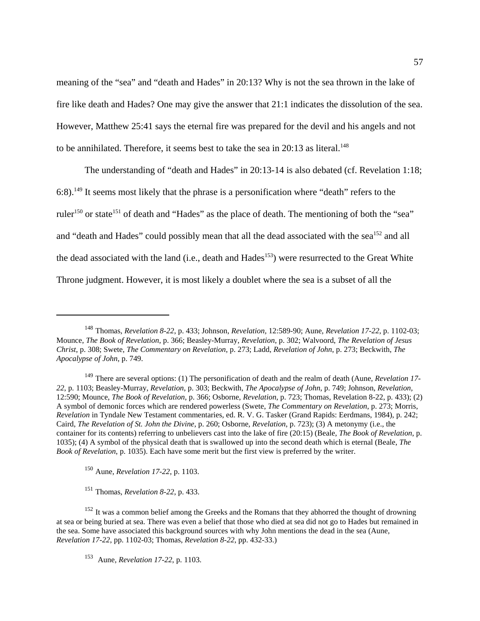meaning of the "sea" and "death and Hades" in 20:13? Why is not the sea thrown in the lake of fire like death and Hades? One may give the answer that 21:1 indicates the dissolution of the sea. However, Matthew 25:41 says the eternal fire was prepared for the devil and his angels and not to be annihilated. Therefore, it seems best to take the sea in  $20:13$  as literal.<sup>148</sup>

The understanding of "death and Hades" in 20:13-14 is also debated (cf. Revelation 1:18; 6:8).<sup>149</sup> It seems most likely that the phrase is a personification where "death" refers to the ruler<sup>150</sup> or state<sup>151</sup> of death and "Hades" as the place of death. The mentioning of both the "sea" and "death and Hades" could possibly mean that all the dead associated with the sea<sup>152</sup> and all the dead associated with the land (i.e., death and  $Hades<sup>153</sup>$ ) were resurrected to the Great White Throne judgment. However, it is most likely a doublet where the sea is a subset of all the

<sup>150</sup> Aune, *Revelation 17-22*, p. 1103.

<sup>151</sup> Thomas, *Revelation 8-22*, p. 433.

<sup>148</sup> Thomas, *Revelation 8-22*, p. 433; Johnson, *Revelation,* 12:589-90; Aune, *Revelation 17-22*, p. 1102-03; Mounce, *The Book of Revelation*, p. 366; Beasley-Murray, *Revelation*, p. 302; Walvoord, *The Revelation of Jesus Christ*, p. 308; Swete, *The Commentary on Revelation*, p. 273; Ladd, *Revelation of John*, p. 273; Beckwith, *The Apocalypse of John*, p. 749.

<sup>149</sup> There are several options: (1) The personification of death and the realm of death (Aune, *Revelation 17- 22*, p. 1103; Beasley-Murray, *Revelation*, p. 303; Beckwith, *The Apocalypse of John*, p. 749; Johnson, *Revelation,* 12:590; Mounce, *The Book of Revelation*, p. 366; Osborne, *Revelation*, p. 723; Thomas, Revelation 8-22, p. 433); (2) A symbol of demonic forces which are rendered powerless (Swete, *The Commentary on Revelation*, p. 273; Morris, *Revelation* in Tyndale New Testament commentaries, ed. R. V. G. Tasker (Grand Rapids: Eerdmans, 1984), p. 242; Caird, *The Revelation of St. John the Divine*, p. 260; Osborne, *Revelation*, p. 723); (3) A metonymy (i.e., the container for its contents) referring to unbelievers cast into the lake of fire (20:15) (Beale, *The Book of Revelation*, p. 1035); (4) A symbol of the physical death that is swallowed up into the second death which is eternal (Beale, *The Book of Revelation*, p. 1035). Each have some merit but the first view is preferred by the writer.

<sup>&</sup>lt;sup>152</sup> It was a common belief among the Greeks and the Romans that they abhorred the thought of drowning at sea or being buried at sea. There was even a belief that those who died at sea did not go to Hades but remained in the sea. Some have associated this background sources with why John mentions the dead in the sea (Aune, *Revelation 17-22*, pp. 1102-03; Thomas, *Revelation 8-22*, pp. 432-33.)

<sup>153</sup> Aune, *Revelation 17-22*, p. 1103.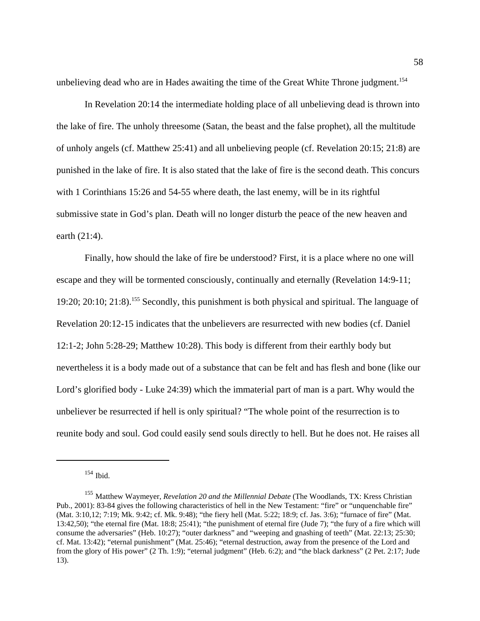unbelieving dead who are in Hades awaiting the time of the Great White Throne judgment.<sup>154</sup>

In Revelation 20:14 the intermediate holding place of all unbelieving dead is thrown into the lake of fire. The unholy threesome (Satan, the beast and the false prophet), all the multitude of unholy angels (cf. Matthew 25:41) and all unbelieving people (cf. Revelation 20:15; 21:8) are punished in the lake of fire. It is also stated that the lake of fire is the second death. This concurs with 1 Corinthians 15:26 and 54-55 where death, the last enemy, will be in its rightful submissive state in God's plan. Death will no longer disturb the peace of the new heaven and earth (21:4).

Finally, how should the lake of fire be understood? First, it is a place where no one will escape and they will be tormented consciously, continually and eternally (Revelation 14:9-11; 19:20; 20:10; 21:8).<sup>155</sup> Secondly, this punishment is both physical and spiritual. The language of Revelation 20:12-15 indicates that the unbelievers are resurrected with new bodies (cf. Daniel 12:1-2; John 5:28-29; Matthew 10:28). This body is different from their earthly body but nevertheless it is a body made out of a substance that can be felt and has flesh and bone (like our Lord's glorified body - Luke 24:39) which the immaterial part of man is a part. Why would the unbeliever be resurrected if hell is only spiritual? "The whole point of the resurrection is to reunite body and soul. God could easily send souls directly to hell. But he does not. He raises all

<sup>154</sup> Ibid.

<sup>155</sup> Matthew Waymeyer, *Revelation 20 and the Millennial Debate* (The Woodlands, TX: Kress Christian Pub., 2001): 83-84 gives the following characteristics of hell in the New Testament: "fire" or "unquenchable fire" (Mat. 3:10,12; 7:19; Mk. 9:42; cf. Mk. 9:48); "the fiery hell (Mat. 5:22; 18:9; cf. Jas. 3:6); "furnace of fire" (Mat. 13:42,50); "the eternal fire (Mat. 18:8; 25:41); "the punishment of eternal fire (Jude 7); "the fury of a fire which will consume the adversaries" (Heb. 10:27); "outer darkness" and "weeping and gnashing of teeth" (Mat. 22:13; 25:30; cf. Mat. 13:42); "eternal punishment" (Mat. 25:46); "eternal destruction, away from the presence of the Lord and from the glory of His power" (2 Th. 1:9); "eternal judgment" (Heb. 6:2); and "the black darkness" (2 Pet. 2:17; Jude 13).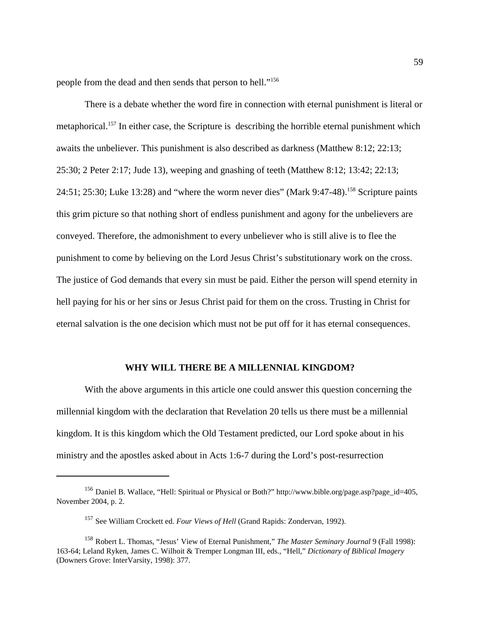people from the dead and then sends that person to hell."<sup>156</sup>

There is a debate whether the word fire in connection with eternal punishment is literal or metaphorical.<sup>157</sup> In either case, the Scripture is describing the horrible eternal punishment which awaits the unbeliever. This punishment is also described as darkness (Matthew 8:12; 22:13; 25:30; 2 Peter 2:17; Jude 13), weeping and gnashing of teeth (Matthew 8:12; 13:42; 22:13; 24:51; 25:30; Luke 13:28) and "where the worm never dies" (Mark 9:47-48).<sup>158</sup> Scripture paints this grim picture so that nothing short of endless punishment and agony for the unbelievers are conveyed. Therefore, the admonishment to every unbeliever who is still alive is to flee the punishment to come by believing on the Lord Jesus Christ's substitutionary work on the cross. The justice of God demands that every sin must be paid. Either the person will spend eternity in hell paying for his or her sins or Jesus Christ paid for them on the cross. Trusting in Christ for eternal salvation is the one decision which must not be put off for it has eternal consequences.

## **WHY WILL THERE BE A MILLENNIAL KINGDOM?**

With the above arguments in this article one could answer this question concerning the millennial kingdom with the declaration that Revelation 20 tells us there must be a millennial kingdom. It is this kingdom which the Old Testament predicted, our Lord spoke about in his ministry and the apostles asked about in Acts 1:6-7 during the Lord's post-resurrection

<sup>156</sup> Daniel B. Wallace, "Hell: Spiritual or Physical or Both?" http://www.bible.org/page.asp?page\_id=405, November 2004, p. 2.

<sup>157</sup> See William Crockett ed. *Four Views of Hell* (Grand Rapids: Zondervan, 1992).

<sup>158</sup> Robert L. Thomas, "Jesus' View of Eternal Punishment," *The Master Seminary Journal* 9 (Fall 1998): 163-64; Leland Ryken, James C. Wilhoit & Tremper Longman III, eds., "Hell," *Dictionary of Biblical Imagery* (Downers Grove: InterVarsity, 1998): 377.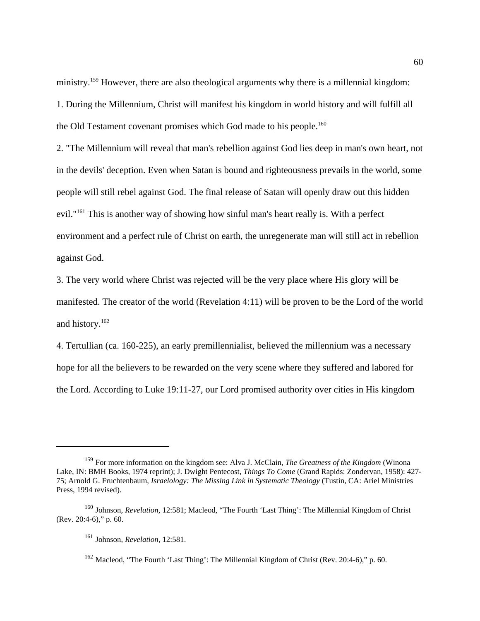ministry.<sup>159</sup> However, there are also theological arguments why there is a millennial kingdom: 1. During the Millennium, Christ will manifest his kingdom in world history and will fulfill all the Old Testament covenant promises which God made to his people.<sup>160</sup>

2. "The Millennium will reveal that man's rebellion against God lies deep in man's own heart, not in the devils' deception. Even when Satan is bound and righteousness prevails in the world, some people will still rebel against God. The final release of Satan will openly draw out this hidden evil."<sup>161</sup> This is another way of showing how sinful man's heart really is. With a perfect environment and a perfect rule of Christ on earth, the unregenerate man will still act in rebellion against God.

3. The very world where Christ was rejected will be the very place where His glory will be manifested. The creator of the world (Revelation 4:11) will be proven to be the Lord of the world and history.<sup>162</sup>

4. Tertullian (ca. 160-225), an early premillennialist, believed the millennium was a necessary hope for all the believers to be rewarded on the very scene where they suffered and labored for the Lord. According to Luke 19:11-27, our Lord promised authority over cities in His kingdom

<sup>159</sup> For more information on the kingdom see: Alva J. McClain, *The Greatness of the Kingdom* (Winona Lake, IN: BMH Books, 1974 reprint); J. Dwight Pentecost, *Things To Come* (Grand Rapids: Zondervan, 1958): 427- 75; Arnold G. Fruchtenbaum, *Israelology: The Missing Link in Systematic Theology* (Tustin, CA: Ariel Ministries Press, 1994 revised).

<sup>160</sup> Johnson, *Revelation,* 12:581; Macleod, "The Fourth 'Last Thing': The Millennial Kingdom of Christ (Rev. 20:4-6)," p. 60.

<sup>161</sup> Johnson, *Revelation,* 12:581.

<sup>&</sup>lt;sup>162</sup> Macleod, "The Fourth 'Last Thing': The Millennial Kingdom of Christ (Rev. 20:4-6)," p. 60.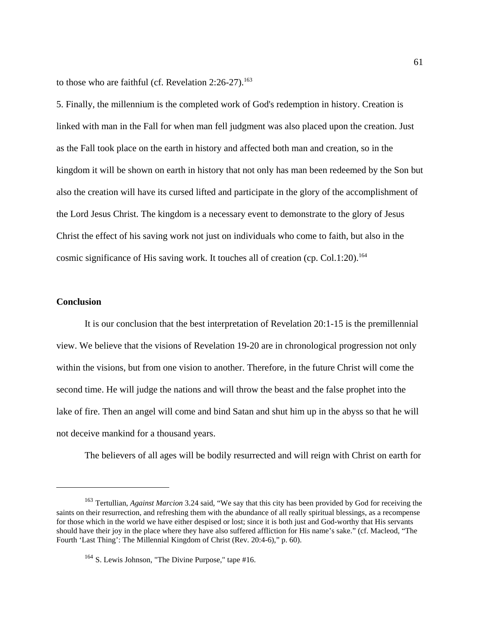to those who are faithful (cf. Revelation  $2:26-27$ ).<sup>163</sup>

5. Finally, the millennium is the completed work of God's redemption in history. Creation is linked with man in the Fall for when man fell judgment was also placed upon the creation. Just as the Fall took place on the earth in history and affected both man and creation, so in the kingdom it will be shown on earth in history that not only has man been redeemed by the Son but also the creation will have its cursed lifted and participate in the glory of the accomplishment of the Lord Jesus Christ. The kingdom is a necessary event to demonstrate to the glory of Jesus Christ the effect of his saving work not just on individuals who come to faith, but also in the cosmic significance of His saving work. It touches all of creation (cp. Col.1:20).<sup>164</sup>

# **Conclusion**

It is our conclusion that the best interpretation of Revelation 20:1-15 is the premillennial view. We believe that the visions of Revelation 19-20 are in chronological progression not only within the visions, but from one vision to another. Therefore, in the future Christ will come the second time. He will judge the nations and will throw the beast and the false prophet into the lake of fire. Then an angel will come and bind Satan and shut him up in the abyss so that he will not deceive mankind for a thousand years.

The believers of all ages will be bodily resurrected and will reign with Christ on earth for

<sup>163</sup> Tertullian, *Against Marcion* 3.24 said, "We say that this city has been provided by God for receiving the saints on their resurrection, and refreshing them with the abundance of all really spiritual blessings, as a recompense for those which in the world we have either despised or lost; since it is both just and God-worthy that His servants should have their joy in the place where they have also suffered affliction for His name's sake." (cf. Macleod, "The Fourth 'Last Thing': The Millennial Kingdom of Christ (Rev. 20:4-6)," p. 60).

<sup>&</sup>lt;sup>164</sup> S. Lewis Johnson, "The Divine Purpose," tape #16.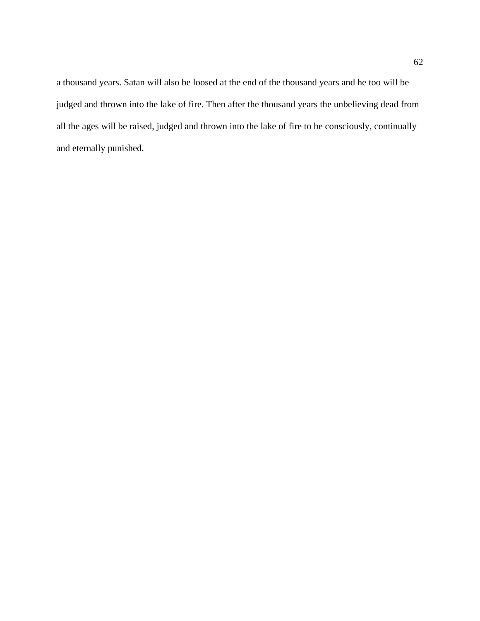a thousand years. Satan will also be loosed at the end of the thousand years and he too will be judged and thrown into the lake of fire. Then after the thousand years the unbelieving dead from all the ages will be raised, judged and thrown into the lake of fire to be consciously, continually and eternally punished.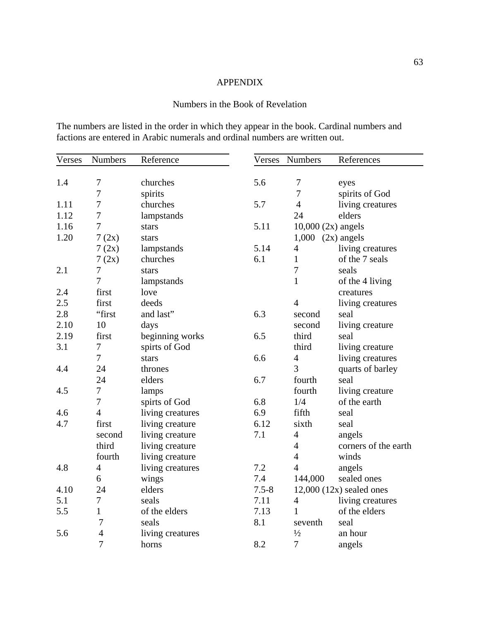# APPENDIX

# Numbers in the Book of Revelation

The numbers are listed in the order in which they appear in the book. Cardinal numbers and factions are entered in Arabic numerals and ordinal numbers are written out.

| Verses | Numbers        | Reference        |           | Verses Numbers        | References                   |
|--------|----------------|------------------|-----------|-----------------------|------------------------------|
|        |                |                  |           |                       |                              |
| 1.4    | 7              | churches         | 5.6       | 7                     | eyes                         |
|        | 7              | spirits          |           | $\overline{7}$        | spirits of God               |
| 1.11   | 7              | churches         | 5.7       | $\overline{4}$        | living creatures             |
| 1.12   | 7              | lampstands       |           | 24                    | elders                       |
| 1.16   | 7              | stars            | 5.11      | $10,000(2x)$ angels   |                              |
| 1.20   | 7(2x)          | stars            |           | $1,000$ $(2x)$ angels |                              |
|        | 7(2x)          | lampstands       | 5.14      | $\overline{4}$        | living creatures             |
|        | 7(2x)          | churches         | 6.1       | $\mathbf{1}$          | of the 7 seals               |
| 2.1    | 7              | stars            |           | 7                     | seals                        |
|        | 7              | lampstands       |           | $\mathbf{1}$          | of the 4 living              |
| 2.4    | first          | love             |           |                       | creatures                    |
| 2.5    | first          | deeds            |           | $\overline{4}$        | living creatures             |
| 2.8    | "first         | and last"        | 6.3       | second                | seal                         |
| 2.10   | 10             | days             |           | second                | living creature              |
| 2.19   | first          | beginning works  | 6.5       | third                 | seal                         |
| 3.1    | $\overline{7}$ | spirts of God    |           | third                 | living creature              |
|        | $\overline{7}$ | stars            | 6.6       | $\overline{4}$        | living creatures             |
| 4.4    | 24             | thrones          |           | 3                     | quarts of barley             |
|        | 24             | elders           | 6.7       | fourth                | seal                         |
| 4.5    | $\overline{7}$ | lamps            |           | fourth                | living creature              |
|        | $\overline{7}$ | spirts of God    | 6.8       | 1/4                   | of the earth                 |
| 4.6    | $\overline{4}$ | living creatures | 6.9       | fifth                 | seal                         |
| 4.7    | first          | living creature  | 6.12      | sixth                 | seal                         |
|        | second         | living creature  | 7.1       | $\overline{4}$        | angels                       |
|        | third          | living creature  |           | $\overline{4}$        | corners of the earth         |
|        | fourth         | living creature  |           | $\overline{4}$        | winds                        |
| 4.8    | $\overline{4}$ | living creatures | 7.2       | $\overline{4}$        | angels                       |
|        | 6              | wings            | 7.4       | 144,000               | sealed ones                  |
| 4.10   | 24             | elders           | $7.5 - 8$ |                       | $12,000$ $(12x)$ sealed ones |
| 5.1    | $\tau$         | seals            | 7.11      | $\overline{4}$        | living creatures             |
| 5.5    | $\mathbf{1}$   | of the elders    | 7.13      | $\mathbf{1}$          | of the elders                |
|        | $\overline{7}$ | seals            | 8.1       | seventh               | seal                         |
| 5.6    | $\overline{4}$ | living creatures |           | $\frac{1}{2}$         | an hour                      |
|        | $\overline{7}$ | horns            | 8.2       | $\overline{7}$        | angels                       |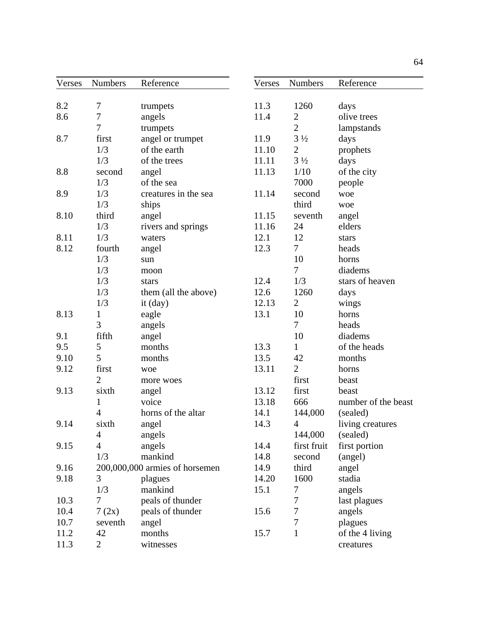| Verses | <b>Numbers</b> | Reference                      | Verses | <b>Numbers</b> | Reference           |
|--------|----------------|--------------------------------|--------|----------------|---------------------|
|        |                |                                |        |                |                     |
| 8.2    | $\tau$         | trumpets                       | 11.3   | 1260           | days                |
| 8.6    | $\tau$         | angels                         | 11.4   | $\overline{c}$ | olive trees         |
|        | $\overline{7}$ | trumpets                       |        | $\overline{2}$ | lampstands          |
| 8.7    | first          | angel or trumpet               | 11.9   | $3\frac{1}{2}$ | days                |
|        | 1/3            | of the earth                   | 11.10  | $\mathbf{2}$   | prophets            |
|        | 1/3            | of the trees                   | 11.11  | $3\frac{1}{2}$ | days                |
| 8.8    | second         | angel                          | 11.13  | 1/10           | of the city         |
|        | 1/3            | of the sea                     |        | 7000           | people              |
| 8.9    | 1/3            | creatures in the sea           | 11.14  | second         | woe                 |
|        | 1/3            | ships                          |        | third          | woe                 |
| 8.10   | third          | angel                          | 11.15  | seventh        | angel               |
|        | 1/3            | rivers and springs             | 11.16  | 24             | elders              |
| 8.11   | 1/3            | waters                         | 12.1   | 12             | stars               |
| 8.12   | fourth         | angel                          | 12.3   | $\overline{7}$ | heads               |
|        | 1/3            | sun                            |        | 10             | horns               |
|        | 1/3            | moon                           |        | $\overline{7}$ | diadems             |
|        | 1/3            | stars                          | 12.4   | 1/3            | stars of heaven     |
|        | 1/3            | them (all the above)           | 12.6   | 1260           | days                |
|        | 1/3            | it (day)                       | 12.13  | $\overline{2}$ | wings               |
| 8.13   | $\mathbf{1}$   | eagle                          | 13.1   | 10             | horns               |
|        | 3              | angels                         |        | $\overline{7}$ | heads               |
| 9.1    | fifth          | angel                          |        | 10             | diadems             |
| 9.5    | 5              | months                         | 13.3   | $\mathbf{1}$   | of the heads        |
| 9.10   | 5              | months                         | 13.5   | 42             | months              |
| 9.12   | first          | woe                            | 13.11  | $\overline{2}$ | horns               |
|        | $\overline{2}$ | more woes                      |        | first          | beast               |
| 9.13   | sixth          | angel                          | 13.12  | first          | beast               |
|        | $\mathbf{1}$   | voice                          | 13.18  | 666            | number of the beast |
|        | $\overline{4}$ | horns of the altar             | 14.1   | 144,000        | (sealed)            |
| 9.14   | sixth          | angel                          | 14.3   | 4              | living creatures    |
|        | 4              | angels                         |        | 144,000        | (sealed)            |
| 9.15   | $\overline{4}$ | angels                         | 14.4   | first fruit    | first portion       |
|        | 1/3            | mankind                        | 14.8   | second         | (angel)             |
| 9.16   |                | 200,000,000 armies of horsemen | 14.9   | third          | angel               |
| 9.18   | 3              | plagues                        | 14.20  | 1600           | stadia              |
|        | 1/3            | mankind                        | 15.1   | 7              | angels              |
| 10.3   | $\overline{7}$ | peals of thunder               |        | 7              | last plagues        |
| 10.4   | 7(2x)          | peals of thunder               | 15.6   | 7              | angels              |
| 10.7   | seventh        | angel                          |        | 7              | plagues             |
| 11.2   | 42             | months                         | 15.7   | $\mathbf{1}$   | of the 4 living     |
| 11.3   | $\overline{2}$ | witnesses                      |        |                | creatures           |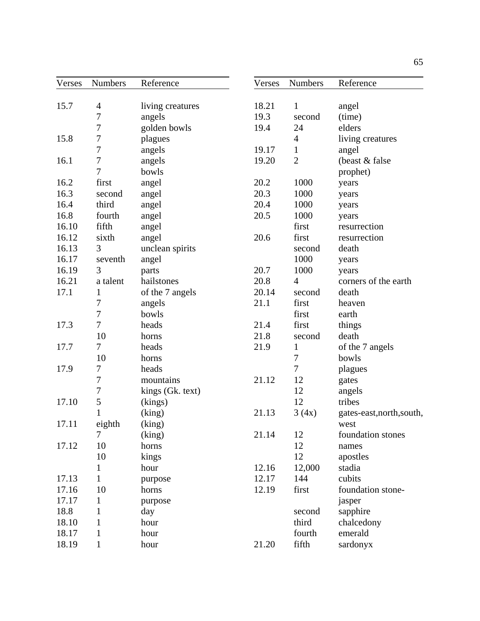| Verses | Numbers        | Reference        | Verses | <b>Numbers</b> | Reference                 |
|--------|----------------|------------------|--------|----------------|---------------------------|
|        |                |                  |        |                |                           |
| 15.7   | $\overline{4}$ | living creatures | 18.21  | $\mathbf{1}$   | angel                     |
|        | 7              | angels           | 19.3   | second         | (time)                    |
|        | 7              | golden bowls     | 19.4   | 24             | elders                    |
| 15.8   | 7              | plagues          |        | $\overline{4}$ | living creatures          |
|        | 7              | angels           | 19.17  | $\mathbf{1}$   | angel                     |
| 16.1   | 7              | angels           | 19.20  | $\overline{2}$ | (beast & false)           |
|        | $\overline{7}$ | bowls            |        |                | prophet)                  |
| 16.2   | first          | angel            | 20.2   | 1000           | years                     |
| 16.3   | second         | angel            | 20.3   | 1000           | years                     |
| 16.4   | third          | angel            | 20.4   | 1000           | years                     |
| 16.8   | fourth         | angel            | 20.5   | 1000           | years                     |
| 16.10  | fifth          | angel            |        | first          | resurrection              |
| 16.12  | sixth          | angel            | 20.6   | first          | resurrection              |
| 16.13  | 3              | unclean spirits  |        | second         | death                     |
| 16.17  | seventh        | angel            |        | 1000           | years                     |
| 16.19  | 3              | parts            | 20.7   | 1000           | years                     |
| 16.21  | a talent       | hailstones       | 20.8   | $\overline{4}$ | corners of the earth      |
| 17.1   | 1              | of the 7 angels  | 20.14  | second         | death                     |
|        | 7              | angels           | 21.1   | first          | heaven                    |
|        | $\tau$         | bowls            |        | first          | earth                     |
| 17.3   | 7              | heads            | 21.4   | first          | things                    |
|        | 10             | horns            | 21.8   | second         | death                     |
| 17.7   | 7              | heads            | 21.9   | $\mathbf 1$    | of the 7 angels           |
|        | 10             | horns            |        | $\tau$         | bowls                     |
| 17.9   | 7              | heads            |        | $\overline{7}$ | plagues                   |
|        | $\tau$         | mountains        | 21.12  | 12             | gates                     |
|        | $\overline{7}$ | kings (Gk. text) |        | 12             | angels                    |
| 17.10  | 5              | (kings)          |        | 12             | tribes                    |
|        | $\mathbf{1}$   | (king)           | 21.13  | 3(4x)          | gates-east, north, south, |
| 17.11  | eighth         | (king)           |        |                | west                      |
|        | 7              | (king)           | 21.14  | 12             | foundation stones         |
| 17.12  | 10             | horns            |        | 12             | names                     |
|        | 10             | kings            |        | 12             | apostles                  |
|        | $\mathbf{1}$   | hour             | 12.16  | 12,000         | stadia                    |
| 17.13  | $\mathbf{1}$   | purpose          | 12.17  | 144            | cubits                    |
| 17.16  | 10             | horns            | 12.19  | first          | foundation stone-         |
| 17.17  | $\mathbf{1}$   |                  |        |                | jasper                    |
| 18.8   |                | purpose          |        |                |                           |
|        | $\mathbf{1}$   | day              |        | second         | sapphire                  |
| 18.10  | $\mathbf{1}$   | hour             |        | third          | chalcedony                |
| 18.17  | $\mathbf{1}$   | hour             |        | fourth         | emerald                   |
| 18.19  | $\mathbf{1}$   | hour             | 21.20  | fifth          | sardonyx                  |